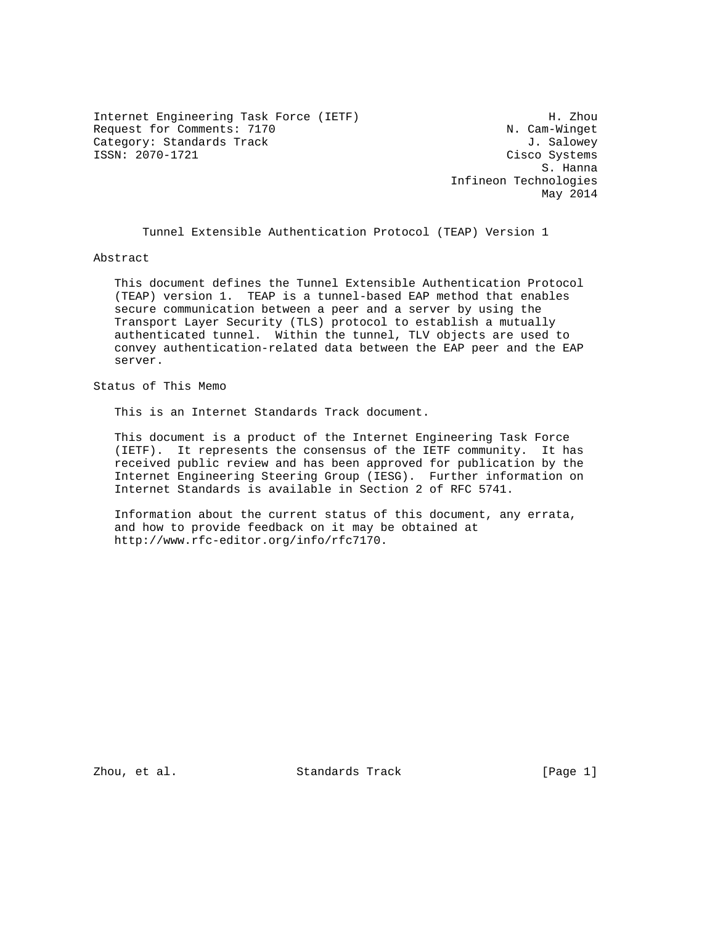Internet Engineering Task Force (IETF) H. Zhou Request for Comments: 7170 N. Cam-Winget Category: Standards Track J. Salowey ISSN: 2070-1721 Cisco Systems

 S. Hanna Infineon Technologies May 2014

Tunnel Extensible Authentication Protocol (TEAP) Version 1

Abstract

 This document defines the Tunnel Extensible Authentication Protocol (TEAP) version 1. TEAP is a tunnel-based EAP method that enables secure communication between a peer and a server by using the Transport Layer Security (TLS) protocol to establish a mutually authenticated tunnel. Within the tunnel, TLV objects are used to convey authentication-related data between the EAP peer and the EAP server.

Status of This Memo

This is an Internet Standards Track document.

 This document is a product of the Internet Engineering Task Force (IETF). It represents the consensus of the IETF community. It has received public review and has been approved for publication by the Internet Engineering Steering Group (IESG). Further information on Internet Standards is available in Section 2 of RFC 5741.

 Information about the current status of this document, any errata, and how to provide feedback on it may be obtained at http://www.rfc-editor.org/info/rfc7170.

Zhou, et al. Standards Track [Page 1]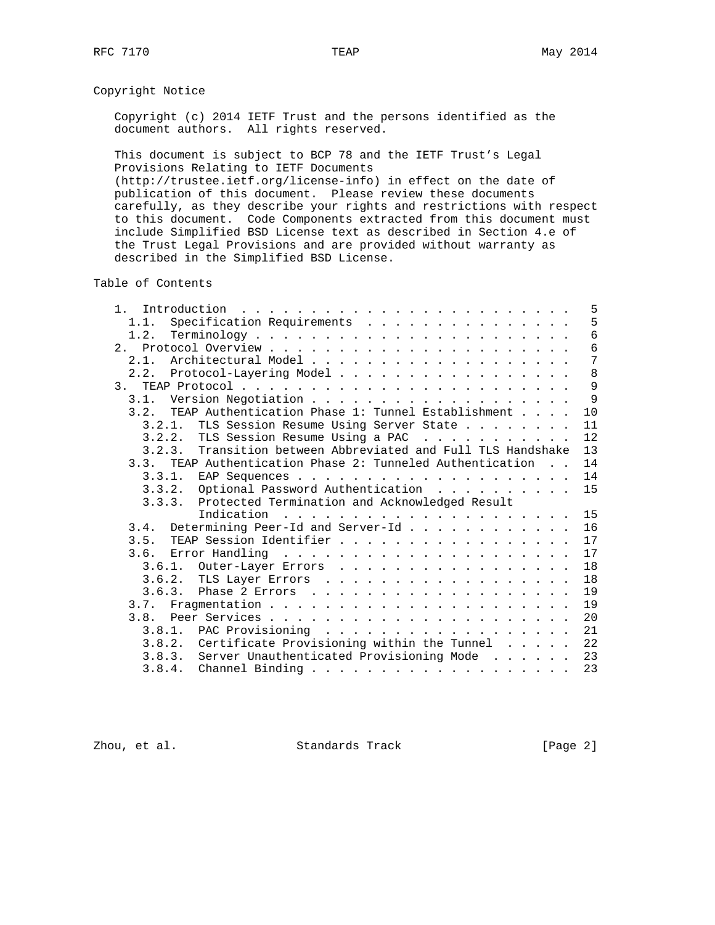# Copyright Notice

 Copyright (c) 2014 IETF Trust and the persons identified as the document authors. All rights reserved.

 This document is subject to BCP 78 and the IETF Trust's Legal Provisions Relating to IETF Documents

 (http://trustee.ietf.org/license-info) in effect on the date of publication of this document. Please review these documents carefully, as they describe your rights and restrictions with respect to this document. Code Components extracted from this document must include Simplified BSD License text as described in Section 4.e of the Trust Legal Provisions and are provided without warranty as described in the Simplified BSD License.

Table of Contents

| 1 <sup>1</sup> | 5                                                                  |
|----------------|--------------------------------------------------------------------|
| 1.1.           | 5<br>Specification Requirements                                    |
| 1.2.           | 6                                                                  |
|                | $6\,$                                                              |
| 2.1.           | $7\phantom{.0}$                                                    |
|                | 8<br>2.2. Protocol-Layering Model                                  |
|                | 9                                                                  |
| 3.1.           | 9                                                                  |
|                | 3.2. TEAP Authentication Phase 1: Tunnel Establishment<br>10       |
|                | 3.2.1. TLS Session Resume Using Server State<br>11                 |
|                | 12<br>3.2.2. TLS Session Resume Using a PAC                        |
|                | 13<br>3.2.3. Transition between Abbreviated and Full TLS Handshake |
|                | 3.3. TEAP Authentication Phase 2: Tunneled Authentication<br>14    |
|                | 14                                                                 |
|                | 3.3.2. Optional Password Authentication<br>15                      |
|                | 3.3.3. Protected Termination and Acknowledged Result               |
|                | 15                                                                 |
|                | 16                                                                 |
|                | 17<br>3.5. TEAP Session Identifier                                 |
| 3.6.           | 17                                                                 |
|                | 18                                                                 |
|                | 18<br>3.6.2. TLS Layer Errors                                      |
|                | 19                                                                 |
|                | 19                                                                 |
| 3.8.           | 20                                                                 |
|                | 21<br>3.8.1. PAC Provisioning                                      |
|                | 3.8.2. Certificate Provisioning within the Tunnel<br>22            |
|                | 3.8.3. Server Unauthenticated Provisioning Mode<br>23              |
|                | 23                                                                 |

Zhou, et al. Standards Track [Page 2]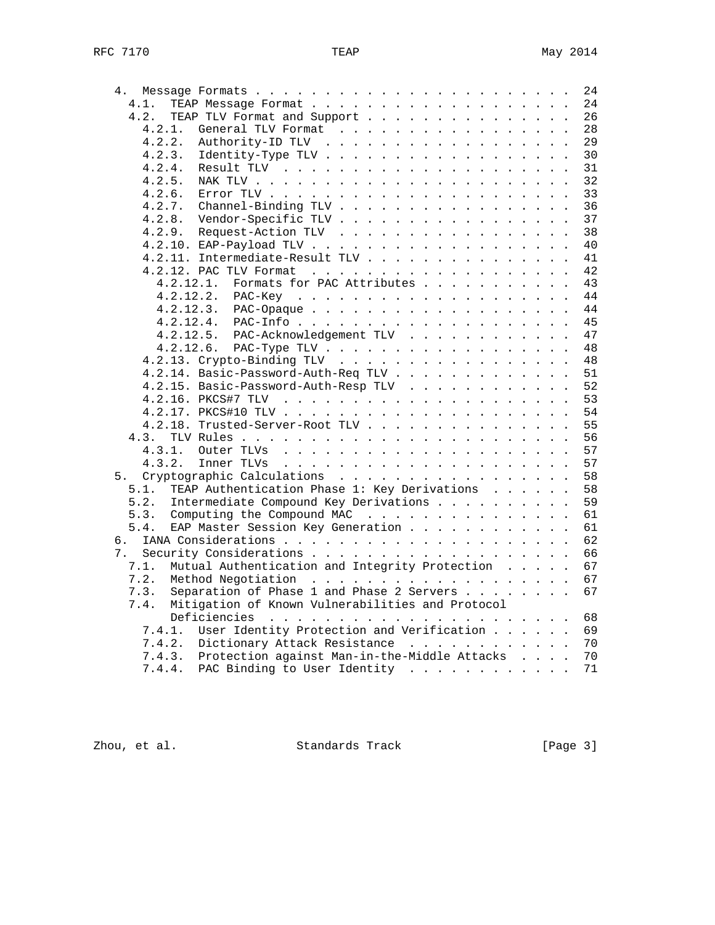| 4.                                                       |  |  | 24 |
|----------------------------------------------------------|--|--|----|
| 4.1.                                                     |  |  | 24 |
| 4.2.<br>TEAP TLV Format and Support                      |  |  | 26 |
| 4.2.1.<br>General TLV Format                             |  |  | 28 |
| 4.2.2.<br>Authority-ID TLV                               |  |  | 29 |
| 4.2.3.<br>Identity-Type TLV                              |  |  | 30 |
| 4.2.4.                                                   |  |  | 31 |
| 4.2.5.                                                   |  |  | 32 |
| 4.2.6.                                                   |  |  | 33 |
| 4.2.7.<br>Channel-Binding TLV                            |  |  | 36 |
| 4.2.8.<br>Vendor-Specific TLV                            |  |  | 37 |
| 4.2.9.<br>Request-Action TLV                             |  |  | 38 |
|                                                          |  |  | 40 |
| 4.2.11. Intermediate-Result TLV                          |  |  | 41 |
|                                                          |  |  | 42 |
|                                                          |  |  |    |
| 4.2.12.1.<br>Formats for PAC Attributes                  |  |  | 43 |
|                                                          |  |  | 44 |
| $4.2.12.3$ . PAC-Opaque                                  |  |  | 44 |
|                                                          |  |  | 45 |
| 4.2.12.5. PAC-Acknowledgement TLV                        |  |  | 47 |
| 4.2.12.6. PAC-Type TLV                                   |  |  | 48 |
|                                                          |  |  | 48 |
| 4.2.14. Basic-Password-Auth-Req TLV                      |  |  | 51 |
| 4.2.15. Basic-Password-Auth-Resp TLV                     |  |  | 52 |
|                                                          |  |  | 53 |
|                                                          |  |  | 54 |
| 4.2.18. Trusted-Server-Root TLV                          |  |  | 55 |
| 4.3.                                                     |  |  | 56 |
| 4.3.1.                                                   |  |  | 57 |
| 4.3.2.                                                   |  |  | 57 |
| Cryptographic Calculations<br>5.                         |  |  | 58 |
| TEAP Authentication Phase 1: Key Derivations<br>5.1.     |  |  | 58 |
| Intermediate Compound Key Derivations<br>5.2.            |  |  | 59 |
| 5.3.<br>Computing the Compound MAC                       |  |  | 61 |
| EAP Master Session Key Generation<br>5.4.                |  |  | 61 |
| б.                                                       |  |  | 62 |
| 7.                                                       |  |  | 66 |
| 7.1.<br>Mutual Authentication and Integrity Protection   |  |  | 67 |
| 7.2.                                                     |  |  | 67 |
| Separation of Phase 1 and Phase 2 Servers<br>7.3.        |  |  | 67 |
| Mitigation of Known Vulnerabilities and Protocol<br>7.4. |  |  |    |
|                                                          |  |  |    |
|                                                          |  |  | 68 |
| User Identity Protection and Verification<br>7.4.1.      |  |  | 69 |
| 7.4.2.<br>Dictionary Attack Resistance                   |  |  | 70 |
| 7.4.3. Protection against Man-in-the-Middle Attacks      |  |  | 70 |
| PAC Binding to User Identity<br>7.4.4.                   |  |  | 71 |

Zhou, et al. Standards Track [Page 3]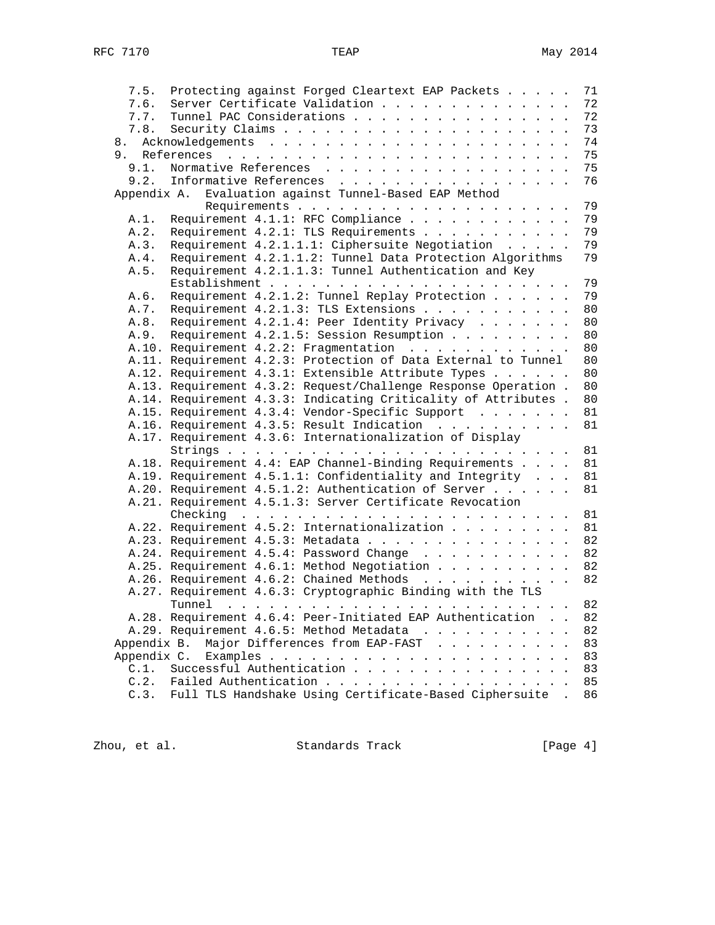| Protecting against Forged Cleartext EAP Packets<br>7.5.<br>7.6.<br>Server Certificate Validation | 71<br>72 |
|--------------------------------------------------------------------------------------------------|----------|
|                                                                                                  |          |
|                                                                                                  |          |
| 7.7.<br>Tunnel PAC Considerations                                                                | 72       |
| 7.8.                                                                                             | 73       |
| 8.                                                                                               | 74       |
|                                                                                                  | 75       |
| Normative References<br>9.1.                                                                     | 75       |
| 9.2.<br>Informative References                                                                   | 76       |
| Evaluation against Tunnel-Based EAP Method<br>Appendix A.                                        |          |
|                                                                                                  | 79       |
| Requirement 4.1.1: RFC Compliance<br>A.1.                                                        | 79       |
| Requirement 4.2.1: TLS Requirements<br>A.2.                                                      | 79       |
| Requirement 4.2.1.1.1: Ciphersuite Negotiation<br>A.3.                                           | 79       |
| Requirement 4.2.1.1.2: Tunnel Data Protection Algorithms<br>A.4.                                 | 79       |
| Requirement 4.2.1.1.3: Tunnel Authentication and Key<br>A.5.                                     |          |
|                                                                                                  | 79       |
| Requirement 4.2.1.2: Tunnel Replay Protection<br>A.6.                                            | 79       |
| Requirement 4.2.1.3: TLS Extensions<br>A.7.                                                      | 80       |
| Requirement 4.2.1.4: Peer Identity Privacy<br>A.8.                                               | 80       |
| Requirement 4.2.1.5: Session Resumption<br>A.9.                                                  | 80       |
| A.10. Requirement 4.2.2: Fragmentation                                                           | 80       |
| A.11. Requirement 4.2.3: Protection of Data External to Tunnel                                   | 80       |
| A.12. Requirement 4.3.1: Extensible Attribute Types                                              | 80       |
| A.13. Requirement 4.3.2: Request/Challenge Response Operation.                                   | 80       |
| A.14. Requirement 4.3.3: Indicating Criticality of Attributes .                                  | 80       |
| A.15. Requirement 4.3.4: Vendor-Specific Support                                                 | 81       |
| A.16. Requirement 4.3.5: Result Indication                                                       | 81       |
| A.17. Requirement 4.3.6: Internationalization of Display                                         |          |
|                                                                                                  | 81       |
| A.18. Requirement 4.4: EAP Channel-Binding Requirements                                          | 81       |
| A.19. Requirement 4.5.1.1: Confidentiality and Integrity                                         | 81       |
| A.20. Requirement 4.5.1.2: Authentication of Server                                              | 81       |
| A.21. Requirement 4.5.1.3: Server Certificate Revocation                                         |          |
|                                                                                                  | 81       |
| A.22. Requirement 4.5.2: Internationalization                                                    | 81       |
| A.23. Requirement 4.5.3: Metadata                                                                | 82       |
| A.24. Requirement 4.5.4: Password Change                                                         | 82       |
| A.25. Requirement 4.6.1: Method Negotiation                                                      | 82       |
| A.26. Requirement 4.6.2: Chained Methods                                                         | 82       |
| A.27. Requirement 4.6.3: Cryptographic Binding with the TLS                                      |          |
| Tunnel                                                                                           | 82       |
| A.28. Requirement 4.6.4: Peer-Initiated EAP Authentication                                       | 82       |
| A.29. Requirement 4.6.5: Method Metadata                                                         | 82       |
| Major Differences from EAP-FAST<br>Appendix B.                                                   | 83       |
|                                                                                                  | 83       |
| Successful Authentication<br>C.1.                                                                | 83       |
| C.2.<br>Failed Authentication                                                                    | 85       |
| Full TLS Handshake Using Certificate-Based Ciphersuite<br>C.3.                                   | 86       |

Zhou, et al. Standards Track [Page 4]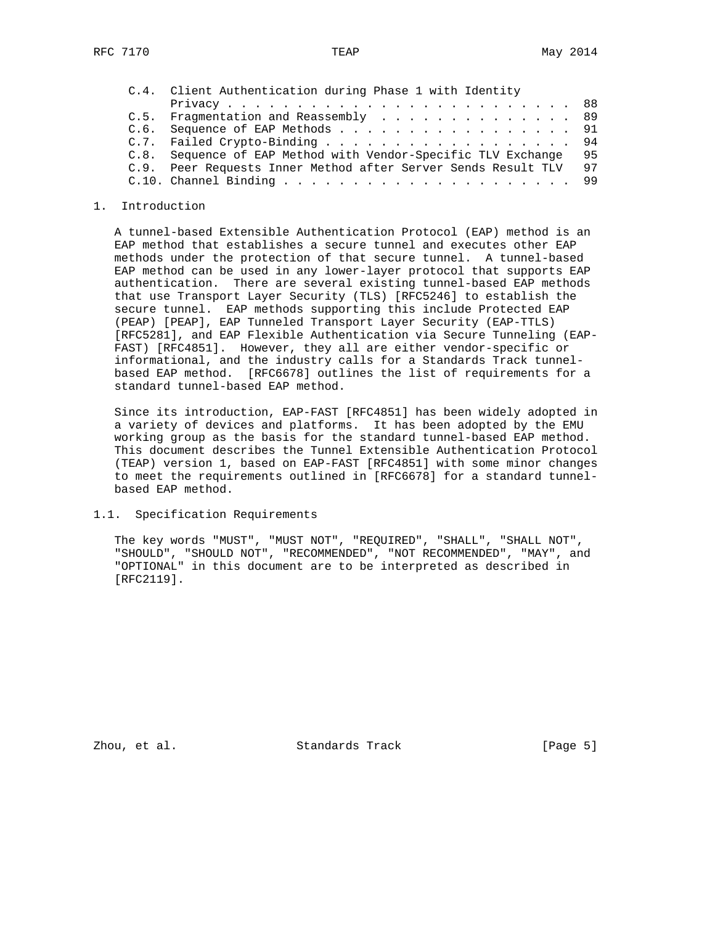| C.4. Client Authentication during Phase 1 with Identity       |    |
|---------------------------------------------------------------|----|
|                                                               |    |
| C.5. Fragmentation and Reassembly 89                          |    |
| C.6. Sequence of EAP Methods 91                               |    |
| C.7. Failed Crypto-Binding 94                                 |    |
| C.8. Sequence of EAP Method with Vendor-Specific TLV Exchange | 95 |
| C.9. Peer Requests Inner Method after Server Sends Result TLV | 97 |
|                                                               |    |

#### 1. Introduction

 A tunnel-based Extensible Authentication Protocol (EAP) method is an EAP method that establishes a secure tunnel and executes other EAP methods under the protection of that secure tunnel. A tunnel-based EAP method can be used in any lower-layer protocol that supports EAP authentication. There are several existing tunnel-based EAP methods that use Transport Layer Security (TLS) [RFC5246] to establish the secure tunnel. EAP methods supporting this include Protected EAP (PEAP) [PEAP], EAP Tunneled Transport Layer Security (EAP-TTLS) [RFC5281], and EAP Flexible Authentication via Secure Tunneling (EAP- FAST) [RFC4851]. However, they all are either vendor-specific or informational, and the industry calls for a Standards Track tunnel based EAP method. [RFC6678] outlines the list of requirements for a standard tunnel-based EAP method.

 Since its introduction, EAP-FAST [RFC4851] has been widely adopted in a variety of devices and platforms. It has been adopted by the EMU working group as the basis for the standard tunnel-based EAP method. This document describes the Tunnel Extensible Authentication Protocol (TEAP) version 1, based on EAP-FAST [RFC4851] with some minor changes to meet the requirements outlined in [RFC6678] for a standard tunnel based EAP method.

# 1.1. Specification Requirements

 The key words "MUST", "MUST NOT", "REQUIRED", "SHALL", "SHALL NOT", "SHOULD", "SHOULD NOT", "RECOMMENDED", "NOT RECOMMENDED", "MAY", and "OPTIONAL" in this document are to be interpreted as described in [RFC2119].

Zhou, et al. Standards Track [Page 5]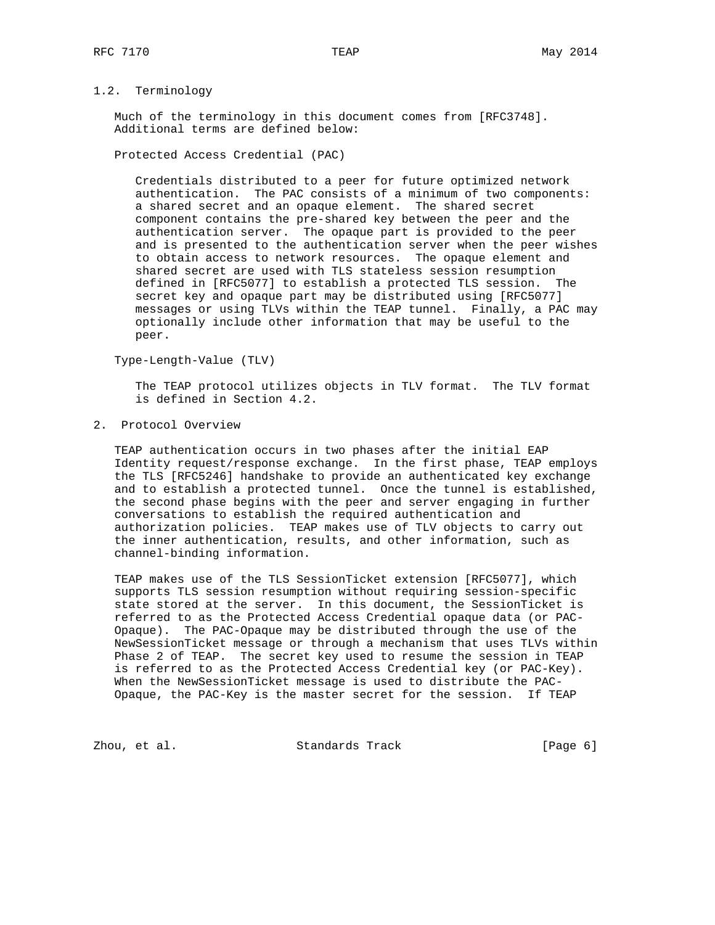# 1.2. Terminology

 Much of the terminology in this document comes from [RFC3748]. Additional terms are defined below:

Protected Access Credential (PAC)

 Credentials distributed to a peer for future optimized network authentication. The PAC consists of a minimum of two components: a shared secret and an opaque element. The shared secret component contains the pre-shared key between the peer and the authentication server. The opaque part is provided to the peer and is presented to the authentication server when the peer wishes to obtain access to network resources. The opaque element and shared secret are used with TLS stateless session resumption defined in [RFC5077] to establish a protected TLS session. The secret key and opaque part may be distributed using [RFC5077] messages or using TLVs within the TEAP tunnel. Finally, a PAC may optionally include other information that may be useful to the peer.

Type-Length-Value (TLV)

 The TEAP protocol utilizes objects in TLV format. The TLV format is defined in Section 4.2.

2. Protocol Overview

 TEAP authentication occurs in two phases after the initial EAP Identity request/response exchange. In the first phase, TEAP employs the TLS [RFC5246] handshake to provide an authenticated key exchange and to establish a protected tunnel. Once the tunnel is established, the second phase begins with the peer and server engaging in further conversations to establish the required authentication and authorization policies. TEAP makes use of TLV objects to carry out the inner authentication, results, and other information, such as channel-binding information.

 TEAP makes use of the TLS SessionTicket extension [RFC5077], which supports TLS session resumption without requiring session-specific state stored at the server. In this document, the SessionTicket is referred to as the Protected Access Credential opaque data (or PAC- Opaque). The PAC-Opaque may be distributed through the use of the NewSessionTicket message or through a mechanism that uses TLVs within Phase 2 of TEAP. The secret key used to resume the session in TEAP is referred to as the Protected Access Credential key (or PAC-Key). When the NewSessionTicket message is used to distribute the PAC- Opaque, the PAC-Key is the master secret for the session. If TEAP

Zhou, et al. Standards Track [Page 6]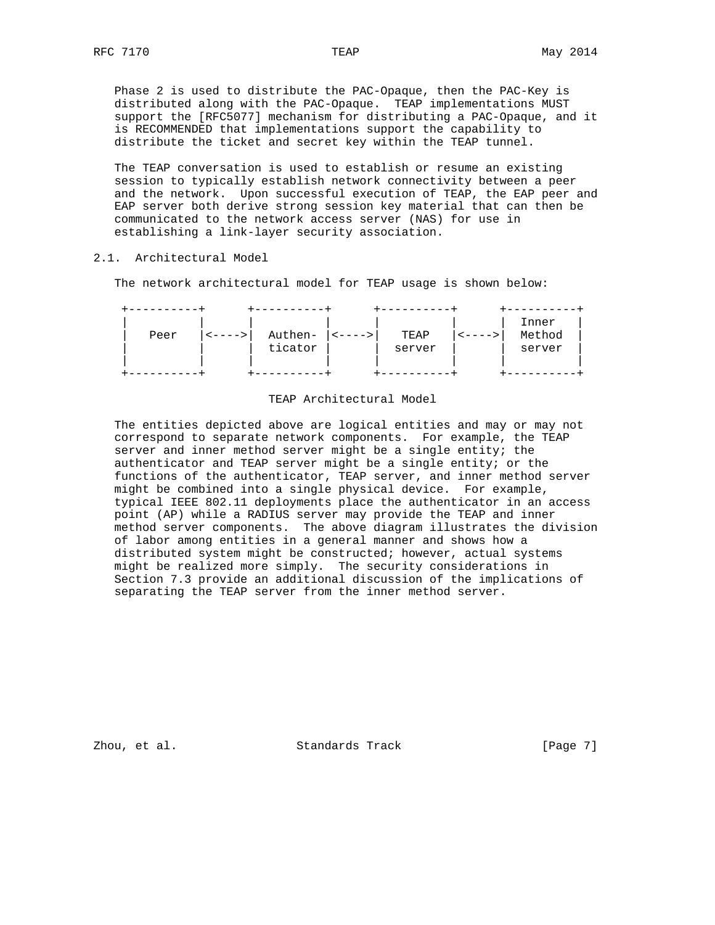Phase 2 is used to distribute the PAC-Opaque, then the PAC-Key is distributed along with the PAC-Opaque. TEAP implementations MUST support the [RFC5077] mechanism for distributing a PAC-Opaque, and it is RECOMMENDED that implementations support the capability to distribute the ticket and secret key within the TEAP tunnel.

 The TEAP conversation is used to establish or resume an existing session to typically establish network connectivity between a peer and the network. Upon successful execution of TEAP, the EAP peer and EAP server both derive strong session key material that can then be communicated to the network access server (NAS) for use in establishing a link-layer security association.

## 2.1. Architectural Model

The network architectural model for TEAP usage is shown below:

| Peer | $\left  \left  \left  \left  \right  \right  \right $ | Authen- | $ $ < - - - - > $ $ | TEAP   | < - - - -> | Inner<br>Method |
|------|-------------------------------------------------------|---------|---------------------|--------|------------|-----------------|
|      |                                                       | ticator |                     | server |            | server          |
|      |                                                       |         |                     |        |            |                 |

#### TEAP Architectural Model

 The entities depicted above are logical entities and may or may not correspond to separate network components. For example, the TEAP server and inner method server might be a single entity; the authenticator and TEAP server might be a single entity; or the functions of the authenticator, TEAP server, and inner method server might be combined into a single physical device. For example, typical IEEE 802.11 deployments place the authenticator in an access point (AP) while a RADIUS server may provide the TEAP and inner method server components. The above diagram illustrates the division of labor among entities in a general manner and shows how a distributed system might be constructed; however, actual systems might be realized more simply. The security considerations in Section 7.3 provide an additional discussion of the implications of separating the TEAP server from the inner method server.

Zhou, et al. Standards Track [Page 7]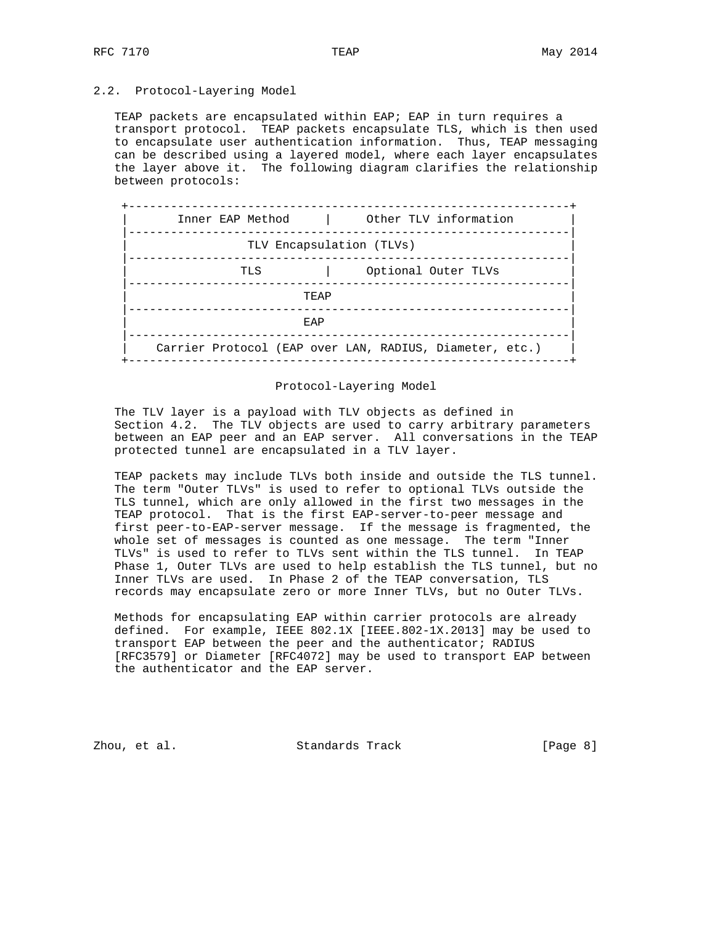## 2.2. Protocol-Layering Model

TEAP packets are encapsulated within EAP; EAP in turn requires a transport protocol. TEAP packets encapsulate TLS, which is then used to encapsulate user authentication information. Thus, TEAP messaging can be described using a layered model, where each layer encapsulates the layer above it. The following diagram clarifies the relationship between protocols:

| Inner EAP Method | and the contract         | Other TLV information                                   |
|------------------|--------------------------|---------------------------------------------------------|
|                  | TLV Encapsulation (TLVs) |                                                         |
|                  | TLS                      | Optional Outer TLVs                                     |
|                  | TEAP                     |                                                         |
|                  | EAP                      |                                                         |
|                  |                          | Carrier Protocol (EAP over LAN, RADIUS, Diameter, etc.) |

#### Protocol-Layering Model

 The TLV layer is a payload with TLV objects as defined in Section 4.2. The TLV objects are used to carry arbitrary parameters between an EAP peer and an EAP server. All conversations in the TEAP protected tunnel are encapsulated in a TLV layer.

 TEAP packets may include TLVs both inside and outside the TLS tunnel. The term "Outer TLVs" is used to refer to optional TLVs outside the TLS tunnel, which are only allowed in the first two messages in the TEAP protocol. That is the first EAP-server-to-peer message and first peer-to-EAP-server message. If the message is fragmented, the whole set of messages is counted as one message. The term "Inner TLVs" is used to refer to TLVs sent within the TLS tunnel. In TEAP Phase 1, Outer TLVs are used to help establish the TLS tunnel, but no Inner TLVs are used. In Phase 2 of the TEAP conversation, TLS records may encapsulate zero or more Inner TLVs, but no Outer TLVs.

 Methods for encapsulating EAP within carrier protocols are already defined. For example, IEEE 802.1X [IEEE.802-1X.2013] may be used to transport EAP between the peer and the authenticator; RADIUS [RFC3579] or Diameter [RFC4072] may be used to transport EAP between the authenticator and the EAP server.

Zhou, et al. Standards Track [Page 8]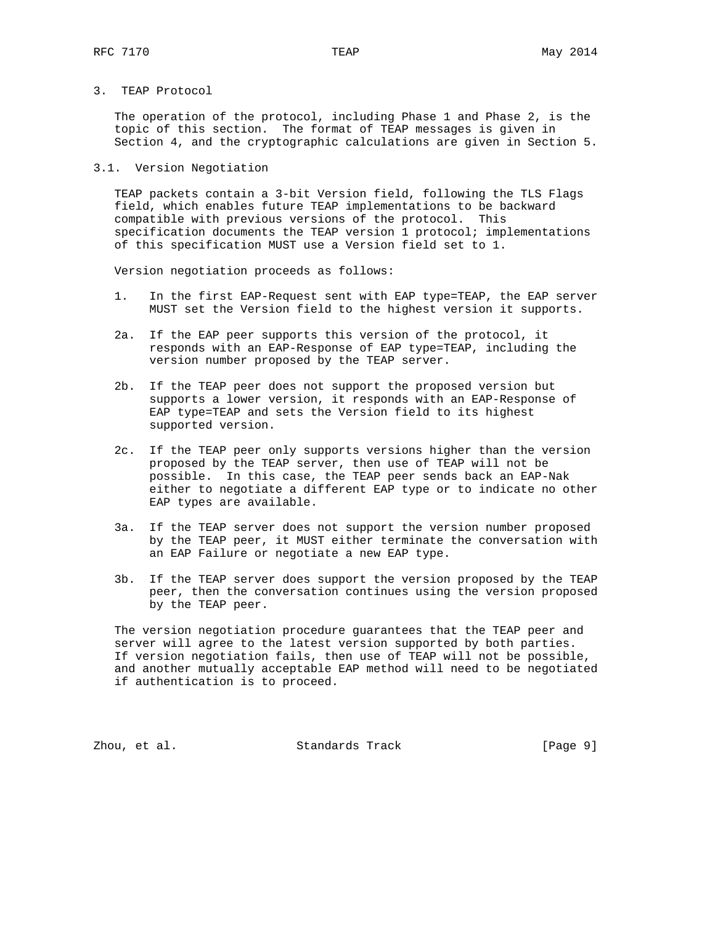3. TEAP Protocol

 The operation of the protocol, including Phase 1 and Phase 2, is the topic of this section. The format of TEAP messages is given in Section 4, and the cryptographic calculations are given in Section 5.

3.1. Version Negotiation

 TEAP packets contain a 3-bit Version field, following the TLS Flags field, which enables future TEAP implementations to be backward compatible with previous versions of the protocol. This specification documents the TEAP version 1 protocol; implementations of this specification MUST use a Version field set to 1.

Version negotiation proceeds as follows:

- 1. In the first EAP-Request sent with EAP type=TEAP, the EAP server MUST set the Version field to the highest version it supports.
- 2a. If the EAP peer supports this version of the protocol, it responds with an EAP-Response of EAP type=TEAP, including the version number proposed by the TEAP server.
- 2b. If the TEAP peer does not support the proposed version but supports a lower version, it responds with an EAP-Response of EAP type=TEAP and sets the Version field to its highest supported version.
- 2c. If the TEAP peer only supports versions higher than the version proposed by the TEAP server, then use of TEAP will not be possible. In this case, the TEAP peer sends back an EAP-Nak either to negotiate a different EAP type or to indicate no other EAP types are available.
- 3a. If the TEAP server does not support the version number proposed by the TEAP peer, it MUST either terminate the conversation with an EAP Failure or negotiate a new EAP type.
- 3b. If the TEAP server does support the version proposed by the TEAP peer, then the conversation continues using the version proposed by the TEAP peer.

 The version negotiation procedure guarantees that the TEAP peer and server will agree to the latest version supported by both parties. If version negotiation fails, then use of TEAP will not be possible, and another mutually acceptable EAP method will need to be negotiated if authentication is to proceed.

Zhou, et al. Standards Track [Page 9]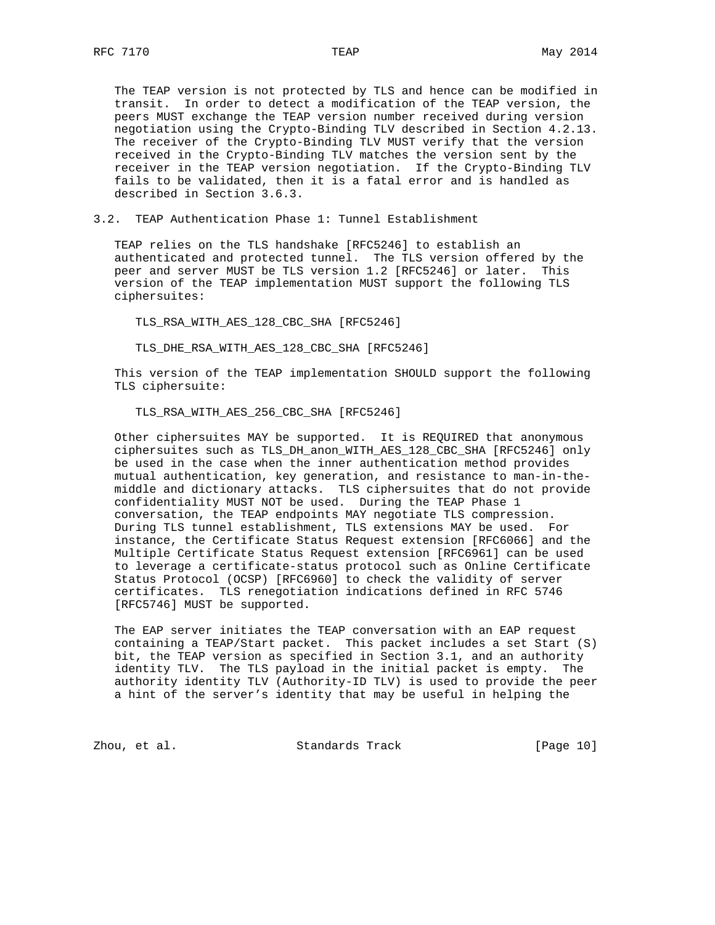The TEAP version is not protected by TLS and hence can be modified in transit. In order to detect a modification of the TEAP version, the peers MUST exchange the TEAP version number received during version negotiation using the Crypto-Binding TLV described in Section 4.2.13. The receiver of the Crypto-Binding TLV MUST verify that the version received in the Crypto-Binding TLV matches the version sent by the receiver in the TEAP version negotiation. If the Crypto-Binding TLV fails to be validated, then it is a fatal error and is handled as described in Section 3.6.3.

3.2. TEAP Authentication Phase 1: Tunnel Establishment

 TEAP relies on the TLS handshake [RFC5246] to establish an authenticated and protected tunnel. The TLS version offered by the peer and server MUST be TLS version 1.2 [RFC5246] or later. This version of the TEAP implementation MUST support the following TLS ciphersuites:

TLS\_RSA\_WITH\_AES\_128\_CBC\_SHA [RFC5246]

TLS\_DHE\_RSA\_WITH\_AES\_128\_CBC\_SHA [RFC5246]

 This version of the TEAP implementation SHOULD support the following TLS ciphersuite:

TLS\_RSA\_WITH\_AES\_256\_CBC\_SHA [RFC5246]

 Other ciphersuites MAY be supported. It is REQUIRED that anonymous ciphersuites such as TLS\_DH\_anon\_WITH\_AES\_128\_CBC\_SHA [RFC5246] only be used in the case when the inner authentication method provides mutual authentication, key generation, and resistance to man-in-the middle and dictionary attacks. TLS ciphersuites that do not provide confidentiality MUST NOT be used. During the TEAP Phase 1 conversation, the TEAP endpoints MAY negotiate TLS compression. During TLS tunnel establishment, TLS extensions MAY be used. For instance, the Certificate Status Request extension [RFC6066] and the Multiple Certificate Status Request extension [RFC6961] can be used to leverage a certificate-status protocol such as Online Certificate Status Protocol (OCSP) [RFC6960] to check the validity of server certificates. TLS renegotiation indications defined in RFC 5746 [RFC5746] MUST be supported.

 The EAP server initiates the TEAP conversation with an EAP request containing a TEAP/Start packet. This packet includes a set Start (S) bit, the TEAP version as specified in Section 3.1, and an authority identity TLV. The TLS payload in the initial packet is empty. The authority identity TLV (Authority-ID TLV) is used to provide the peer a hint of the server's identity that may be useful in helping the

Zhou, et al. Standards Track [Page 10]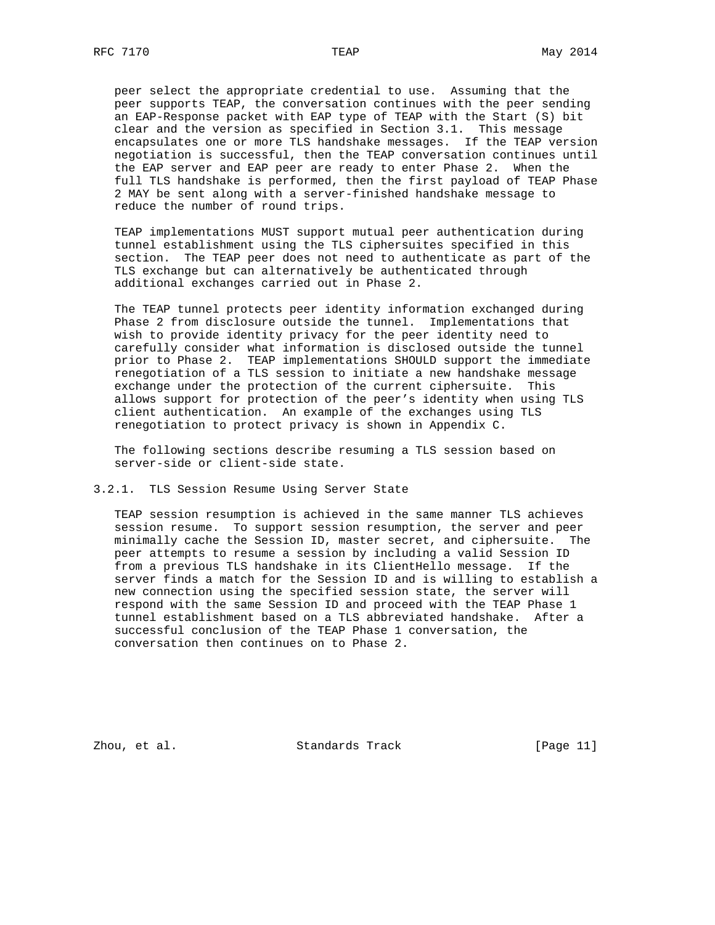peer select the appropriate credential to use. Assuming that the peer supports TEAP, the conversation continues with the peer sending an EAP-Response packet with EAP type of TEAP with the Start (S) bit clear and the version as specified in Section 3.1. This message encapsulates one or more TLS handshake messages. If the TEAP version negotiation is successful, then the TEAP conversation continues until the EAP server and EAP peer are ready to enter Phase 2. When the full TLS handshake is performed, then the first payload of TEAP Phase 2 MAY be sent along with a server-finished handshake message to reduce the number of round trips.

 TEAP implementations MUST support mutual peer authentication during tunnel establishment using the TLS ciphersuites specified in this section. The TEAP peer does not need to authenticate as part of the TLS exchange but can alternatively be authenticated through additional exchanges carried out in Phase 2.

 The TEAP tunnel protects peer identity information exchanged during Phase 2 from disclosure outside the tunnel. Implementations that wish to provide identity privacy for the peer identity need to carefully consider what information is disclosed outside the tunnel prior to Phase 2. TEAP implementations SHOULD support the immediate renegotiation of a TLS session to initiate a new handshake message exchange under the protection of the current ciphersuite. This allows support for protection of the peer's identity when using TLS client authentication. An example of the exchanges using TLS renegotiation to protect privacy is shown in Appendix C.

 The following sections describe resuming a TLS session based on server-side or client-side state.

3.2.1. TLS Session Resume Using Server State

 TEAP session resumption is achieved in the same manner TLS achieves session resume. To support session resumption, the server and peer minimally cache the Session ID, master secret, and ciphersuite. The peer attempts to resume a session by including a valid Session ID from a previous TLS handshake in its ClientHello message. If the server finds a match for the Session ID and is willing to establish a new connection using the specified session state, the server will respond with the same Session ID and proceed with the TEAP Phase 1 tunnel establishment based on a TLS abbreviated handshake. After a successful conclusion of the TEAP Phase 1 conversation, the conversation then continues on to Phase 2.

Zhou, et al. Standards Track [Page 11]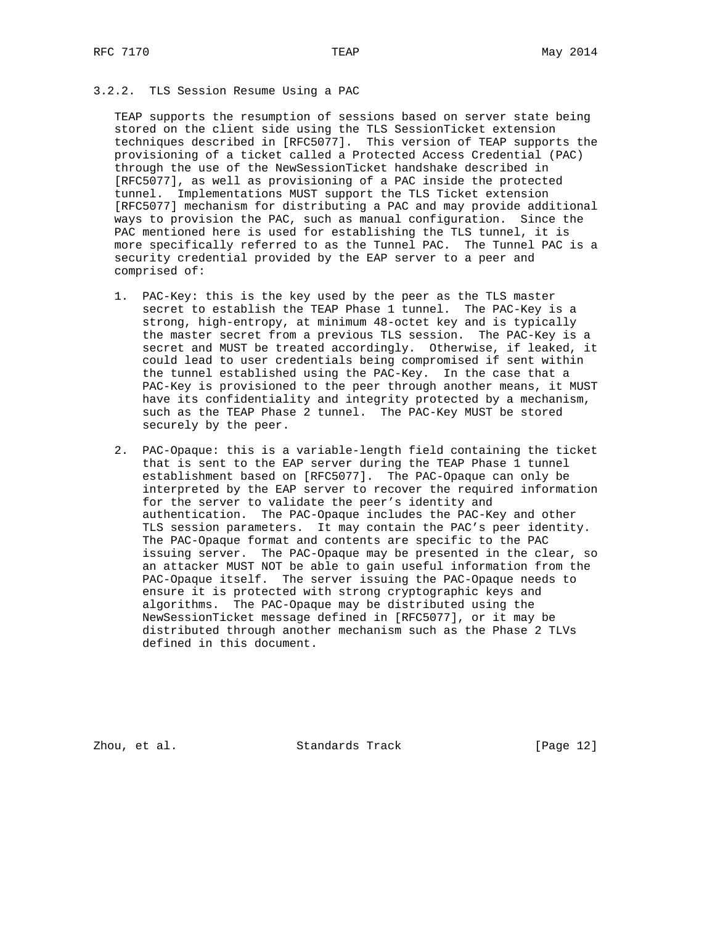# 3.2.2. TLS Session Resume Using a PAC

 TEAP supports the resumption of sessions based on server state being stored on the client side using the TLS SessionTicket extension techniques described in [RFC5077]. This version of TEAP supports the provisioning of a ticket called a Protected Access Credential (PAC) through the use of the NewSessionTicket handshake described in [RFC5077], as well as provisioning of a PAC inside the protected tunnel. Implementations MUST support the TLS Ticket extension [RFC5077] mechanism for distributing a PAC and may provide additional ways to provision the PAC, such as manual configuration. Since the PAC mentioned here is used for establishing the TLS tunnel, it is more specifically referred to as the Tunnel PAC. The Tunnel PAC is a security credential provided by the EAP server to a peer and comprised of:

- 1. PAC-Key: this is the key used by the peer as the TLS master secret to establish the TEAP Phase 1 tunnel. The PAC-Key is a strong, high-entropy, at minimum 48-octet key and is typically the master secret from a previous TLS session. The PAC-Key is a secret and MUST be treated accordingly. Otherwise, if leaked, it could lead to user credentials being compromised if sent within the tunnel established using the PAC-Key. In the case that a PAC-Key is provisioned to the peer through another means, it MUST have its confidentiality and integrity protected by a mechanism, such as the TEAP Phase 2 tunnel. The PAC-Key MUST be stored securely by the peer.
- 2. PAC-Opaque: this is a variable-length field containing the ticket that is sent to the EAP server during the TEAP Phase 1 tunnel establishment based on [RFC5077]. The PAC-Opaque can only be interpreted by the EAP server to recover the required information for the server to validate the peer's identity and authentication. The PAC-Opaque includes the PAC-Key and other TLS session parameters. It may contain the PAC's peer identity. The PAC-Opaque format and contents are specific to the PAC issuing server. The PAC-Opaque may be presented in the clear, so an attacker MUST NOT be able to gain useful information from the PAC-Opaque itself. The server issuing the PAC-Opaque needs to ensure it is protected with strong cryptographic keys and algorithms. The PAC-Opaque may be distributed using the NewSessionTicket message defined in [RFC5077], or it may be distributed through another mechanism such as the Phase 2 TLVs defined in this document.

Zhou, et al. Standards Track [Page 12]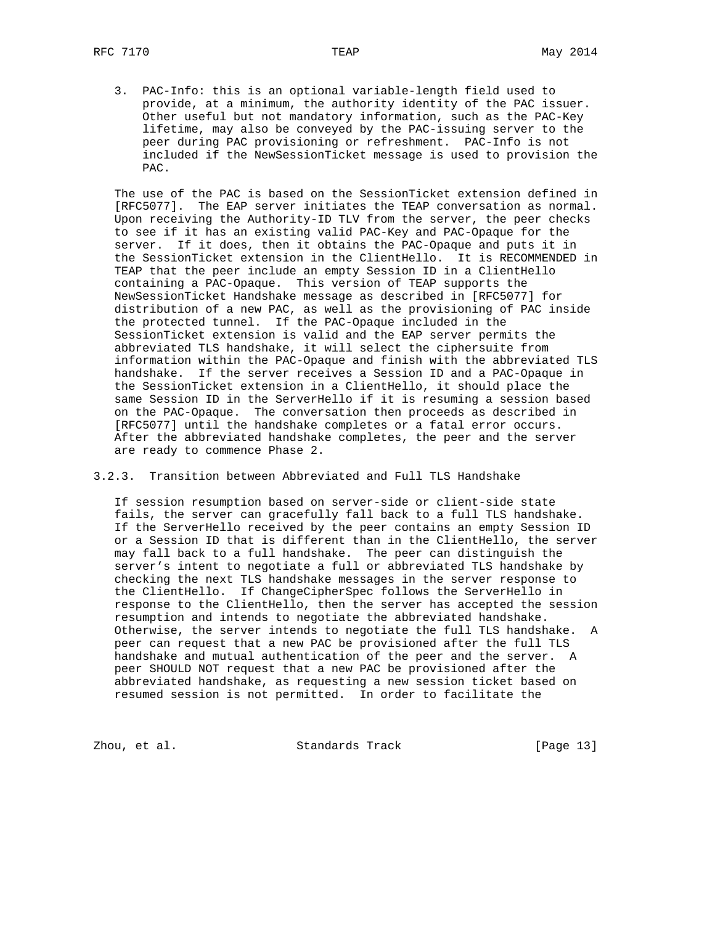3. PAC-Info: this is an optional variable-length field used to provide, at a minimum, the authority identity of the PAC issuer. Other useful but not mandatory information, such as the PAC-Key lifetime, may also be conveyed by the PAC-issuing server to the peer during PAC provisioning or refreshment. PAC-Info is not included if the NewSessionTicket message is used to provision the PAC.

 The use of the PAC is based on the SessionTicket extension defined in [RFC5077]. The EAP server initiates the TEAP conversation as normal. Upon receiving the Authority-ID TLV from the server, the peer checks to see if it has an existing valid PAC-Key and PAC-Opaque for the server. If it does, then it obtains the PAC-Opaque and puts it in the SessionTicket extension in the ClientHello. It is RECOMMENDED in TEAP that the peer include an empty Session ID in a ClientHello containing a PAC-Opaque. This version of TEAP supports the NewSessionTicket Handshake message as described in [RFC5077] for distribution of a new PAC, as well as the provisioning of PAC inside the protected tunnel. If the PAC-Opaque included in the SessionTicket extension is valid and the EAP server permits the abbreviated TLS handshake, it will select the ciphersuite from information within the PAC-Opaque and finish with the abbreviated TLS handshake. If the server receives a Session ID and a PAC-Opaque in the SessionTicket extension in a ClientHello, it should place the same Session ID in the ServerHello if it is resuming a session based on the PAC-Opaque. The conversation then proceeds as described in [RFC5077] until the handshake completes or a fatal error occurs. After the abbreviated handshake completes, the peer and the server are ready to commence Phase 2.

## 3.2.3. Transition between Abbreviated and Full TLS Handshake

 If session resumption based on server-side or client-side state fails, the server can gracefully fall back to a full TLS handshake. If the ServerHello received by the peer contains an empty Session ID or a Session ID that is different than in the ClientHello, the server may fall back to a full handshake. The peer can distinguish the server's intent to negotiate a full or abbreviated TLS handshake by checking the next TLS handshake messages in the server response to the ClientHello. If ChangeCipherSpec follows the ServerHello in response to the ClientHello, then the server has accepted the session resumption and intends to negotiate the abbreviated handshake. Otherwise, the server intends to negotiate the full TLS handshake. A peer can request that a new PAC be provisioned after the full TLS handshake and mutual authentication of the peer and the server. A peer SHOULD NOT request that a new PAC be provisioned after the abbreviated handshake, as requesting a new session ticket based on resumed session is not permitted. In order to facilitate the

Zhou, et al. Standards Track [Page 13]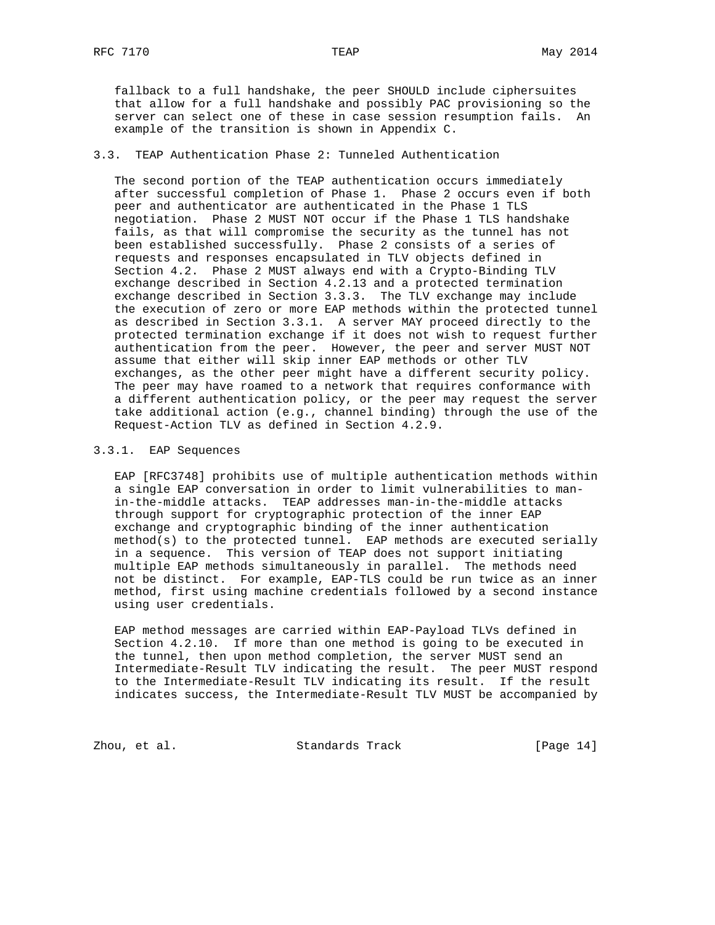# 3.3. TEAP Authentication Phase 2: Tunneled Authentication

 The second portion of the TEAP authentication occurs immediately after successful completion of Phase 1. Phase 2 occurs even if both peer and authenticator are authenticated in the Phase 1 TLS negotiation. Phase 2 MUST NOT occur if the Phase 1 TLS handshake fails, as that will compromise the security as the tunnel has not been established successfully. Phase 2 consists of a series of requests and responses encapsulated in TLV objects defined in Section 4.2. Phase 2 MUST always end with a Crypto-Binding TLV exchange described in Section 4.2.13 and a protected termination exchange described in Section 3.3.3. The TLV exchange may include the execution of zero or more EAP methods within the protected tunnel as described in Section 3.3.1. A server MAY proceed directly to the protected termination exchange if it does not wish to request further authentication from the peer. However, the peer and server MUST NOT assume that either will skip inner EAP methods or other TLV exchanges, as the other peer might have a different security policy. The peer may have roamed to a network that requires conformance with a different authentication policy, or the peer may request the server take additional action (e.g., channel binding) through the use of the Request-Action TLV as defined in Section 4.2.9.

## 3.3.1. EAP Sequences

 EAP [RFC3748] prohibits use of multiple authentication methods within a single EAP conversation in order to limit vulnerabilities to man in-the-middle attacks. TEAP addresses man-in-the-middle attacks through support for cryptographic protection of the inner EAP exchange and cryptographic binding of the inner authentication method(s) to the protected tunnel. EAP methods are executed serially in a sequence. This version of TEAP does not support initiating multiple EAP methods simultaneously in parallel. The methods need not be distinct. For example, EAP-TLS could be run twice as an inner method, first using machine credentials followed by a second instance using user credentials.

 EAP method messages are carried within EAP-Payload TLVs defined in Section 4.2.10. If more than one method is going to be executed in the tunnel, then upon method completion, the server MUST send an Intermediate-Result TLV indicating the result. The peer MUST respond to the Intermediate-Result TLV indicating its result. If the result indicates success, the Intermediate-Result TLV MUST be accompanied by

Zhou, et al. Standards Track [Page 14]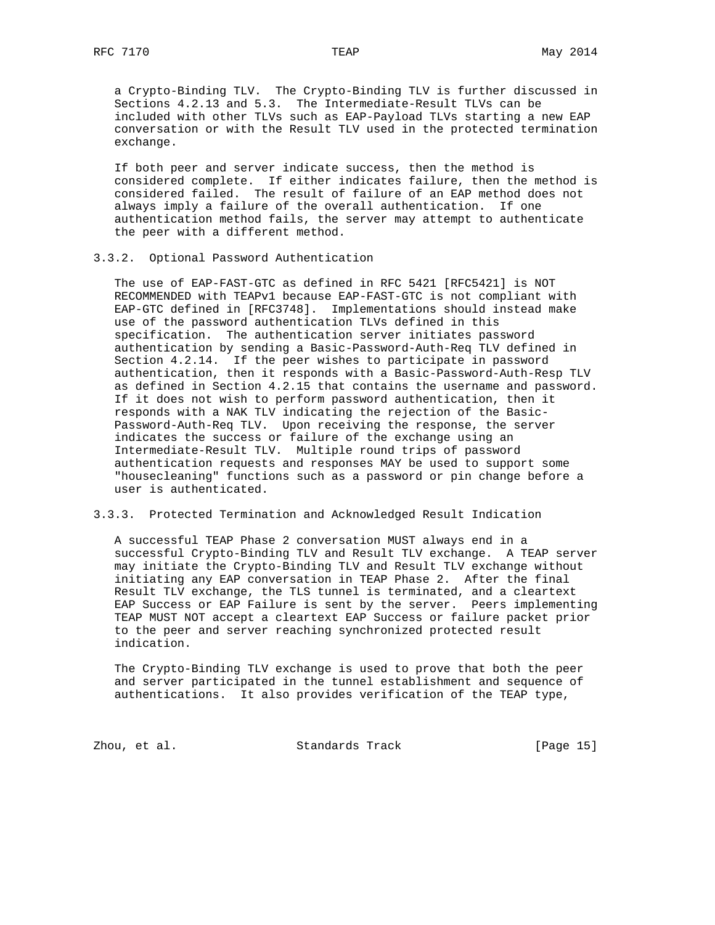a Crypto-Binding TLV. The Crypto-Binding TLV is further discussed in Sections 4.2.13 and 5.3. The Intermediate-Result TLVs can be included with other TLVs such as EAP-Payload TLVs starting a new EAP conversation or with the Result TLV used in the protected termination exchange.

 If both peer and server indicate success, then the method is considered complete. If either indicates failure, then the method is considered failed. The result of failure of an EAP method does not always imply a failure of the overall authentication. If one authentication method fails, the server may attempt to authenticate the peer with a different method.

# 3.3.2. Optional Password Authentication

 The use of EAP-FAST-GTC as defined in RFC 5421 [RFC5421] is NOT RECOMMENDED with TEAPv1 because EAP-FAST-GTC is not compliant with EAP-GTC defined in [RFC3748]. Implementations should instead make use of the password authentication TLVs defined in this specification. The authentication server initiates password authentication by sending a Basic-Password-Auth-Req TLV defined in Section 4.2.14. If the peer wishes to participate in password authentication, then it responds with a Basic-Password-Auth-Resp TLV as defined in Section 4.2.15 that contains the username and password. If it does not wish to perform password authentication, then it responds with a NAK TLV indicating the rejection of the Basic- Password-Auth-Req TLV. Upon receiving the response, the server indicates the success or failure of the exchange using an Intermediate-Result TLV. Multiple round trips of password authentication requests and responses MAY be used to support some "housecleaning" functions such as a password or pin change before a user is authenticated.

# 3.3.3. Protected Termination and Acknowledged Result Indication

 A successful TEAP Phase 2 conversation MUST always end in a successful Crypto-Binding TLV and Result TLV exchange. A TEAP server may initiate the Crypto-Binding TLV and Result TLV exchange without initiating any EAP conversation in TEAP Phase 2. After the final Result TLV exchange, the TLS tunnel is terminated, and a cleartext EAP Success or EAP Failure is sent by the server. Peers implementing TEAP MUST NOT accept a cleartext EAP Success or failure packet prior to the peer and server reaching synchronized protected result indication.

 The Crypto-Binding TLV exchange is used to prove that both the peer and server participated in the tunnel establishment and sequence of authentications. It also provides verification of the TEAP type,

Zhou, et al. Standards Track [Page 15]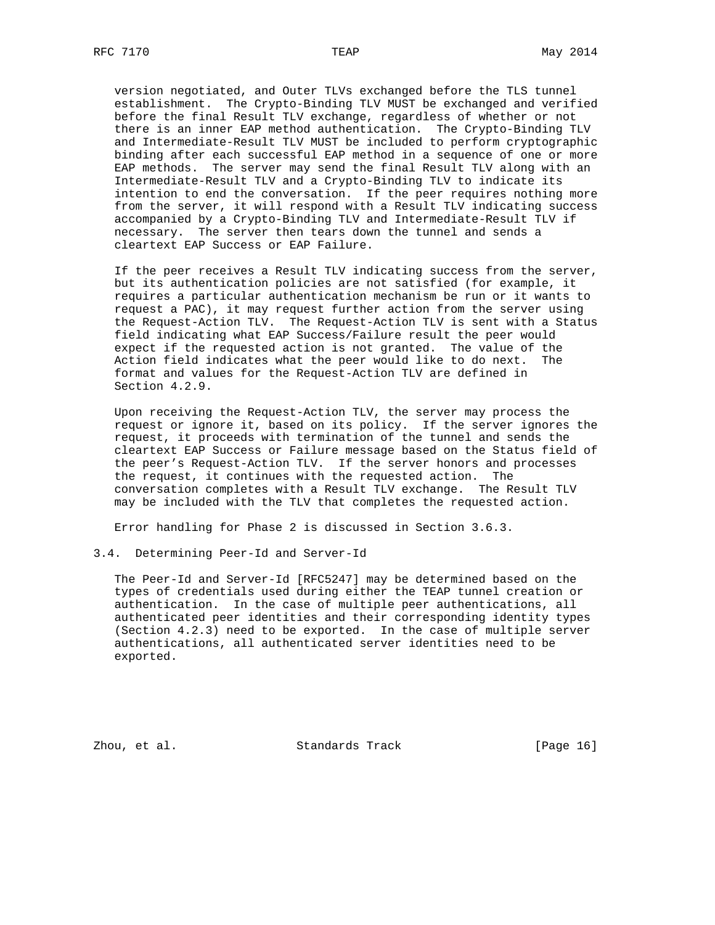version negotiated, and Outer TLVs exchanged before the TLS tunnel establishment. The Crypto-Binding TLV MUST be exchanged and verified before the final Result TLV exchange, regardless of whether or not there is an inner EAP method authentication. The Crypto-Binding TLV and Intermediate-Result TLV MUST be included to perform cryptographic binding after each successful EAP method in a sequence of one or more EAP methods. The server may send the final Result TLV along with an Intermediate-Result TLV and a Crypto-Binding TLV to indicate its intention to end the conversation. If the peer requires nothing more from the server, it will respond with a Result TLV indicating success accompanied by a Crypto-Binding TLV and Intermediate-Result TLV if necessary. The server then tears down the tunnel and sends a cleartext EAP Success or EAP Failure.

 If the peer receives a Result TLV indicating success from the server, but its authentication policies are not satisfied (for example, it requires a particular authentication mechanism be run or it wants to request a PAC), it may request further action from the server using the Request-Action TLV. The Request-Action TLV is sent with a Status field indicating what EAP Success/Failure result the peer would expect if the requested action is not granted. The value of the Action field indicates what the peer would like to do next. The format and values for the Request-Action TLV are defined in Section 4.2.9.

 Upon receiving the Request-Action TLV, the server may process the request or ignore it, based on its policy. If the server ignores the request, it proceeds with termination of the tunnel and sends the cleartext EAP Success or Failure message based on the Status field of the peer's Request-Action TLV. If the server honors and processes the request, it continues with the requested action. The conversation completes with a Result TLV exchange. The Result TLV may be included with the TLV that completes the requested action.

Error handling for Phase 2 is discussed in Section 3.6.3.

# 3.4. Determining Peer-Id and Server-Id

 The Peer-Id and Server-Id [RFC5247] may be determined based on the types of credentials used during either the TEAP tunnel creation or authentication. In the case of multiple peer authentications, all authenticated peer identities and their corresponding identity types (Section 4.2.3) need to be exported. In the case of multiple server authentications, all authenticated server identities need to be exported.

Zhou, et al. Standards Track [Page 16]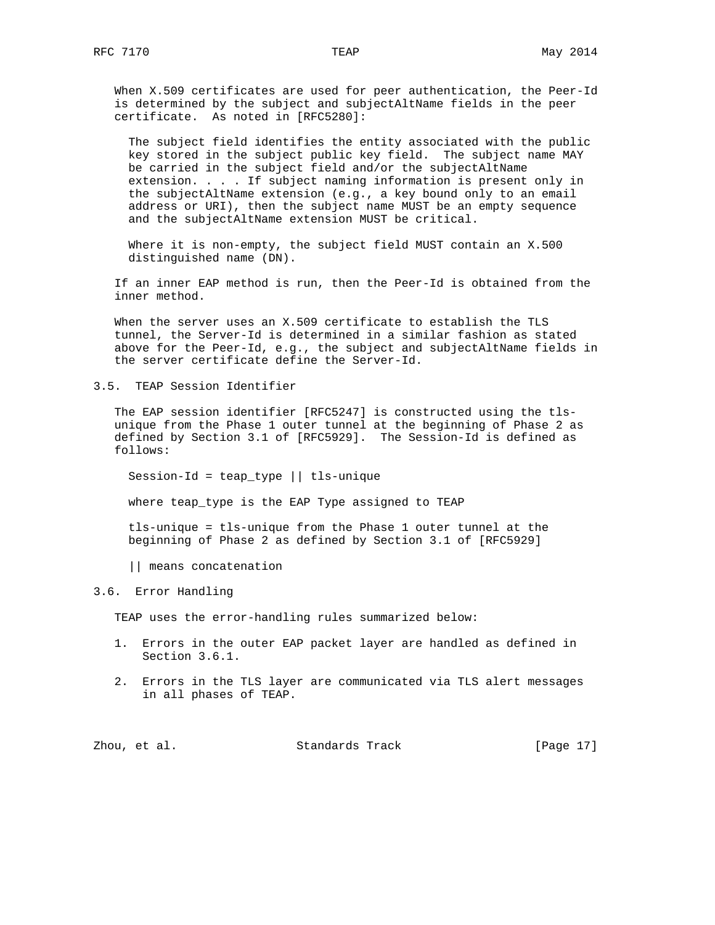When X.509 certificates are used for peer authentication, the Peer-Id is determined by the subject and subjectAltName fields in the peer certificate. As noted in [RFC5280]:

 The subject field identifies the entity associated with the public key stored in the subject public key field. The subject name MAY be carried in the subject field and/or the subjectAltName extension. . . . If subject naming information is present only in the subjectAltName extension (e.g., a key bound only to an email address or URI), then the subject name MUST be an empty sequence and the subjectAltName extension MUST be critical.

 Where it is non-empty, the subject field MUST contain an X.500 distinguished name (DN).

 If an inner EAP method is run, then the Peer-Id is obtained from the inner method.

 When the server uses an X.509 certificate to establish the TLS tunnel, the Server-Id is determined in a similar fashion as stated above for the Peer-Id, e.g., the subject and subjectAltName fields in the server certificate define the Server-Id.

3.5. TEAP Session Identifier

 The EAP session identifier [RFC5247] is constructed using the tls unique from the Phase 1 outer tunnel at the beginning of Phase 2 as defined by Section 3.1 of [RFC5929]. The Session-Id is defined as follows:

Session-Id = teap\_type || tls-unique

where teap\_type is the EAP Type assigned to TEAP

 tls-unique = tls-unique from the Phase 1 outer tunnel at the beginning of Phase 2 as defined by Section 3.1 of [RFC5929]

|| means concatenation

# 3.6. Error Handling

TEAP uses the error-handling rules summarized below:

- 1. Errors in the outer EAP packet layer are handled as defined in Section 3.6.1.
- 2. Errors in the TLS layer are communicated via TLS alert messages in all phases of TEAP.

|  | Zhou, et al. | Standards Track | [Page 17] |  |  |
|--|--------------|-----------------|-----------|--|--|
|--|--------------|-----------------|-----------|--|--|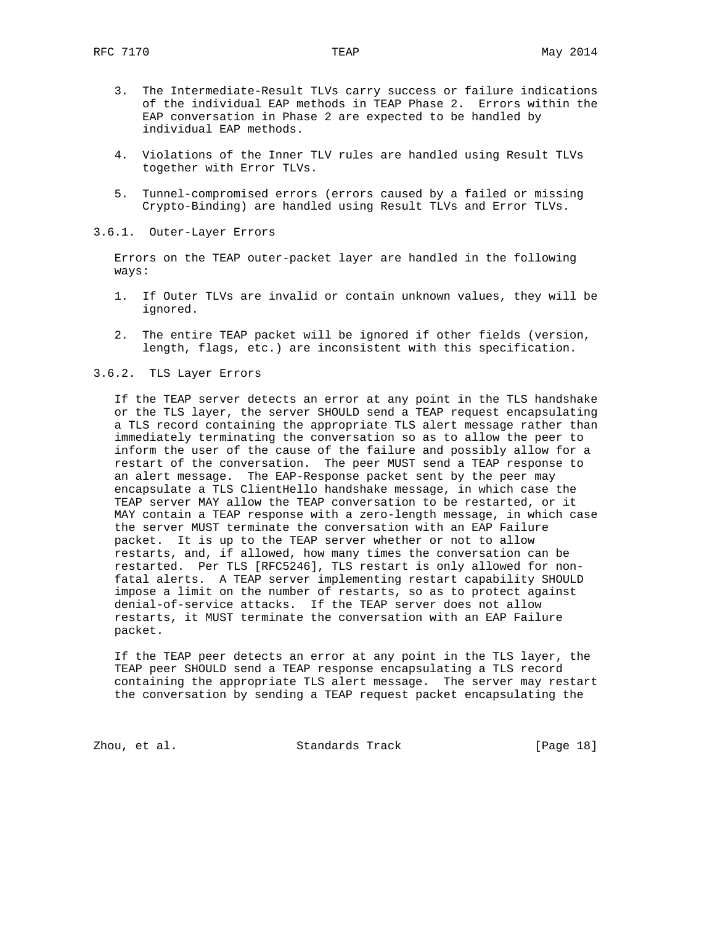- 3. The Intermediate-Result TLVs carry success or failure indications of the individual EAP methods in TEAP Phase 2. Errors within the EAP conversation in Phase 2 are expected to be handled by individual EAP methods.
- 4. Violations of the Inner TLV rules are handled using Result TLVs together with Error TLVs.
- 5. Tunnel-compromised errors (errors caused by a failed or missing Crypto-Binding) are handled using Result TLVs and Error TLVs.
- 3.6.1. Outer-Layer Errors

 Errors on the TEAP outer-packet layer are handled in the following ways:

- 1. If Outer TLVs are invalid or contain unknown values, they will be ignored.
- 2. The entire TEAP packet will be ignored if other fields (version, length, flags, etc.) are inconsistent with this specification.
- 3.6.2. TLS Layer Errors

 If the TEAP server detects an error at any point in the TLS handshake or the TLS layer, the server SHOULD send a TEAP request encapsulating a TLS record containing the appropriate TLS alert message rather than immediately terminating the conversation so as to allow the peer to inform the user of the cause of the failure and possibly allow for a restart of the conversation. The peer MUST send a TEAP response to an alert message. The EAP-Response packet sent by the peer may encapsulate a TLS ClientHello handshake message, in which case the TEAP server MAY allow the TEAP conversation to be restarted, or it MAY contain a TEAP response with a zero-length message, in which case the server MUST terminate the conversation with an EAP Failure packet. It is up to the TEAP server whether or not to allow restarts, and, if allowed, how many times the conversation can be restarted. Per TLS [RFC5246], TLS restart is only allowed for non fatal alerts. A TEAP server implementing restart capability SHOULD impose a limit on the number of restarts, so as to protect against denial-of-service attacks. If the TEAP server does not allow restarts, it MUST terminate the conversation with an EAP Failure packet.

 If the TEAP peer detects an error at any point in the TLS layer, the TEAP peer SHOULD send a TEAP response encapsulating a TLS record containing the appropriate TLS alert message. The server may restart the conversation by sending a TEAP request packet encapsulating the

Zhou, et al. Standards Track [Page 18]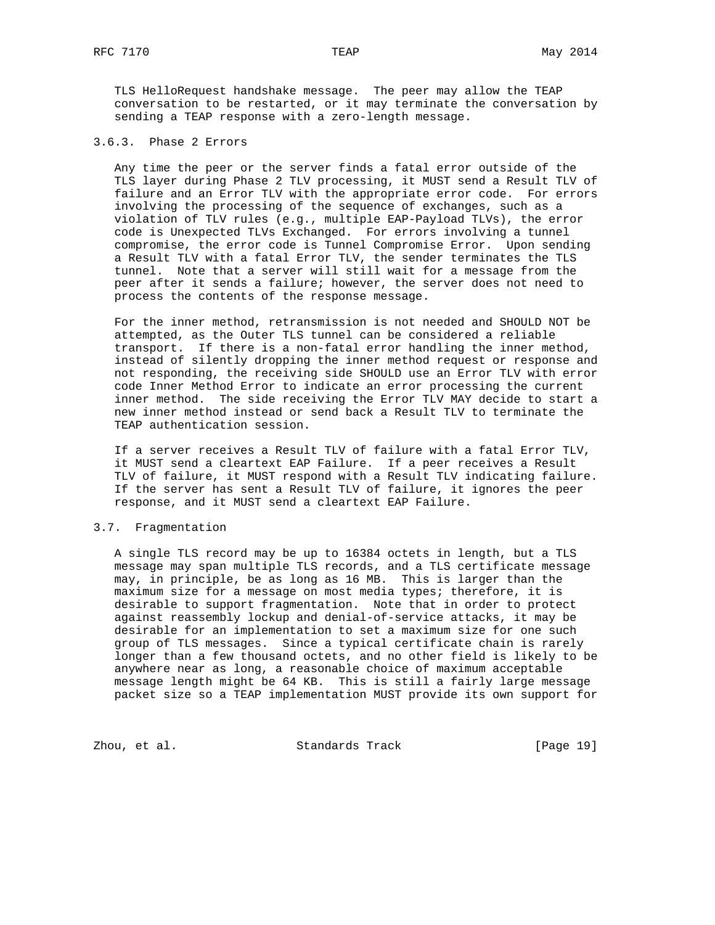TLS HelloRequest handshake message. The peer may allow the TEAP conversation to be restarted, or it may terminate the conversation by sending a TEAP response with a zero-length message.

#### 3.6.3. Phase 2 Errors

 Any time the peer or the server finds a fatal error outside of the TLS layer during Phase 2 TLV processing, it MUST send a Result TLV of failure and an Error TLV with the appropriate error code. For errors involving the processing of the sequence of exchanges, such as a violation of TLV rules (e.g., multiple EAP-Payload TLVs), the error code is Unexpected TLVs Exchanged. For errors involving a tunnel compromise, the error code is Tunnel Compromise Error. Upon sending a Result TLV with a fatal Error TLV, the sender terminates the TLS tunnel. Note that a server will still wait for a message from the peer after it sends a failure; however, the server does not need to process the contents of the response message.

 For the inner method, retransmission is not needed and SHOULD NOT be attempted, as the Outer TLS tunnel can be considered a reliable transport. If there is a non-fatal error handling the inner method, instead of silently dropping the inner method request or response and not responding, the receiving side SHOULD use an Error TLV with error code Inner Method Error to indicate an error processing the current inner method. The side receiving the Error TLV MAY decide to start a new inner method instead or send back a Result TLV to terminate the TEAP authentication session.

 If a server receives a Result TLV of failure with a fatal Error TLV, it MUST send a cleartext EAP Failure. If a peer receives a Result TLV of failure, it MUST respond with a Result TLV indicating failure. If the server has sent a Result TLV of failure, it ignores the peer response, and it MUST send a cleartext EAP Failure.

#### 3.7. Fragmentation

 A single TLS record may be up to 16384 octets in length, but a TLS message may span multiple TLS records, and a TLS certificate message may, in principle, be as long as 16 MB. This is larger than the maximum size for a message on most media types; therefore, it is desirable to support fragmentation. Note that in order to protect against reassembly lockup and denial-of-service attacks, it may be desirable for an implementation to set a maximum size for one such group of TLS messages. Since a typical certificate chain is rarely longer than a few thousand octets, and no other field is likely to be anywhere near as long, a reasonable choice of maximum acceptable message length might be 64 KB. This is still a fairly large message packet size so a TEAP implementation MUST provide its own support for

Zhou, et al. Standards Track [Page 19]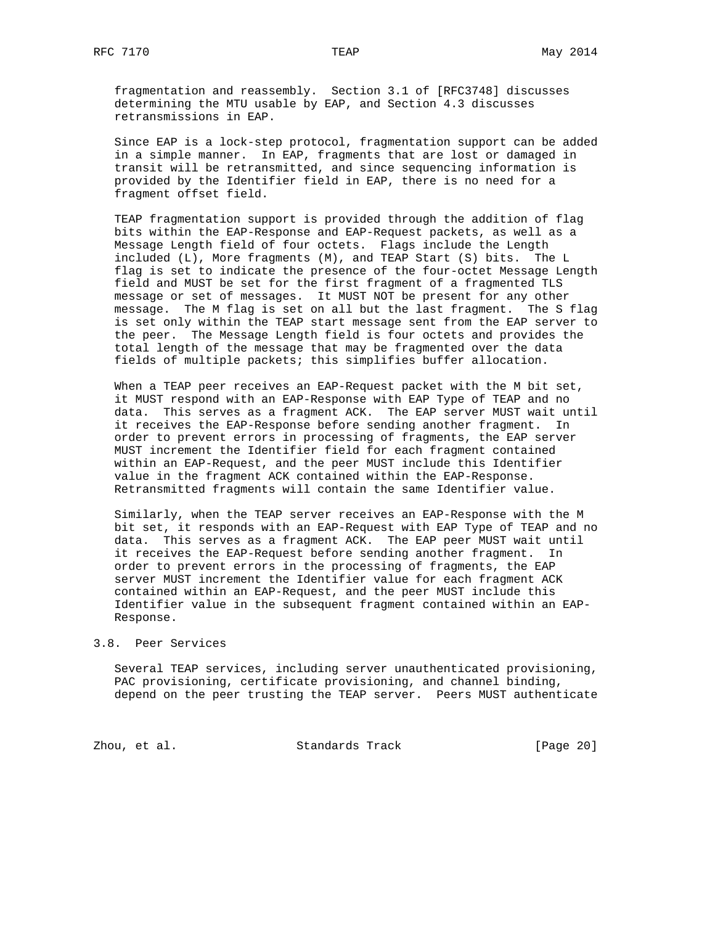fragmentation and reassembly. Section 3.1 of [RFC3748] discusses determining the MTU usable by EAP, and Section 4.3 discusses retransmissions in EAP.

 Since EAP is a lock-step protocol, fragmentation support can be added in a simple manner. In EAP, fragments that are lost or damaged in transit will be retransmitted, and since sequencing information is provided by the Identifier field in EAP, there is no need for a fragment offset field.

 TEAP fragmentation support is provided through the addition of flag bits within the EAP-Response and EAP-Request packets, as well as a Message Length field of four octets. Flags include the Length included (L), More fragments (M), and TEAP Start (S) bits. The L flag is set to indicate the presence of the four-octet Message Length field and MUST be set for the first fragment of a fragmented TLS message or set of messages. It MUST NOT be present for any other message. The M flag is set on all but the last fragment. The S flag is set only within the TEAP start message sent from the EAP server to the peer. The Message Length field is four octets and provides the total length of the message that may be fragmented over the data fields of multiple packets; this simplifies buffer allocation.

 When a TEAP peer receives an EAP-Request packet with the M bit set, it MUST respond with an EAP-Response with EAP Type of TEAP and no data. This serves as a fragment ACK. The EAP server MUST wait until it receives the EAP-Response before sending another fragment. In order to prevent errors in processing of fragments, the EAP server MUST increment the Identifier field for each fragment contained within an EAP-Request, and the peer MUST include this Identifier value in the fragment ACK contained within the EAP-Response. Retransmitted fragments will contain the same Identifier value.

 Similarly, when the TEAP server receives an EAP-Response with the M bit set, it responds with an EAP-Request with EAP Type of TEAP and no data. This serves as a fragment ACK. The EAP peer MUST wait until it receives the EAP-Request before sending another fragment. In order to prevent errors in the processing of fragments, the EAP server MUST increment the Identifier value for each fragment ACK contained within an EAP-Request, and the peer MUST include this Identifier value in the subsequent fragment contained within an EAP- Response.

#### 3.8. Peer Services

 Several TEAP services, including server unauthenticated provisioning, PAC provisioning, certificate provisioning, and channel binding, depend on the peer trusting the TEAP server. Peers MUST authenticate

Zhou, et al. Standards Track [Page 20]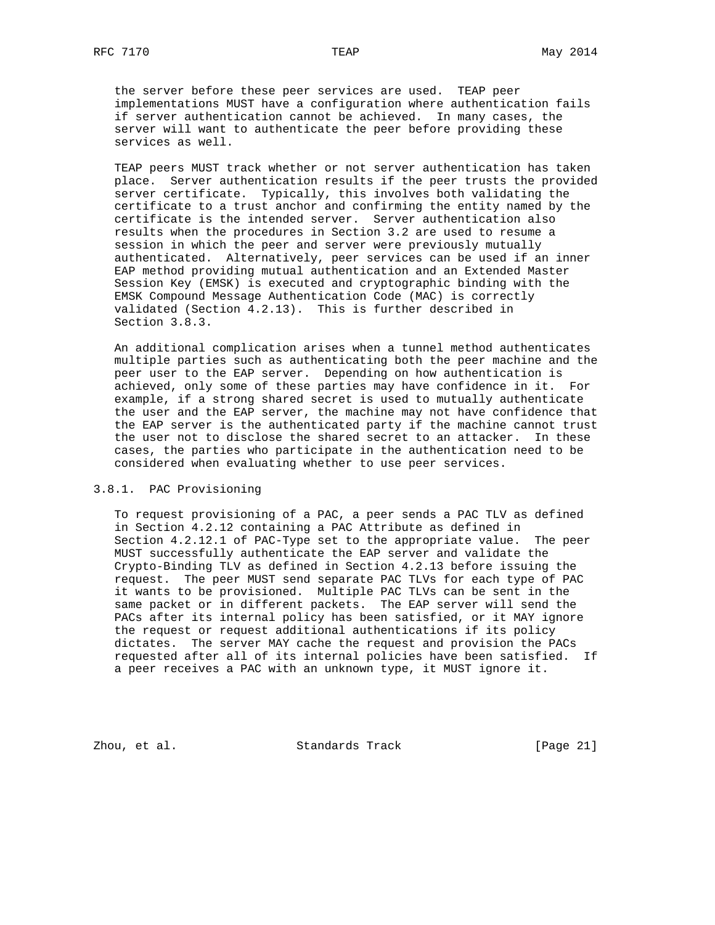the server before these peer services are used. TEAP peer implementations MUST have a configuration where authentication fails if server authentication cannot be achieved. In many cases, the server will want to authenticate the peer before providing these services as well.

 TEAP peers MUST track whether or not server authentication has taken place. Server authentication results if the peer trusts the provided server certificate. Typically, this involves both validating the certificate to a trust anchor and confirming the entity named by the certificate is the intended server. Server authentication also results when the procedures in Section 3.2 are used to resume a session in which the peer and server were previously mutually authenticated. Alternatively, peer services can be used if an inner EAP method providing mutual authentication and an Extended Master Session Key (EMSK) is executed and cryptographic binding with the EMSK Compound Message Authentication Code (MAC) is correctly validated (Section 4.2.13). This is further described in Section 3.8.3.

 An additional complication arises when a tunnel method authenticates multiple parties such as authenticating both the peer machine and the peer user to the EAP server. Depending on how authentication is achieved, only some of these parties may have confidence in it. For example, if a strong shared secret is used to mutually authenticate the user and the EAP server, the machine may not have confidence that the EAP server is the authenticated party if the machine cannot trust the user not to disclose the shared secret to an attacker. In these cases, the parties who participate in the authentication need to be considered when evaluating whether to use peer services.

# 3.8.1. PAC Provisioning

 To request provisioning of a PAC, a peer sends a PAC TLV as defined in Section 4.2.12 containing a PAC Attribute as defined in Section 4.2.12.1 of PAC-Type set to the appropriate value. The peer MUST successfully authenticate the EAP server and validate the Crypto-Binding TLV as defined in Section 4.2.13 before issuing the request. The peer MUST send separate PAC TLVs for each type of PAC it wants to be provisioned. Multiple PAC TLVs can be sent in the same packet or in different packets. The EAP server will send the PACs after its internal policy has been satisfied, or it MAY ignore the request or request additional authentications if its policy dictates. The server MAY cache the request and provision the PACs requested after all of its internal policies have been satisfied. If a peer receives a PAC with an unknown type, it MUST ignore it.

Zhou, et al. Standards Track [Page 21]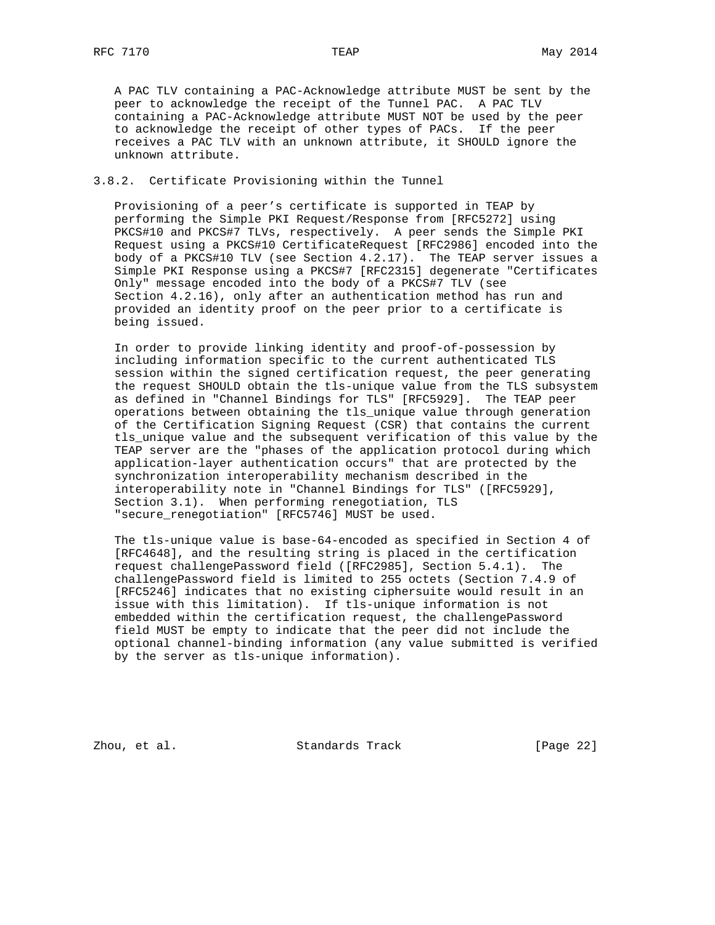A PAC TLV containing a PAC-Acknowledge attribute MUST be sent by the peer to acknowledge the receipt of the Tunnel PAC. A PAC TLV containing a PAC-Acknowledge attribute MUST NOT be used by the peer to acknowledge the receipt of other types of PACs. If the peer receives a PAC TLV with an unknown attribute, it SHOULD ignore the unknown attribute.

#### 3.8.2. Certificate Provisioning within the Tunnel

 Provisioning of a peer's certificate is supported in TEAP by performing the Simple PKI Request/Response from [RFC5272] using PKCS#10 and PKCS#7 TLVs, respectively. A peer sends the Simple PKI Request using a PKCS#10 CertificateRequest [RFC2986] encoded into the body of a PKCS#10 TLV (see Section 4.2.17). The TEAP server issues a Simple PKI Response using a PKCS#7 [RFC2315] degenerate "Certificates Only" message encoded into the body of a PKCS#7 TLV (see Section 4.2.16), only after an authentication method has run and provided an identity proof on the peer prior to a certificate is being issued.

 In order to provide linking identity and proof-of-possession by including information specific to the current authenticated TLS session within the signed certification request, the peer generating the request SHOULD obtain the tls-unique value from the TLS subsystem as defined in "Channel Bindings for TLS" [RFC5929]. The TEAP peer operations between obtaining the tls\_unique value through generation of the Certification Signing Request (CSR) that contains the current tls\_unique value and the subsequent verification of this value by the TEAP server are the "phases of the application protocol during which application-layer authentication occurs" that are protected by the synchronization interoperability mechanism described in the interoperability note in "Channel Bindings for TLS" ([RFC5929], Section 3.1). When performing renegotiation, TLS "secure\_renegotiation" [RFC5746] MUST be used.

 The tls-unique value is base-64-encoded as specified in Section 4 of [RFC4648], and the resulting string is placed in the certification request challengePassword field ([RFC2985], Section 5.4.1). The challengePassword field is limited to 255 octets (Section 7.4.9 of [RFC5246] indicates that no existing ciphersuite would result in an issue with this limitation). If tls-unique information is not embedded within the certification request, the challengePassword field MUST be empty to indicate that the peer did not include the optional channel-binding information (any value submitted is verified by the server as tls-unique information).

Zhou, et al. Standards Track [Page 22]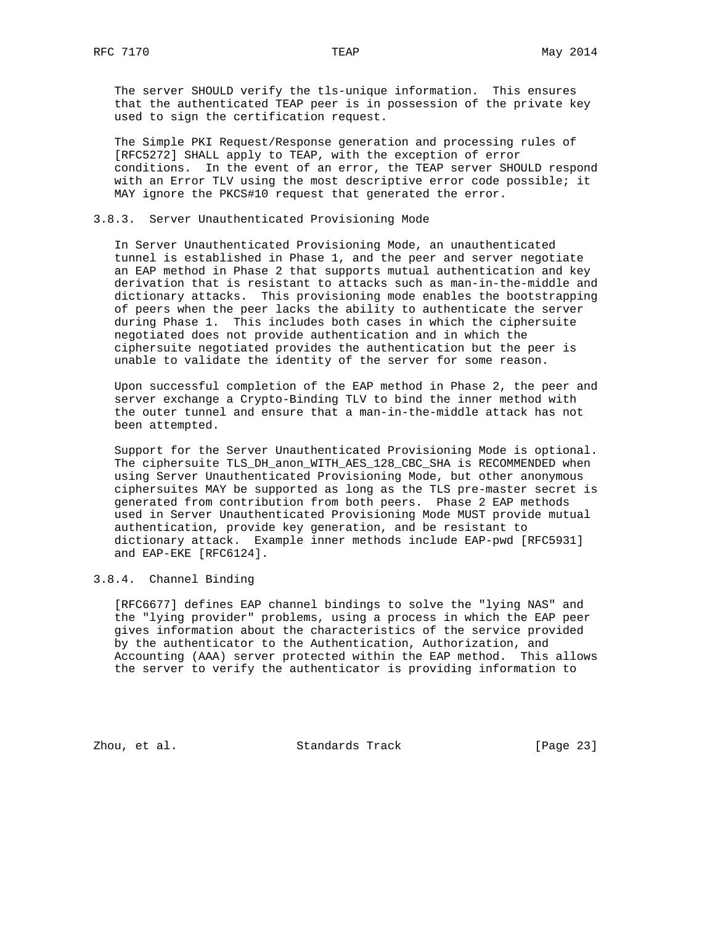The server SHOULD verify the tls-unique information. This ensures that the authenticated TEAP peer is in possession of the private key used to sign the certification request.

 The Simple PKI Request/Response generation and processing rules of [RFC5272] SHALL apply to TEAP, with the exception of error conditions. In the event of an error, the TEAP server SHOULD respond with an Error TLV using the most descriptive error code possible; it MAY ignore the PKCS#10 request that generated the error.

## 3.8.3. Server Unauthenticated Provisioning Mode

 In Server Unauthenticated Provisioning Mode, an unauthenticated tunnel is established in Phase 1, and the peer and server negotiate an EAP method in Phase 2 that supports mutual authentication and key derivation that is resistant to attacks such as man-in-the-middle and dictionary attacks. This provisioning mode enables the bootstrapping of peers when the peer lacks the ability to authenticate the server during Phase 1. This includes both cases in which the ciphersuite negotiated does not provide authentication and in which the ciphersuite negotiated provides the authentication but the peer is unable to validate the identity of the server for some reason.

 Upon successful completion of the EAP method in Phase 2, the peer and server exchange a Crypto-Binding TLV to bind the inner method with the outer tunnel and ensure that a man-in-the-middle attack has not been attempted.

 Support for the Server Unauthenticated Provisioning Mode is optional. The ciphersuite TLS\_DH\_anon\_WITH\_AES\_128\_CBC\_SHA is RECOMMENDED when using Server Unauthenticated Provisioning Mode, but other anonymous ciphersuites MAY be supported as long as the TLS pre-master secret is generated from contribution from both peers. Phase 2 EAP methods used in Server Unauthenticated Provisioning Mode MUST provide mutual authentication, provide key generation, and be resistant to dictionary attack. Example inner methods include EAP-pwd [RFC5931] and EAP-EKE [RFC6124].

## 3.8.4. Channel Binding

 [RFC6677] defines EAP channel bindings to solve the "lying NAS" and the "lying provider" problems, using a process in which the EAP peer gives information about the characteristics of the service provided by the authenticator to the Authentication, Authorization, and Accounting (AAA) server protected within the EAP method. This allows the server to verify the authenticator is providing information to

Zhou, et al. Standards Track [Page 23]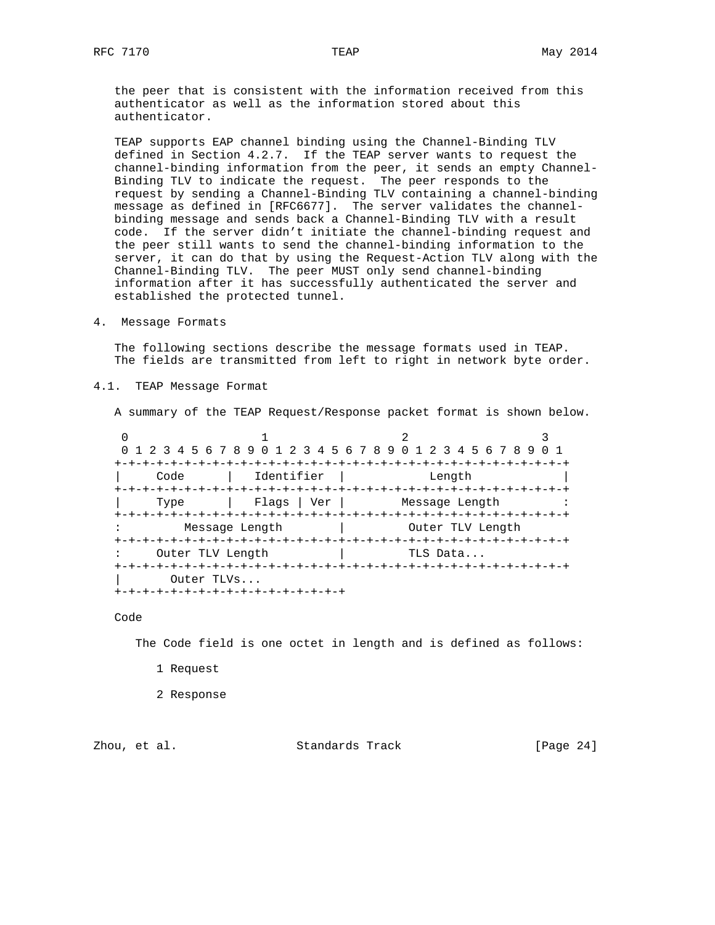the peer that is consistent with the information received from this authenticator as well as the information stored about this authenticator.

 TEAP supports EAP channel binding using the Channel-Binding TLV defined in Section 4.2.7. If the TEAP server wants to request the channel-binding information from the peer, it sends an empty Channel- Binding TLV to indicate the request. The peer responds to the request by sending a Channel-Binding TLV containing a channel-binding message as defined in [RFC6677]. The server validates the channel binding message and sends back a Channel-Binding TLV with a result code. If the server didn't initiate the channel-binding request and the peer still wants to send the channel-binding information to the server, it can do that by using the Request-Action TLV along with the Channel-Binding TLV. The peer MUST only send channel-binding information after it has successfully authenticated the server and established the protected tunnel.

4. Message Formats

 The following sections describe the message formats used in TEAP. The fields are transmitted from left to right in network byte order.

4.1. TEAP Message Format

A summary of the TEAP Request/Response packet format is shown below.

|                  |                                   | 0 1 2 3 4 5 6 7 8 9 0 1 2 3 4 5 6 7 8 9 0 1 2 3 4 5 6 7 8 9 |  |
|------------------|-----------------------------------|-------------------------------------------------------------|--|
|                  |                                   |                                                             |  |
| Code             | Identifier                        | Length                                                      |  |
|                  |                                   |                                                             |  |
| Type             |                                   | Flags   Ver       Message Length                            |  |
|                  |                                   |                                                             |  |
|                  | Message Length                    | Outer TLV Length                                            |  |
|                  |                                   |                                                             |  |
| Outer TLV Length |                                   | TLS Data                                                    |  |
|                  |                                   |                                                             |  |
| Outer TLVs       |                                   |                                                             |  |
|                  | -+-+-+-+-+-+-+-+-+-+-+-+-+-+-+-+- |                                                             |  |

Code

The Code field is one octet in length and is defined as follows:

- 1 Request
- 2 Response

Zhou, et al. Standards Track [Page 24]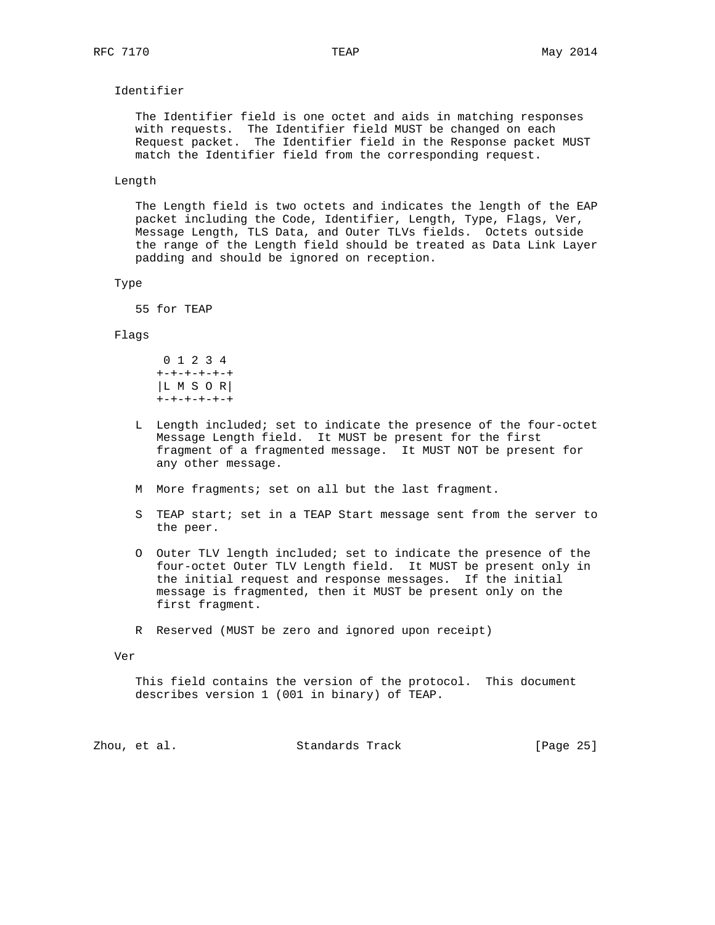# Identifier

 The Identifier field is one octet and aids in matching responses with requests. The Identifier field MUST be changed on each Request packet. The Identifier field in the Response packet MUST match the Identifier field from the corresponding request.

#### Length

 The Length field is two octets and indicates the length of the EAP packet including the Code, Identifier, Length, Type, Flags, Ver, Message Length, TLS Data, and Outer TLVs fields. Octets outside the range of the Length field should be treated as Data Link Layer padding and should be ignored on reception.

#### Type

55 for TEAP

#### Flags

 0 1 2 3 4 +-+-+-+-+-+ |L M S O R| +-+-+-+-+-+

- L Length included; set to indicate the presence of the four-octet Message Length field. It MUST be present for the first fragment of a fragmented message. It MUST NOT be present for any other message.
- M More fragments; set on all but the last fragment.
- S TEAP start; set in a TEAP Start message sent from the server to the peer.
- O Outer TLV length included; set to indicate the presence of the four-octet Outer TLV Length field. It MUST be present only in the initial request and response messages. If the initial message is fragmented, then it MUST be present only on the first fragment.
- R Reserved (MUST be zero and ignored upon receipt)

Ver

 This field contains the version of the protocol. This document describes version 1 (001 in binary) of TEAP.

| [Page 25] |
|-----------|
|           |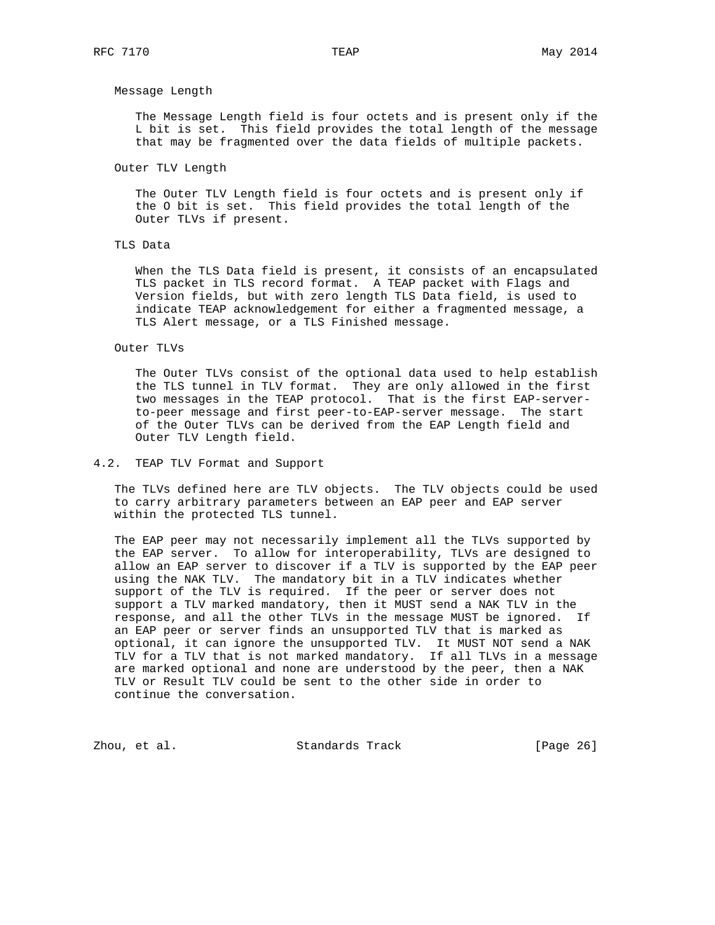#### Message Length

 The Message Length field is four octets and is present only if the L bit is set. This field provides the total length of the message that may be fragmented over the data fields of multiple packets.

Outer TLV Length

 The Outer TLV Length field is four octets and is present only if the O bit is set. This field provides the total length of the Outer TLVs if present.

## TLS Data

 When the TLS Data field is present, it consists of an encapsulated TLS packet in TLS record format. A TEAP packet with Flags and Version fields, but with zero length TLS Data field, is used to indicate TEAP acknowledgement for either a fragmented message, a TLS Alert message, or a TLS Finished message.

#### Outer TLVs

 The Outer TLVs consist of the optional data used to help establish the TLS tunnel in TLV format. They are only allowed in the first two messages in the TEAP protocol. That is the first EAP-server to-peer message and first peer-to-EAP-server message. The start of the Outer TLVs can be derived from the EAP Length field and Outer TLV Length field.

# 4.2. TEAP TLV Format and Support

 The TLVs defined here are TLV objects. The TLV objects could be used to carry arbitrary parameters between an EAP peer and EAP server within the protected TLS tunnel.

 The EAP peer may not necessarily implement all the TLVs supported by the EAP server. To allow for interoperability, TLVs are designed to allow an EAP server to discover if a TLV is supported by the EAP peer using the NAK TLV. The mandatory bit in a TLV indicates whether support of the TLV is required. If the peer or server does not support a TLV marked mandatory, then it MUST send a NAK TLV in the response, and all the other TLVs in the message MUST be ignored. If an EAP peer or server finds an unsupported TLV that is marked as optional, it can ignore the unsupported TLV. It MUST NOT send a NAK TLV for a TLV that is not marked mandatory. If all TLVs in a message are marked optional and none are understood by the peer, then a NAK TLV or Result TLV could be sent to the other side in order to continue the conversation.

Zhou, et al. Standards Track [Page 26]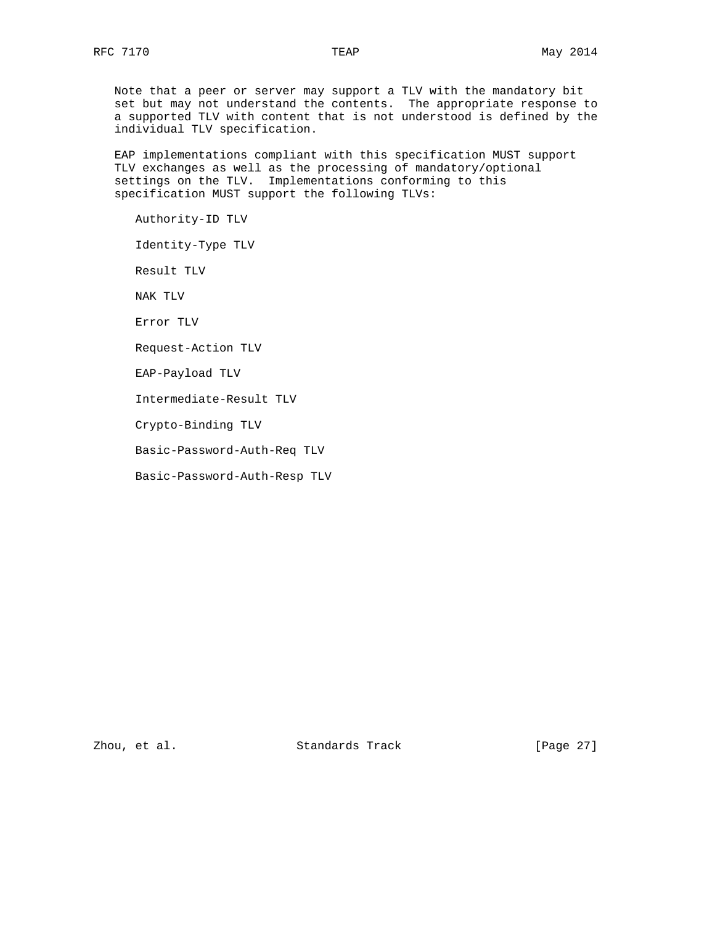Note that a peer or server may support a TLV with the mandatory bit set but may not understand the contents. The appropriate response to a supported TLV with content that is not understood is defined by the individual TLV specification.

 EAP implementations compliant with this specification MUST support TLV exchanges as well as the processing of mandatory/optional settings on the TLV. Implementations conforming to this specification MUST support the following TLVs:

Authority-ID TLV

Identity-Type TLV

Result TLV

NAK TLV

Error TLV

Request-Action TLV

EAP-Payload TLV

Intermediate-Result TLV

Crypto-Binding TLV

Basic-Password-Auth-Req TLV

Basic-Password-Auth-Resp TLV

Zhou, et al. Standards Track [Page 27]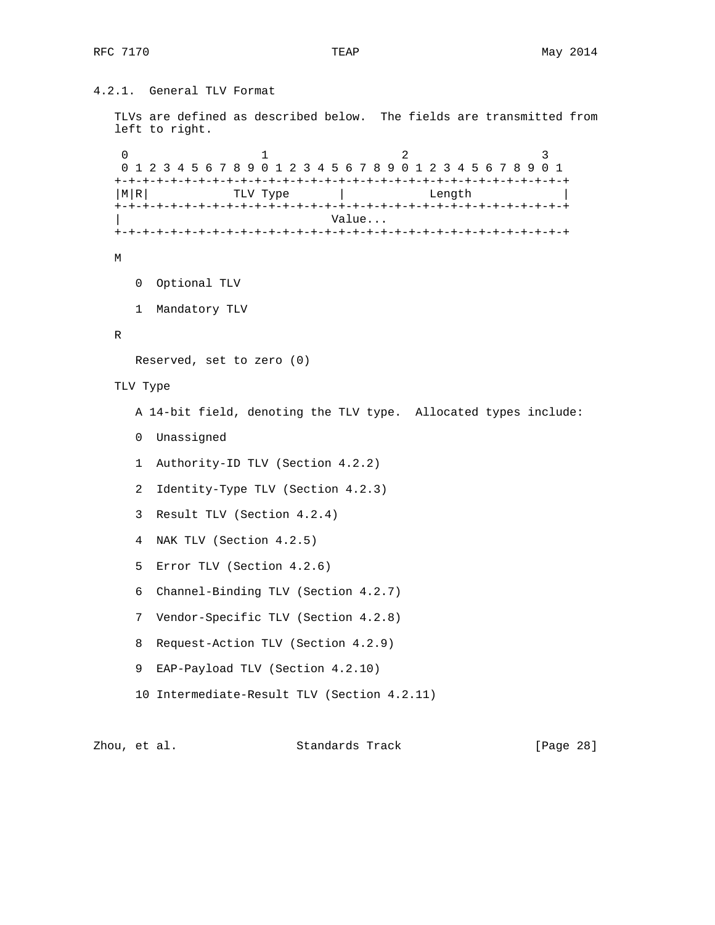```
4.2.1. General TLV Format
   TLVs are defined as described below. The fields are transmitted from
   left to right.
0 1 2 3
    0 1 2 3 4 5 6 7 8 9 0 1 2 3 4 5 6 7 8 9 0 1 2 3 4 5 6 7 8 9 0 1
   +-+-+-+-+-+-+-+-+-+-+-+-+-+-+-+-+-+-+-+-+-+-+-+-+-+-+-+-+-+-+-+-+
  | M|R| TLV Type | Length
   +-+-+-+-+-+-+-+-+-+-+-+-+-+-+-+-+-+-+-+-+-+-+-+-+-+-+-+-+-+-+-+-+
                                | Value...
   +-+-+-+-+-+-+-+-+-+-+-+-+-+-+-+-+-+-+-+-+-+-+-+-+-+-+-+-+-+-+-+-+
   M
      0 Optional TLV
      1 Mandatory TLV
   R
      Reserved, set to zero (0)
   TLV Type
      A 14-bit field, denoting the TLV type. Allocated types include:
      0 Unassigned
      1 Authority-ID TLV (Section 4.2.2)
      2 Identity-Type TLV (Section 4.2.3)
      3 Result TLV (Section 4.2.4)
      4 NAK TLV (Section 4.2.5)
      5 Error TLV (Section 4.2.6)
      6 Channel-Binding TLV (Section 4.2.7)
      7 Vendor-Specific TLV (Section 4.2.8)
      8 Request-Action TLV (Section 4.2.9)
      9 EAP-Payload TLV (Section 4.2.10)
      10 Intermediate-Result TLV (Section 4.2.11)
```

| Zhou, et al. |  | Standards Track | [Page 28] |  |
|--------------|--|-----------------|-----------|--|
|              |  |                 |           |  |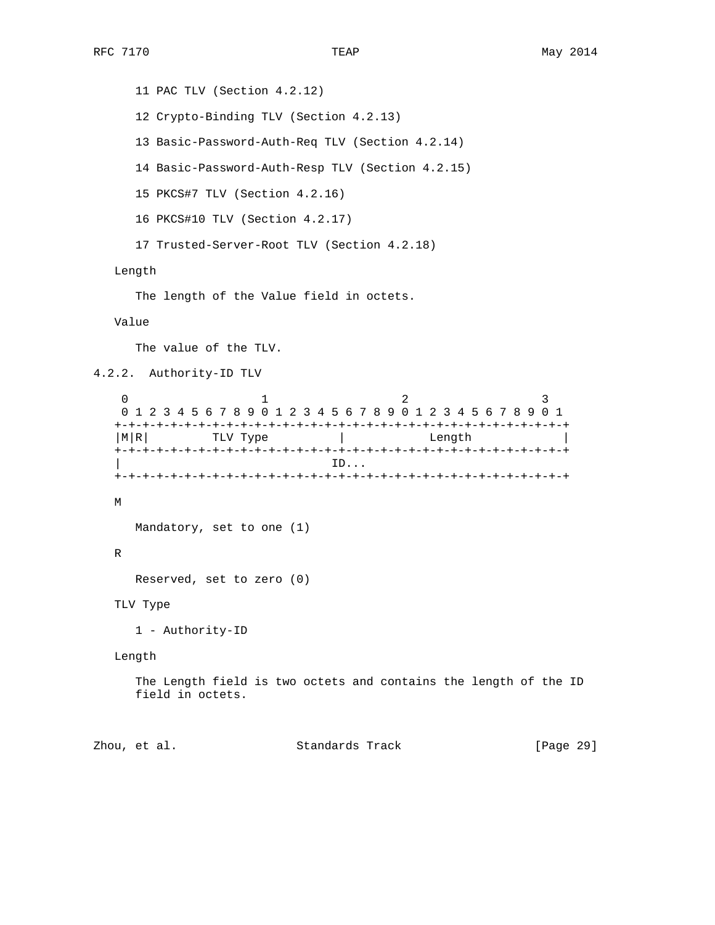11 PAC TLV (Section 4.2.12) 12 Crypto-Binding TLV (Section 4.2.13) 13 Basic-Password-Auth-Req TLV (Section 4.2.14) 14 Basic-Password-Auth-Resp TLV (Section 4.2.15) 15 PKCS#7 TLV (Section 4.2.16) 16 PKCS#10 TLV (Section 4.2.17) 17 Trusted-Server-Root TLV (Section 4.2.18) Length The length of the Value field in octets. Value The value of the TLV. 4.2.2. Authority-ID TLV 0  $1$  2 3 0 1 2 3 4 5 6 7 8 9 0 1 2 3 4 5 6 7 8 9 0 1 2 3 4 5 6 7 8 9 0 1 +-+-+-+-+-+-+-+-+-+-+-+-+-+-+-+-+-+-+-+-+-+-+-+-+-+-+-+-+-+-+-+-+ | M|R| TLV Type | Length +-+-+-+-+-+-+-+-+-+-+-+-+-+-+-+-+-+-+-+-+-+-+-+-+-+-+-+-+-+-+-+-+ | ID... +-+-+-+-+-+-+-+-+-+-+-+-+-+-+-+-+-+-+-+-+-+-+-+-+-+-+-+-+-+-+-+-+ M Mandatory, set to one (1) R Reserved, set to zero (0) TLV Type 1 - Authority-ID Length The Length field is two octets and contains the length of the ID field in octets.

Zhou, et al. Standards Track [Page 29]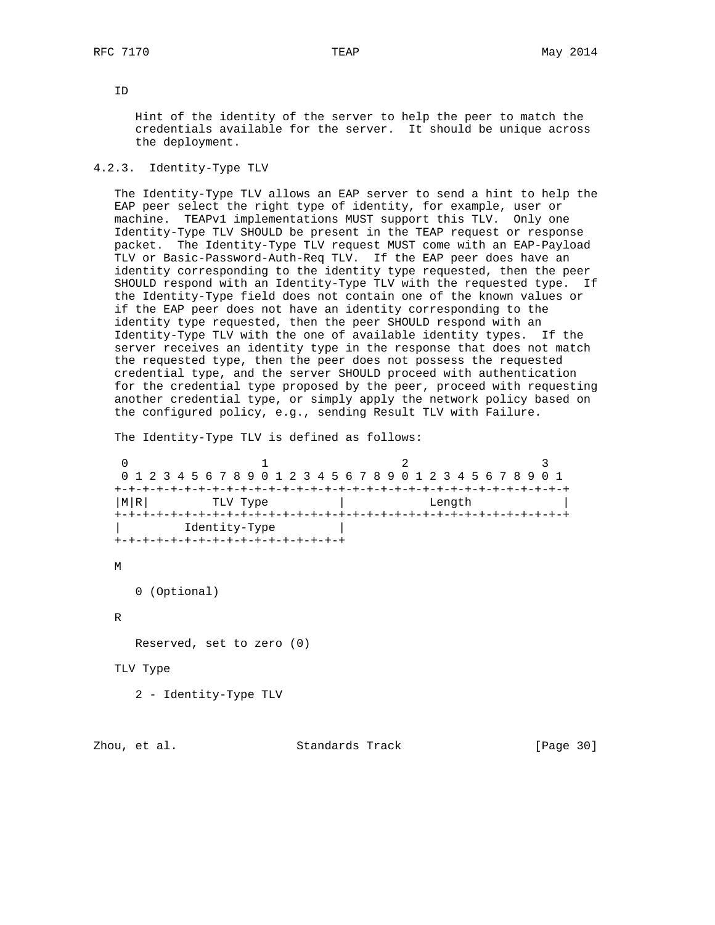ID

 Hint of the identity of the server to help the peer to match the credentials available for the server. It should be unique across the deployment.

#### 4.2.3. Identity-Type TLV

 The Identity-Type TLV allows an EAP server to send a hint to help the EAP peer select the right type of identity, for example, user or machine. TEAPv1 implementations MUST support this TLV. Only one Identity-Type TLV SHOULD be present in the TEAP request or response packet. The Identity-Type TLV request MUST come with an EAP-Payload TLV or Basic-Password-Auth-Req TLV. If the EAP peer does have an identity corresponding to the identity type requested, then the peer SHOULD respond with an Identity-Type TLV with the requested type. If the Identity-Type field does not contain one of the known values or if the EAP peer does not have an identity corresponding to the identity type requested, then the peer SHOULD respond with an Identity-Type TLV with the one of available identity types. If the server receives an identity type in the response that does not match the requested type, then the peer does not possess the requested credential type, and the server SHOULD proceed with authentication for the credential type proposed by the peer, proceed with requesting another credential type, or simply apply the network policy based on the configured policy, e.g., sending Result TLV with Failure.

The Identity-Type TLV is defined as follows:

0  $1$  2 3 0 1 2 3 4 5 6 7 8 9 0 1 2 3 4 5 6 7 8 9 0 1 2 3 4 5 6 7 8 9 0 1 +-+-+-+-+-+-+-+-+-+-+-+-+-+-+-+-+-+-+-+-+-+-+-+-+-+-+-+-+-+-+-+-+ | M|R| TLV Type | Length +-+-+-+-+-+-+-+-+-+-+-+-+-+-+-+-+-+-+-+-+-+-+-+-+-+-+-+-+-+-+-+-+ | Identity-Type | +-+-+-+-+-+-+-+-+-+-+-+-+-+-+-+-+

M

0 (Optional)

R

Reserved, set to zero (0)

TLV Type

2 - Identity-Type TLV

Zhou, et al. Standards Track [Page 30]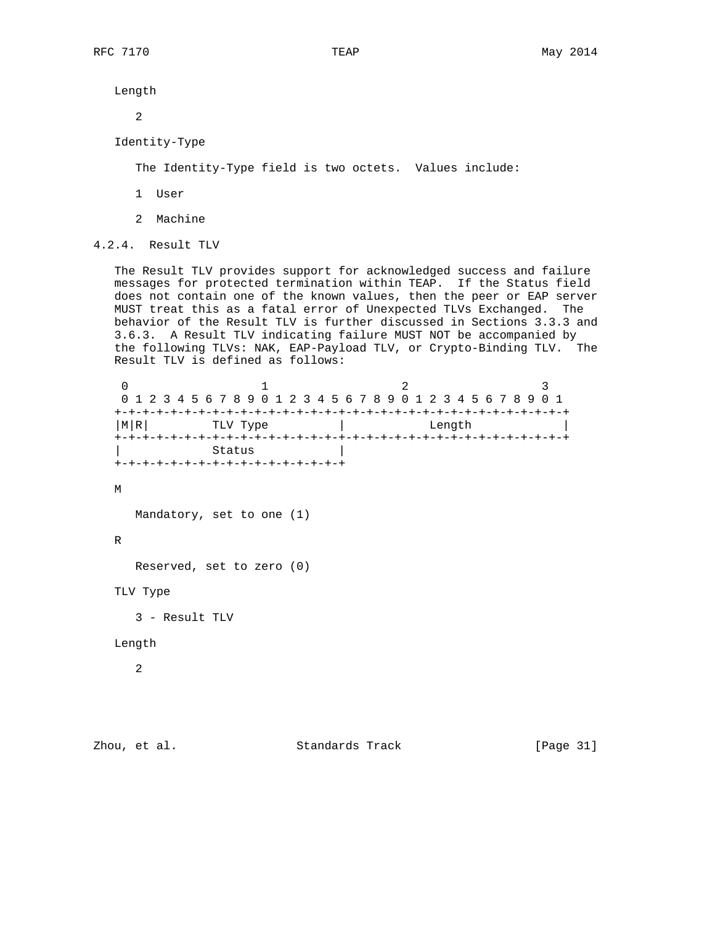Length

2

```
 Identity-Type
```
The Identity-Type field is two octets. Values include:

- 1 User
- 2 Machine

4.2.4. Result TLV

 The Result TLV provides support for acknowledged success and failure messages for protected termination within TEAP. If the Status field does not contain one of the known values, then the peer or EAP server MUST treat this as a fatal error of Unexpected TLVs Exchanged. The behavior of the Result TLV is further discussed in Sections 3.3.3 and 3.6.3. A Result TLV indicating failure MUST NOT be accompanied by the following TLVs: NAK, EAP-Payload TLV, or Crypto-Binding TLV. The Result TLV is defined as follows:

0  $1$  2 3 0 1 2 3 4 5 6 7 8 9 0 1 2 3 4 5 6 7 8 9 0 1 2 3 4 5 6 7 8 9 0 1 +-+-+-+-+-+-+-+-+-+-+-+-+-+-+-+-+-+-+-+-+-+-+-+-+-+-+-+-+-+-+-+-+  $|M|R|$  TLV Type  $|$  Length  $|$  +-+-+-+-+-+-+-+-+-+-+-+-+-+-+-+-+-+-+-+-+-+-+-+-+-+-+-+-+-+-+-+-+ Status +-+-+-+-+-+-+-+-+-+-+-+-+-+-+-+-+ M Mandatory, set to one (1) R Reserved, set to zero (0) TLV Type 3 - Result TLV Length 2

Zhou, et al. Standards Track [Page 31]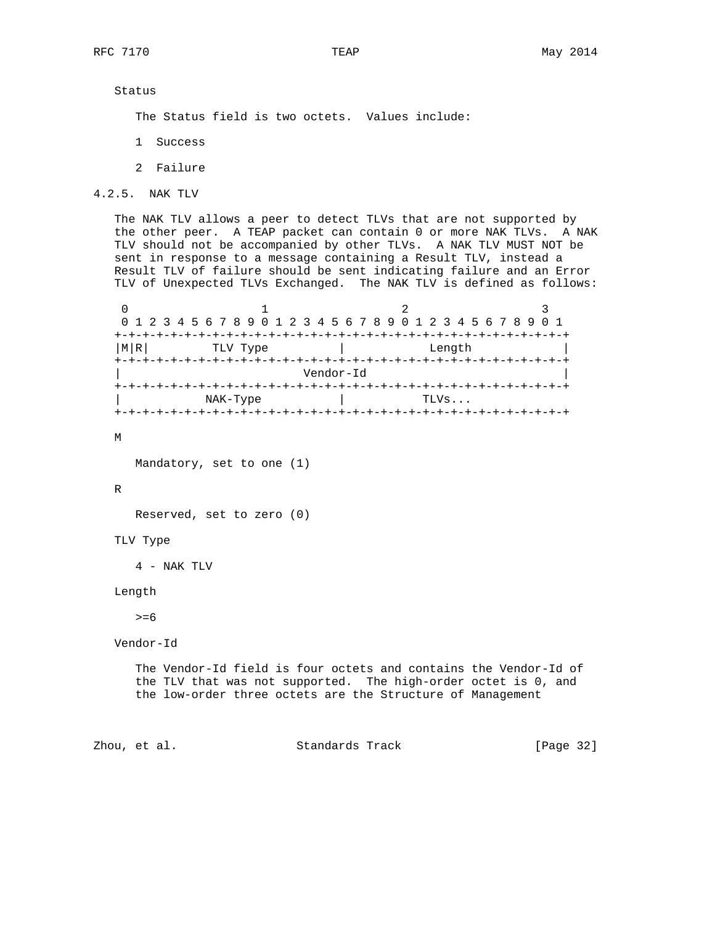Status

The Status field is two octets. Values include:

- 1 Success
- 2 Failure

4.2.5. NAK TLV

 The NAK TLV allows a peer to detect TLVs that are not supported by the other peer. A TEAP packet can contain 0 or more NAK TLVs. A NAK TLV should not be accompanied by other TLVs. A NAK TLV MUST NOT be sent in response to a message containing a Result TLV, instead a Result TLV of failure should be sent indicating failure and an Error TLV of Unexpected TLVs Exchanged. The NAK TLV is defined as follows:

0  $1$  2 3 0 1 2 3 4 5 6 7 8 9 0 1 2 3 4 5 6 7 8 9 0 1 2 3 4 5 6 7 8 9 0 1 +-+-+-+-+-+-+-+-+-+-+-+-+-+-+-+-+-+-+-+-+-+-+-+-+-+-+-+-+-+-+-+-+ | M|R| TLV Type | Length +-+-+-+-+-+-+-+-+-+-+-+-+-+-+-+-+-+-+-+-+-+-+-+-+-+-+-+-+-+-+-+-+ | Vendor-Id | +-+-+-+-+-+-+-+-+-+-+-+-+-+-+-+-+-+-+-+-+-+-+-+-+-+-+-+-+-+-+-+-+ | NAK-Type | TLVs... +-+-+-+-+-+-+-+-+-+-+-+-+-+-+-+-+-+-+-+-+-+-+-+-+-+-+-+-+-+-+-+-+

M

Mandatory, set to one (1)

#### R

Reserved, set to zero (0)

TLV Type

4 - NAK TLV

Length

 $>=6$ 

Vendor-Id

 The Vendor-Id field is four octets and contains the Vendor-Id of the TLV that was not supported. The high-order octet is 0, and the low-order three octets are the Structure of Management

Zhou, et al. Standards Track [Page 32]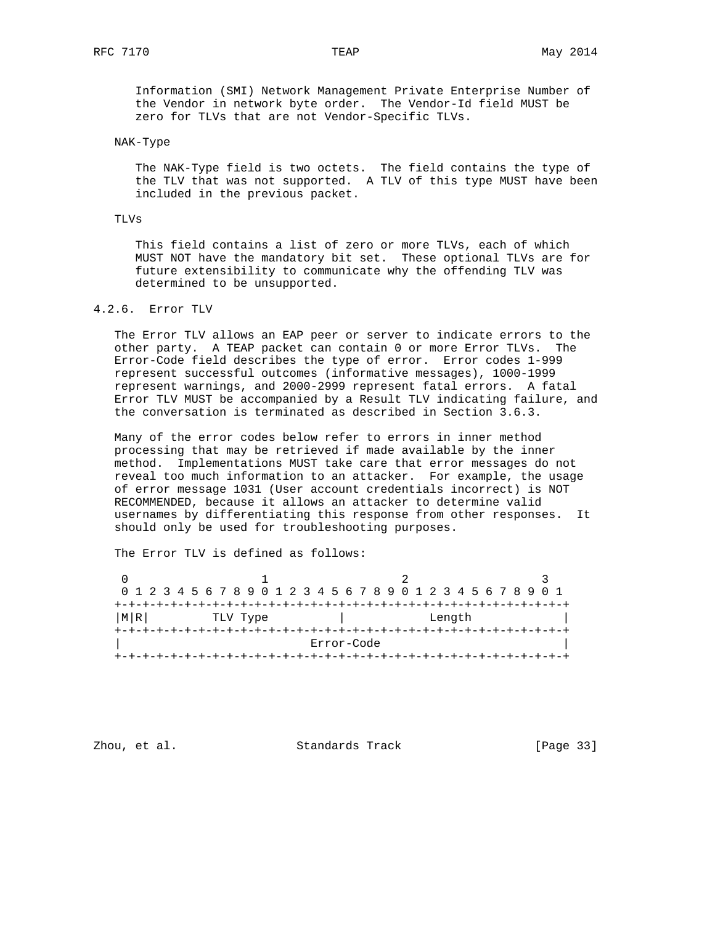Information (SMI) Network Management Private Enterprise Number of the Vendor in network byte order. The Vendor-Id field MUST be zero for TLVs that are not Vendor-Specific TLVs.

## NAK-Type

 The NAK-Type field is two octets. The field contains the type of the TLV that was not supported. A TLV of this type MUST have been included in the previous packet.

## TLVs

 This field contains a list of zero or more TLVs, each of which MUST NOT have the mandatory bit set. These optional TLVs are for future extensibility to communicate why the offending TLV was determined to be unsupported.

## 4.2.6. Error TLV

 The Error TLV allows an EAP peer or server to indicate errors to the other party. A TEAP packet can contain 0 or more Error TLVs. The Error-Code field describes the type of error. Error codes 1-999 represent successful outcomes (informative messages), 1000-1999 represent warnings, and 2000-2999 represent fatal errors. A fatal Error TLV MUST be accompanied by a Result TLV indicating failure, and the conversation is terminated as described in Section 3.6.3.

 Many of the error codes below refer to errors in inner method processing that may be retrieved if made available by the inner method. Implementations MUST take care that error messages do not reveal too much information to an attacker. For example, the usage of error message 1031 (User account credentials incorrect) is NOT RECOMMENDED, because it allows an attacker to determine valid usernames by differentiating this response from other responses. It should only be used for troubleshooting purposes.

The Error TLV is defined as follows:

|    | 0 1 2 3 4 5 6 7 8 9 0 1 2 3 4 5 6 7 8 9 0 1 2 3 4 5 6 7 8 9 0 1 |            |  |  |  |  |  |  |  |  |  |  |
|----|-----------------------------------------------------------------|------------|--|--|--|--|--|--|--|--|--|--|
|    |                                                                 |            |  |  |  |  |  |  |  |  |  |  |
| MR | TLV Type                                                        | Length     |  |  |  |  |  |  |  |  |  |  |
|    |                                                                 |            |  |  |  |  |  |  |  |  |  |  |
|    |                                                                 | Error-Code |  |  |  |  |  |  |  |  |  |  |
|    |                                                                 |            |  |  |  |  |  |  |  |  |  |  |

Zhou, et al. Standards Track [Page 33]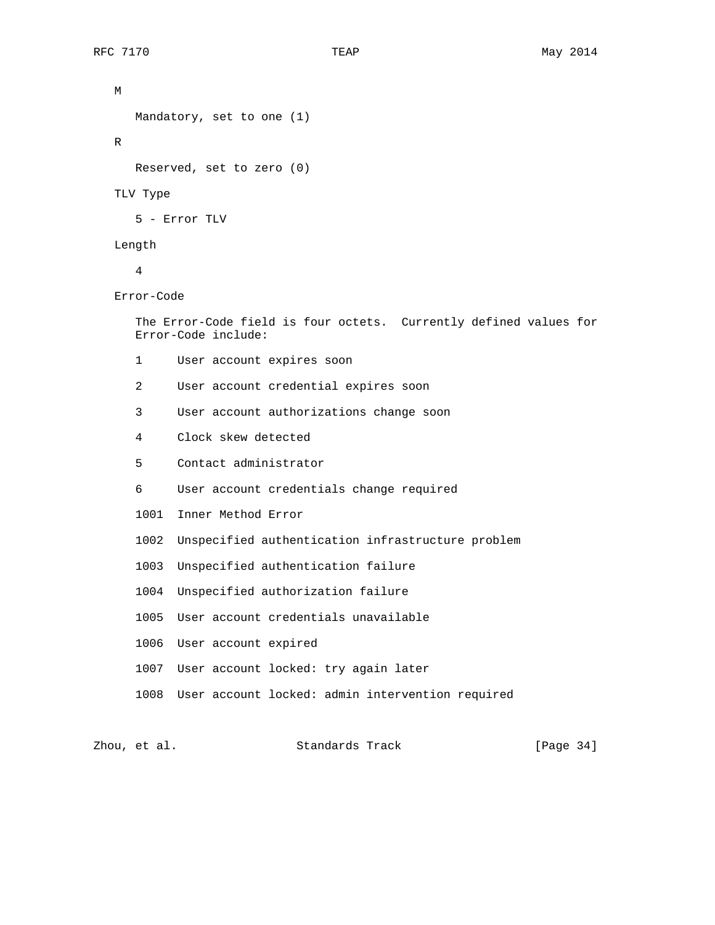```
 M
      Mandatory, set to one (1)
   R
      Reserved, set to zero (0)
    TLV Type
      5 - Error TLV
   Length
       4
   Error-Code
      The Error-Code field is four octets. Currently defined values for
      Error-Code include:
      1 User account expires soon
       2 User account credential expires soon
       3 User account authorizations change soon
       4 Clock skew detected
       5 Contact administrator
       6 User account credentials change required
       1001 Inner Method Error
      1002 Unspecified authentication infrastructure problem
       1003 Unspecified authentication failure
      1004 Unspecified authorization failure
      1005 User account credentials unavailable
      1006 User account expired
      1007 User account locked: try again later
      1008 User account locked: admin intervention required
Zhou, et al.                     Standards Track               [Page 34]
```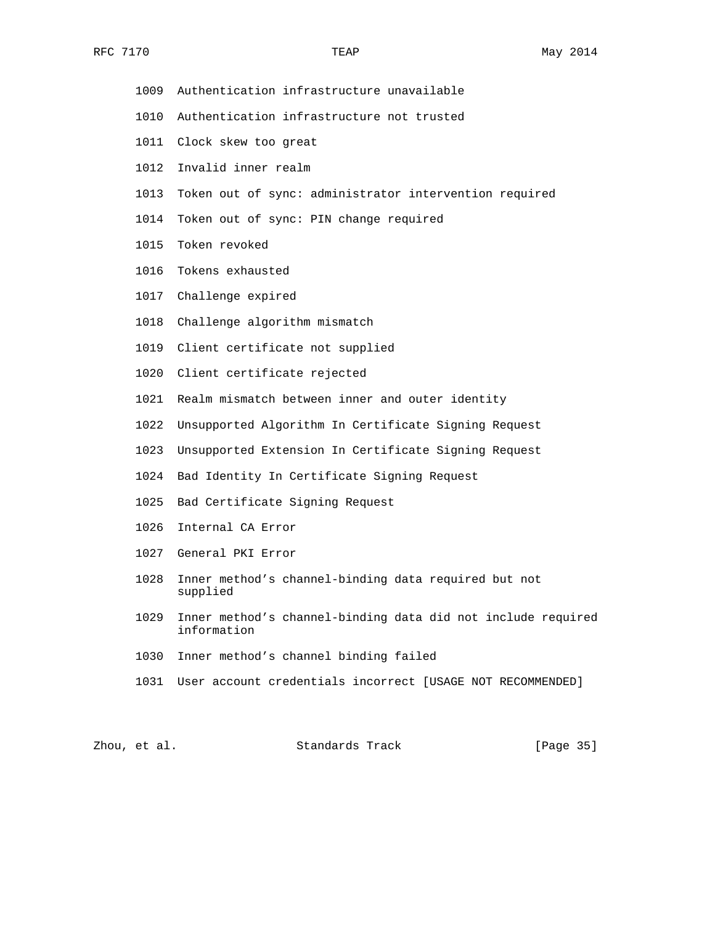- 1009 Authentication infrastructure unavailable
- 1010 Authentication infrastructure not trusted
- 1011 Clock skew too great
- 1012 Invalid inner realm
- 1013 Token out of sync: administrator intervention required
- 1014 Token out of sync: PIN change required
- 1015 Token revoked
- 1016 Tokens exhausted
- 1017 Challenge expired
- 1018 Challenge algorithm mismatch
- 1019 Client certificate not supplied
- 1020 Client certificate rejected
- 1021 Realm mismatch between inner and outer identity
- 1022 Unsupported Algorithm In Certificate Signing Request
- 1023 Unsupported Extension In Certificate Signing Request
- 1024 Bad Identity In Certificate Signing Request
- 1025 Bad Certificate Signing Request
- 1026 Internal CA Error
- 1027 General PKI Error
- 1028 Inner method's channel-binding data required but not supplied
- 1029 Inner method's channel-binding data did not include required information
- 1030 Inner method's channel binding failed
- 1031 User account credentials incorrect [USAGE NOT RECOMMENDED]

Zhou, et al. Standards Track [Page 35]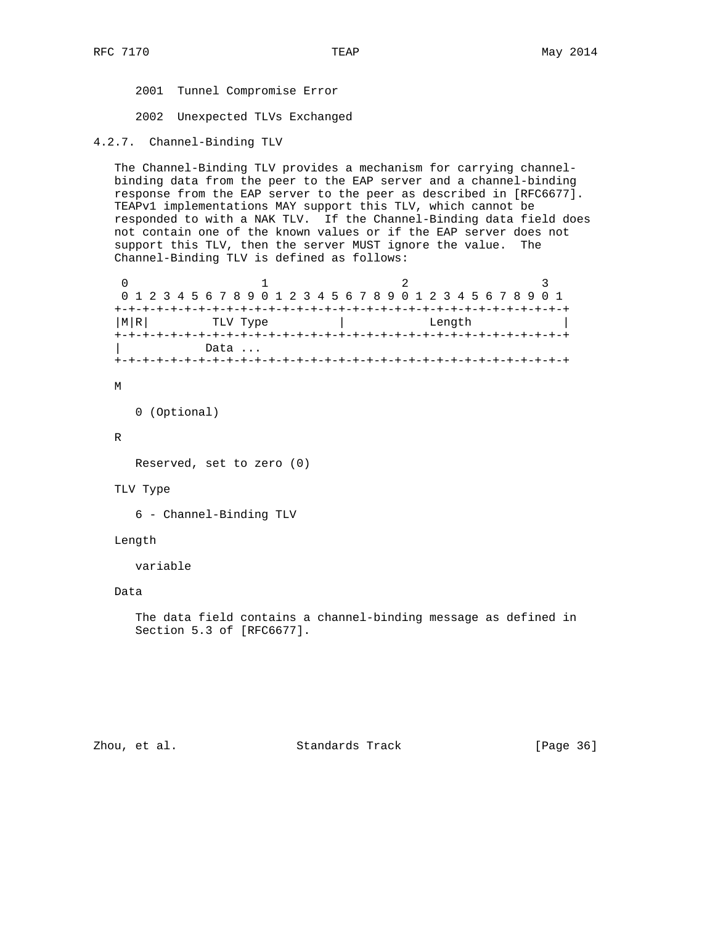2001 Tunnel Compromise Error

2002 Unexpected TLVs Exchanged

```
4.2.7. Channel-Binding TLV
```
 The Channel-Binding TLV provides a mechanism for carrying channel binding data from the peer to the EAP server and a channel-binding response from the EAP server to the peer as described in [RFC6677]. TEAPv1 implementations MAY support this TLV, which cannot be responded to with a NAK TLV. If the Channel-Binding data field does not contain one of the known values or if the EAP server does not support this TLV, then the server MUST ignore the value. The Channel-Binding TLV is defined as follows:

| 0 1 2 3 4 5 6 7 8 9 0 1 2 3 4 5 6 7 8 9 0 1 2 3 4 5 6 7 8 9 0 1 |  |  |  |  |  |      |  |  |        |  |  |  |  |  |  |  |  |  |  |  |  |  |  |  |  |  |  |
|-----------------------------------------------------------------|--|--|--|--|--|------|--|--|--------|--|--|--|--|--|--|--|--|--|--|--|--|--|--|--|--|--|--|
|                                                                 |  |  |  |  |  |      |  |  |        |  |  |  |  |  |  |  |  |  |  |  |  |  |  |  |  |  |  |
| MRI<br>TLV Type                                                 |  |  |  |  |  |      |  |  | Length |  |  |  |  |  |  |  |  |  |  |  |  |  |  |  |  |  |  |
|                                                                 |  |  |  |  |  |      |  |  |        |  |  |  |  |  |  |  |  |  |  |  |  |  |  |  |  |  |  |
|                                                                 |  |  |  |  |  | Data |  |  |        |  |  |  |  |  |  |  |  |  |  |  |  |  |  |  |  |  |  |
|                                                                 |  |  |  |  |  |      |  |  |        |  |  |  |  |  |  |  |  |  |  |  |  |  |  |  |  |  |  |

#### M

0 (Optional)

#### R

Reserved, set to zero (0)

#### TLV Type

6 - Channel-Binding TLV

# Length

variable

# Data

 The data field contains a channel-binding message as defined in Section 5.3 of [RFC6677].

Zhou, et al. Standards Track [Page 36]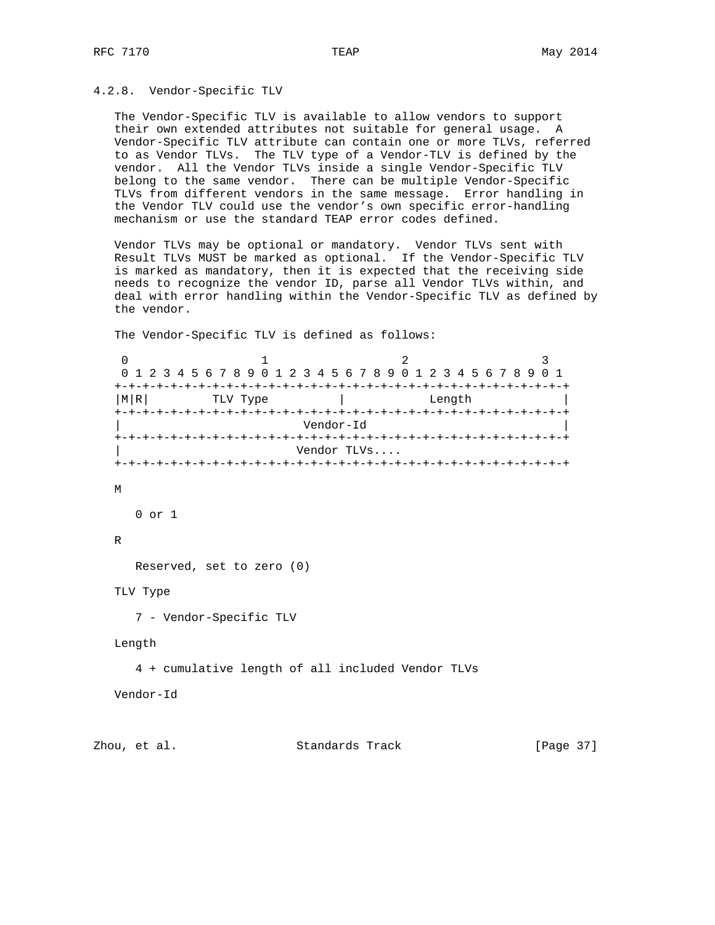### 4.2.8. Vendor-Specific TLV

 The Vendor-Specific TLV is available to allow vendors to support their own extended attributes not suitable for general usage. A Vendor-Specific TLV attribute can contain one or more TLVs, referred to as Vendor TLVs. The TLV type of a Vendor-TLV is defined by the vendor. All the Vendor TLVs inside a single Vendor-Specific TLV belong to the same vendor. There can be multiple Vendor-Specific TLVs from different vendors in the same message. Error handling in the Vendor TLV could use the vendor's own specific error-handling mechanism or use the standard TEAP error codes defined.

 Vendor TLVs may be optional or mandatory. Vendor TLVs sent with Result TLVs MUST be marked as optional. If the Vendor-Specific TLV is marked as mandatory, then it is expected that the receiving side needs to recognize the vendor ID, parse all Vendor TLVs within, and deal with error handling within the Vendor-Specific TLV as defined by the vendor.

The Vendor-Specific TLV is defined as follows:

0  $1$  2 3 0 1 2 3 4 5 6 7 8 9 0 1 2 3 4 5 6 7 8 9 0 1 2 3 4 5 6 7 8 9 0 1 +-+-+-+-+-+-+-+-+-+-+-+-+-+-+-+-+-+-+-+-+-+-+-+-+-+-+-+-+-+-+-+-+ | M|R| TLV Type | Length +-+-+-+-+-+-+-+-+-+-+-+-+-+-+-+-+-+-+-+-+-+-+-+-+-+-+-+-+-+-+-+-+ | Vendor-Id | +-+-+-+-+-+-+-+-+-+-+-+-+-+-+-+-+-+-+-+-+-+-+-+-+-+-+-+-+-+-+-+-+ | Vendor TLVs.... +-+-+-+-+-+-+-+-+-+-+-+-+-+-+-+-+-+-+-+-+-+-+-+-+-+-+-+-+-+-+-+-+ M 0 or 1 R Reserved, set to zero (0) TLV Type 7 - Vendor-Specific TLV Length 4 + cumulative length of all included Vendor TLVs Vendor-Id

Zhou, et al. Standards Track [Page 37]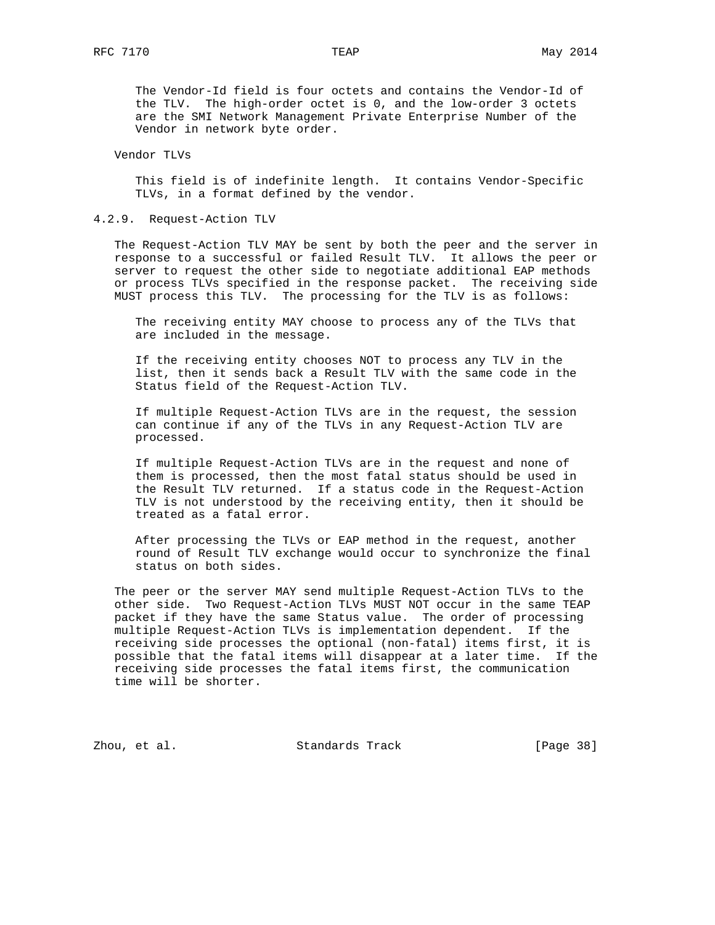The Vendor-Id field is four octets and contains the Vendor-Id of the TLV. The high-order octet is 0, and the low-order 3 octets are the SMI Network Management Private Enterprise Number of the Vendor in network byte order.

### Vendor TLVs

 This field is of indefinite length. It contains Vendor-Specific TLVs, in a format defined by the vendor.

### 4.2.9. Request-Action TLV

 The Request-Action TLV MAY be sent by both the peer and the server in response to a successful or failed Result TLV. It allows the peer or server to request the other side to negotiate additional EAP methods or process TLVs specified in the response packet. The receiving side MUST process this TLV. The processing for the TLV is as follows:

 The receiving entity MAY choose to process any of the TLVs that are included in the message.

 If the receiving entity chooses NOT to process any TLV in the list, then it sends back a Result TLV with the same code in the Status field of the Request-Action TLV.

 If multiple Request-Action TLVs are in the request, the session can continue if any of the TLVs in any Request-Action TLV are processed.

 If multiple Request-Action TLVs are in the request and none of them is processed, then the most fatal status should be used in the Result TLV returned. If a status code in the Request-Action TLV is not understood by the receiving entity, then it should be treated as a fatal error.

 After processing the TLVs or EAP method in the request, another round of Result TLV exchange would occur to synchronize the final status on both sides.

 The peer or the server MAY send multiple Request-Action TLVs to the other side. Two Request-Action TLVs MUST NOT occur in the same TEAP packet if they have the same Status value. The order of processing multiple Request-Action TLVs is implementation dependent. If the receiving side processes the optional (non-fatal) items first, it is possible that the fatal items will disappear at a later time. If the receiving side processes the fatal items first, the communication time will be shorter.

Zhou, et al. Standards Track [Page 38]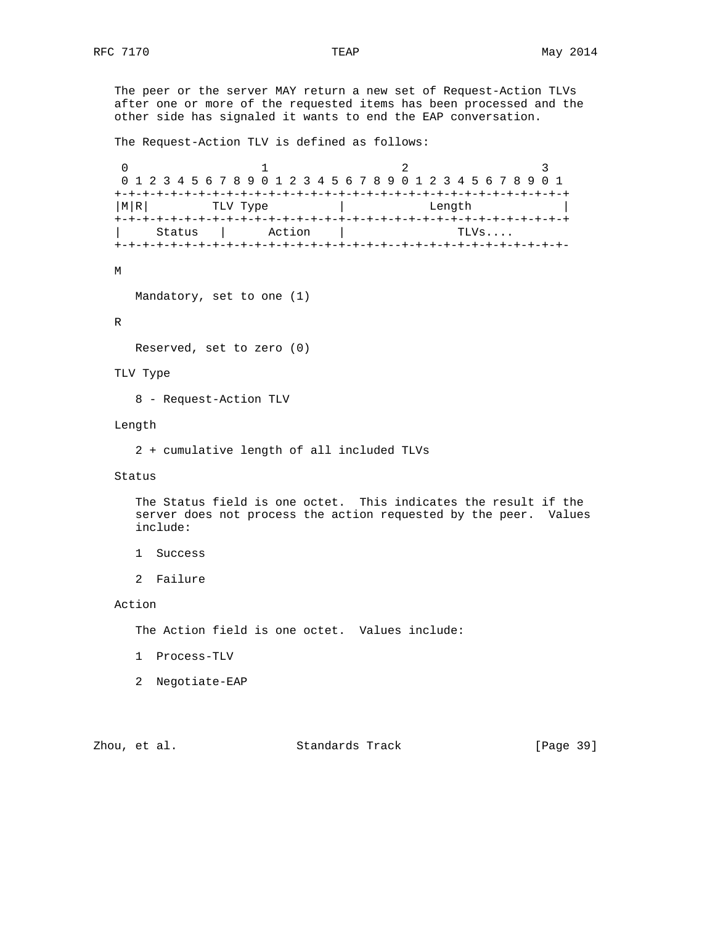The peer or the server MAY return a new set of Request-Action TLVs after one or more of the requested items has been processed and the other side has signaled it wants to end the EAP conversation.

The Request-Action TLV is defined as follows:

0  $1$  2 3 0 1 2 3 4 5 6 7 8 9 0 1 2 3 4 5 6 7 8 9 0 1 2 3 4 5 6 7 8 9 0 1 +-+-+-+-+-+-+-+-+-+-+-+-+-+-+-+-+-+-+-+-+-+-+-+-+-+-+-+-+-+-+-+-+ | M|R| TLV Type | Length +-+-+-+-+-+-+-+-+-+-+-+-+-+-+-+-+-+-+-+-+-+-+-+-+-+-+-+-+-+-+-+-+ | Status | Action | +-+-+-+-+-+-+-+-+-+-+-+-+-+-+-+-+-+-+-+--+-+-+-+-+-+-+-+-+-+-+-+-

### M

Mandatory, set to one (1)

## R

Reserved, set to zero (0)

## TLV Type

8 - Request-Action TLV

### Length

2 + cumulative length of all included TLVs

## Status

 The Status field is one octet. This indicates the result if the server does not process the action requested by the peer. Values include:

- 1 Success
- 2 Failure

## Action

The Action field is one octet. Values include:

- 1 Process-TLV
- 2 Negotiate-EAP

# Zhou, et al. Standards Track [Page 39]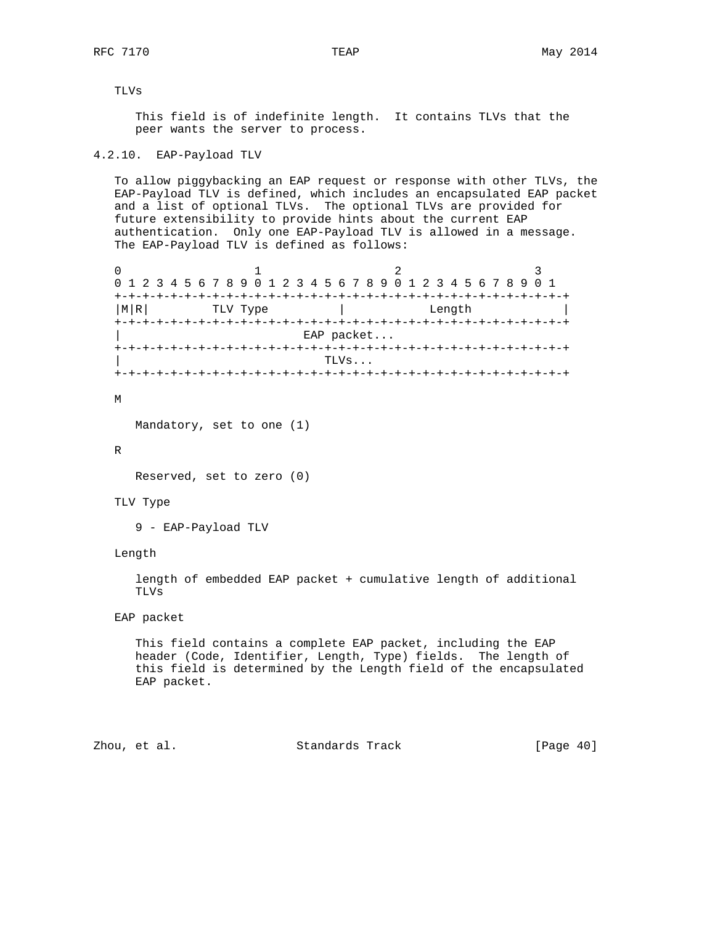TLVs

 This field is of indefinite length. It contains TLVs that the peer wants the server to process.

## 4.2.10. EAP-Payload TLV

 To allow piggybacking an EAP request or response with other TLVs, the EAP-Payload TLV is defined, which includes an encapsulated EAP packet and a list of optional TLVs. The optional TLVs are provided for future extensibility to provide hints about the current EAP authentication. Only one EAP-Payload TLV is allowed in a message. The EAP-Payload TLV is defined as follows:

|             | 0 1 2 3 4 5 6 7 8 9 0 1 2 3 4 5 6 7 8 9 0 1 2 3 4 5 6 7 8 9 0 1 |        |  |  |  |  |  |  |  |  |
|-------------|-----------------------------------------------------------------|--------|--|--|--|--|--|--|--|--|
| $+ - + - +$ |                                                                 |        |  |  |  |  |  |  |  |  |
| M R         | TLV Type                                                        | Length |  |  |  |  |  |  |  |  |
|             |                                                                 |        |  |  |  |  |  |  |  |  |
| EAP packet  |                                                                 |        |  |  |  |  |  |  |  |  |
|             |                                                                 |        |  |  |  |  |  |  |  |  |
|             |                                                                 | TLVs   |  |  |  |  |  |  |  |  |
|             |                                                                 |        |  |  |  |  |  |  |  |  |

M

Mandatory, set to one (1)

R

Reserved, set to zero (0)

TLV Type

9 - EAP-Payload TLV

Length

 length of embedded EAP packet + cumulative length of additional TLVs

EAP packet

 This field contains a complete EAP packet, including the EAP header (Code, Identifier, Length, Type) fields. The length of this field is determined by the Length field of the encapsulated EAP packet.

Zhou, et al. Standards Track [Page 40]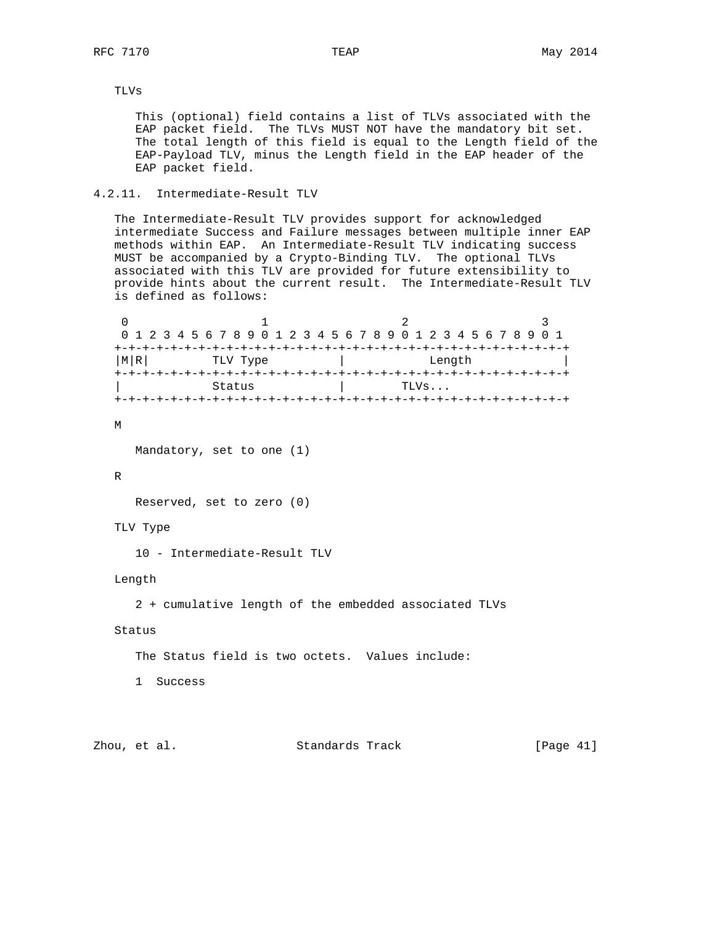# TLVs

 This (optional) field contains a list of TLVs associated with the EAP packet field. The TLVs MUST NOT have the mandatory bit set. The total length of this field is equal to the Length field of the EAP-Payload TLV, minus the Length field in the EAP header of the EAP packet field.

## 4.2.11. Intermediate-Result TLV

 The Intermediate-Result TLV provides support for acknowledged intermediate Success and Failure messages between multiple inner EAP methods within EAP. An Intermediate-Result TLV indicating success MUST be accompanied by a Crypto-Binding TLV. The optional TLVs associated with this TLV are provided for future extensibility to provide hints about the current result. The Intermediate-Result TLV is defined as follows:

0  $1$  2 3 0 1 2 3 4 5 6 7 8 9 0 1 2 3 4 5 6 7 8 9 0 1 2 3 4 5 6 7 8 9 0 1 +-+-+-+-+-+-+-+-+-+-+-+-+-+-+-+-+-+-+-+-+-+-+-+-+-+-+-+-+-+-+-+-+ | M|R| TLV Type | Length +-+-+-+-+-+-+-+-+-+-+-+-+-+-+-+-+-+-+-+-+-+-+-+-+-+-+-+-+-+-+-+-+ Status | TLVs... +-+-+-+-+-+-+-+-+-+-+-+-+-+-+-+-+-+-+-+-+-+-+-+-+-+-+-+-+-+-+-+-+

#### M

Mandatory, set to one (1)

### R

Reserved, set to zero (0)

### TLV Type

10 - Intermediate-Result TLV

### Length

2 + cumulative length of the embedded associated TLVs

### Status

The Status field is two octets. Values include:

1 Success

Zhou, et al. Standards Track [Page 41]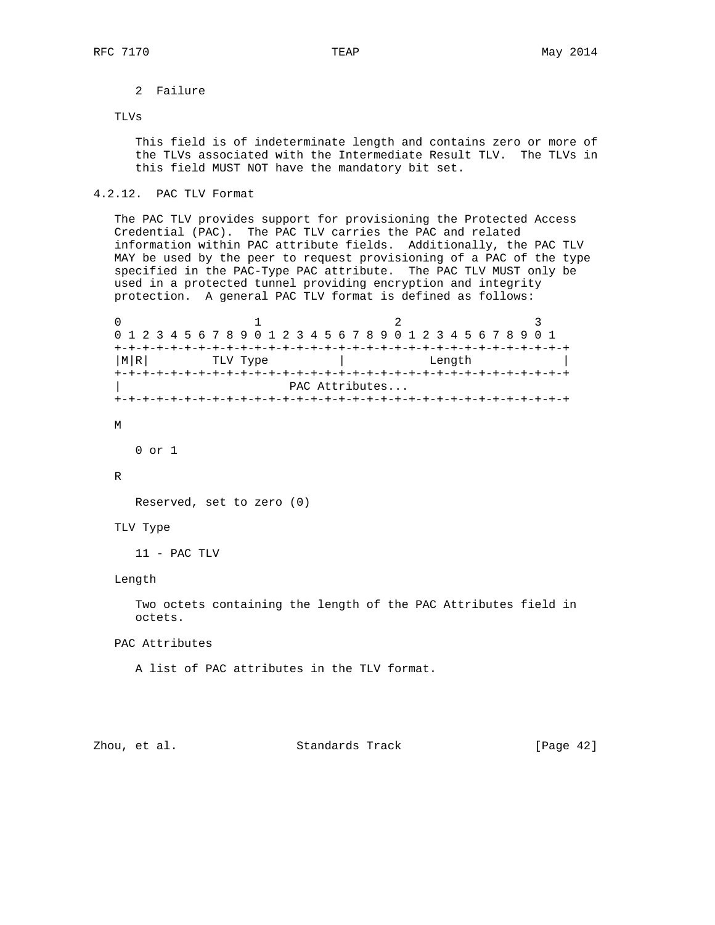# 2 Failure

### TLVs

 This field is of indeterminate length and contains zero or more of the TLVs associated with the Intermediate Result TLV. The TLVs in this field MUST NOT have the mandatory bit set.

## 4.2.12. PAC TLV Format

 The PAC TLV provides support for provisioning the Protected Access Credential (PAC). The PAC TLV carries the PAC and related information within PAC attribute fields. Additionally, the PAC TLV MAY be used by the peer to request provisioning of a PAC of the type specified in the PAC-Type PAC attribute. The PAC TLV MUST only be used in a protected tunnel providing encryption and integrity protection. A general PAC TLV format is defined as follows:

0  $1$  2 3 0 1 2 3 4 5 6 7 8 9 0 1 2 3 4 5 6 7 8 9 0 1 2 3 4 5 6 7 8 9 0 1 +-+-+-+-+-+-+-+-+-+-+-+-+-+-+-+-+-+-+-+-+-+-+-+-+-+-+-+-+-+-+-+-+ | M|R| TLV Type | Length +-+-+-+-+-+-+-+-+-+-+-+-+-+-+-+-+-+-+-+-+-+-+-+-+-+-+-+-+-+-+-+-+ PAC Attributes... +-+-+-+-+-+-+-+-+-+-+-+-+-+-+-+-+-+-+-+-+-+-+-+-+-+-+-+-+-+-+-+-+

#### M

0 or 1

R

Reserved, set to zero (0)

### TLV Type

11 - PAC TLV

#### Length

 Two octets containing the length of the PAC Attributes field in octets.

PAC Attributes

A list of PAC attributes in the TLV format.

# Zhou, et al. Standards Track [Page 42]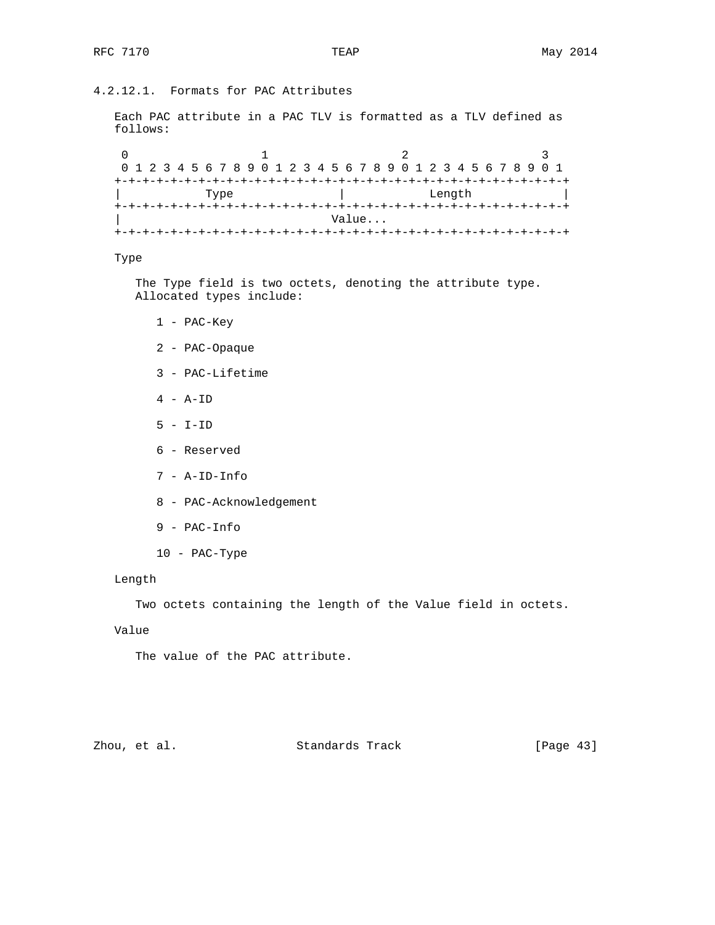# 4.2.12.1. Formats for PAC Attributes

 Each PAC attribute in a PAC TLV is formatted as a TLV defined as follows:

0  $1$  2 3 0 1 2 3 4 5 6 7 8 9 0 1 2 3 4 5 6 7 8 9 0 1 2 3 4 5 6 7 8 9 0 1 +-+-+-+-+-+-+-+-+-+-+-+-+-+-+-+-+-+-+-+-+-+-+-+-+-+-+-+-+-+-+-+-+ | Type | Length | +-+-+-+-+-+-+-+-+-+-+-+-+-+-+-+-+-+-+-+-+-+-+-+-+-+-+-+-+-+-+-+-+ | Value... +-+-+-+-+-+-+-+-+-+-+-+-+-+-+-+-+-+-+-+-+-+-+-+-+-+-+-+-+-+-+-+-+

### Type

 The Type field is two octets, denoting the attribute type. Allocated types include:

- 1 PAC-Key
- 2 PAC-Opaque
- 3 PAC-Lifetime
- 4 A-ID
- $5 I-ID$
- 6 Reserved
- 7 A-ID-Info
- 8 PAC-Acknowledgement
- 9 PAC-Info
- 10 PAC-Type

### Length

Two octets containing the length of the Value field in octets.

# Value

The value of the PAC attribute.

# Zhou, et al. Standards Track [Page 43]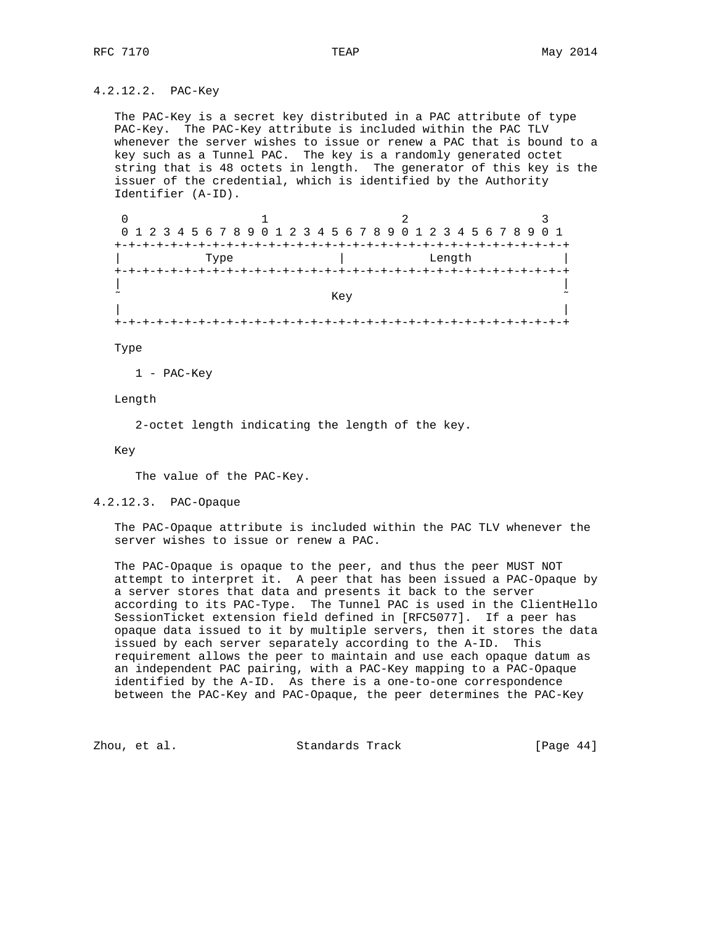4.2.12.2. PAC-Key

 The PAC-Key is a secret key distributed in a PAC attribute of type PAC-Key. The PAC-Key attribute is included within the PAC TLV whenever the server wishes to issue or renew a PAC that is bound to a key such as a Tunnel PAC. The key is a randomly generated octet string that is 48 octets in length. The generator of this key is the issuer of the credential, which is identified by the Authority Identifier (A-ID).

0  $1$  2 3 0 1 2 3 4 5 6 7 8 9 0 1 2 3 4 5 6 7 8 9 0 1 2 3 4 5 6 7 8 9 0 1 +-+-+-+-+-+-+-+-+-+-+-+-+-+-+-+-+-+-+-+-+-+-+-+-+-+-+-+-+-+-+-+-+ | Type | Length | Length | Length | Length | Length | Length | Length | Length | Length | Length | Length | Le +-+-+-+-+-+-+-+-+-+-+-+-+-+-+-+-+-+-+-+-+-+-+-+-+-+-+-+-+-+-+-+-+ | |  $\tilde{\phantom{a}}$  is a contract of the contract of the Key  $\tilde{\phantom{a}}$  . The contract of the contract of the contract of the contract of the contract of the contract of the contract of the contract of the contract of the contra | | +-+-+-+-+-+-+-+-+-+-+-+-+-+-+-+-+-+-+-+-+-+-+-+-+-+-+-+-+-+-+-+-+

Type

1 - PAC-Key

Length

2-octet length indicating the length of the key.

Key

The value of the PAC-Key.

4.2.12.3. PAC-Opaque

 The PAC-Opaque attribute is included within the PAC TLV whenever the server wishes to issue or renew a PAC.

 The PAC-Opaque is opaque to the peer, and thus the peer MUST NOT attempt to interpret it. A peer that has been issued a PAC-Opaque by a server stores that data and presents it back to the server according to its PAC-Type. The Tunnel PAC is used in the ClientHello SessionTicket extension field defined in [RFC5077]. If a peer has opaque data issued to it by multiple servers, then it stores the data issued by each server separately according to the A-ID. This requirement allows the peer to maintain and use each opaque datum as an independent PAC pairing, with a PAC-Key mapping to a PAC-Opaque identified by the A-ID. As there is a one-to-one correspondence between the PAC-Key and PAC-Opaque, the peer determines the PAC-Key

Zhou, et al. Standards Track [Page 44]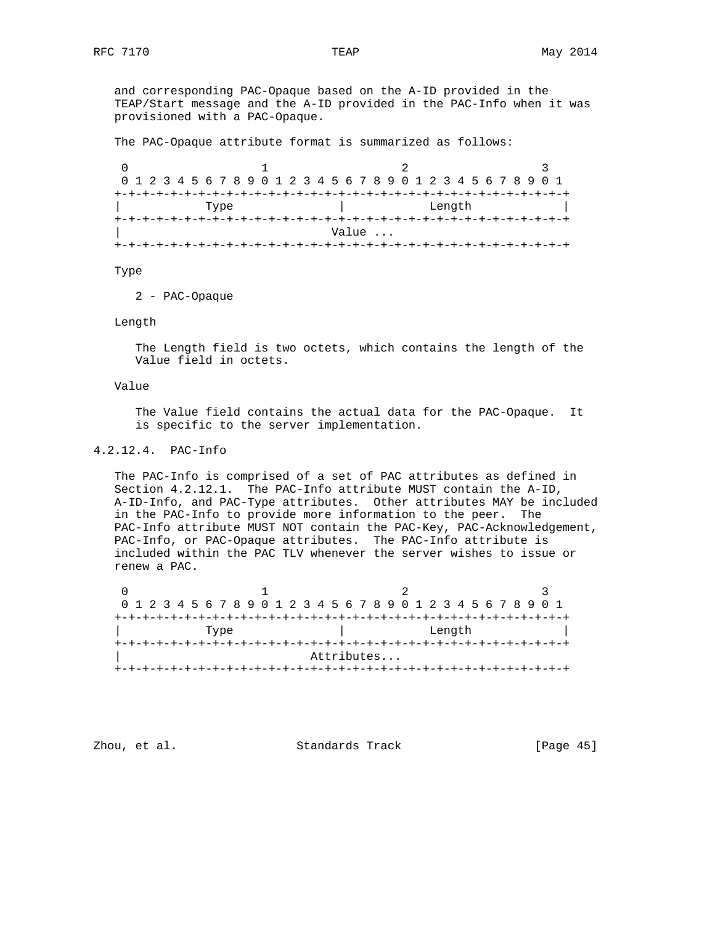and corresponding PAC-Opaque based on the A-ID provided in the TEAP/Start message and the A-ID provided in the PAC-Info when it was provisioned with a PAC-Opaque.

The PAC-Opaque attribute format is summarized as follows:

0  $1$  2 3 0 1 2 3 4 5 6 7 8 9 0 1 2 3 4 5 6 7 8 9 0 1 2 3 4 5 6 7 8 9 0 1 +-+-+-+-+-+-+-+-+-+-+-+-+-+-+-+-+-+-+-+-+-+-+-+-+-+-+-+-+-+-+-+-+ | Type | Length | +-+-+-+-+-+-+-+-+-+-+-+-+-+-+-+-+-+-+-+-+-+-+-+-+-+-+-+-+-+-+-+-+ | Value ... +-+-+-+-+-+-+-+-+-+-+-+-+-+-+-+-+-+-+-+-+-+-+-+-+-+-+-+-+-+-+-+-+

Type

2 - PAC-Opaque

Length

 The Length field is two octets, which contains the length of the Value field in octets.

### Value

 The Value field contains the actual data for the PAC-Opaque. It is specific to the server implementation.

# 4.2.12.4. PAC-Info

 The PAC-Info is comprised of a set of PAC attributes as defined in Section 4.2.12.1. The PAC-Info attribute MUST contain the A-ID, A-ID-Info, and PAC-Type attributes. Other attributes MAY be included in the PAC-Info to provide more information to the peer. The PAC-Info attribute MUST NOT contain the PAC-Key, PAC-Acknowledgement, PAC-Info, or PAC-Opaque attributes. The PAC-Info attribute is included within the PAC TLV whenever the server wishes to issue or renew a PAC.

0  $1$  2 3 0 1 2 3 4 5 6 7 8 9 0 1 2 3 4 5 6 7 8 9 0 1 2 3 4 5 6 7 8 9 0 1 +-+-+-+-+-+-+-+-+-+-+-+-+-+-+-+-+-+-+-+-+-+-+-+-+-+-+-+-+-+-+-+-+ | Type | Length +-+-+-+-+-+-+-+-+-+-+-+-+-+-+-+-+-+-+-+-+-+-+-+-+-+-+-+-+-+-+-+-+ | Attributes... +-+-+-+-+-+-+-+-+-+-+-+-+-+-+-+-+-+-+-+-+-+-+-+-+-+-+-+-+-+-+-+-+

Zhou, et al. Standards Track [Page 45]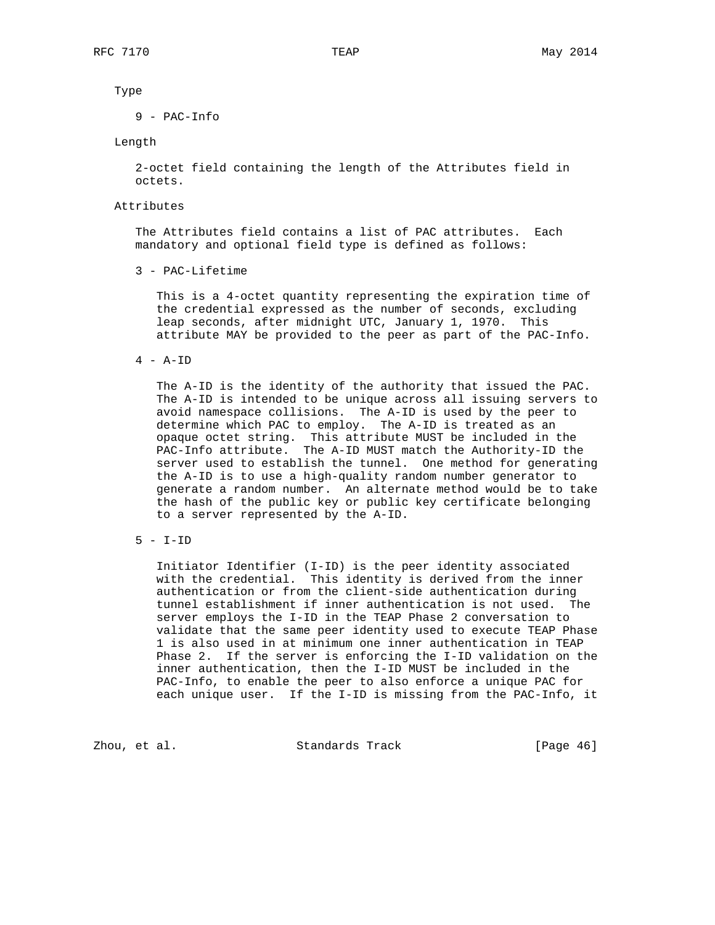### Type

9 - PAC-Info

### Length

 2-octet field containing the length of the Attributes field in octets.

### Attributes

 The Attributes field contains a list of PAC attributes. Each mandatory and optional field type is defined as follows:

3 - PAC-Lifetime

 This is a 4-octet quantity representing the expiration time of the credential expressed as the number of seconds, excluding leap seconds, after midnight UTC, January 1, 1970. This attribute MAY be provided to the peer as part of the PAC-Info.

4 - A-ID

 The A-ID is the identity of the authority that issued the PAC. The A-ID is intended to be unique across all issuing servers to avoid namespace collisions. The A-ID is used by the peer to determine which PAC to employ. The A-ID is treated as an opaque octet string. This attribute MUST be included in the PAC-Info attribute. The A-ID MUST match the Authority-ID the server used to establish the tunnel. One method for generating the A-ID is to use a high-quality random number generator to generate a random number. An alternate method would be to take the hash of the public key or public key certificate belonging to a server represented by the A-ID.

 Initiator Identifier (I-ID) is the peer identity associated with the credential. This identity is derived from the inner authentication or from the client-side authentication during tunnel establishment if inner authentication is not used. The server employs the I-ID in the TEAP Phase 2 conversation to validate that the same peer identity used to execute TEAP Phase 1 is also used in at minimum one inner authentication in TEAP Phase 2. If the server is enforcing the I-ID validation on the inner authentication, then the I-ID MUST be included in the PAC-Info, to enable the peer to also enforce a unique PAC for each unique user. If the I-ID is missing from the PAC-Info, it

Zhou, et al. Standards Track [Page 46]

 <sup>5 -</sup> I-ID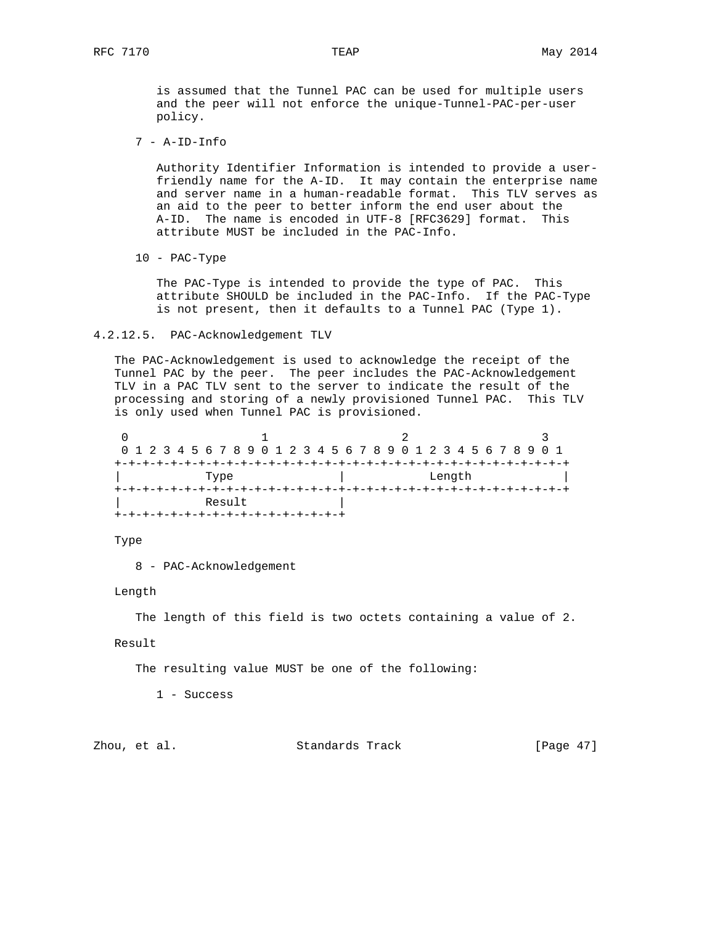is assumed that the Tunnel PAC can be used for multiple users and the peer will not enforce the unique-Tunnel-PAC-per-user policy.

7 - A-ID-Info

 Authority Identifier Information is intended to provide a user friendly name for the A-ID. It may contain the enterprise name and server name in a human-readable format. This TLV serves as an aid to the peer to better inform the end user about the A-ID. The name is encoded in UTF-8 [RFC3629] format. This attribute MUST be included in the PAC-Info.

10 - PAC-Type

 The PAC-Type is intended to provide the type of PAC. This attribute SHOULD be included in the PAC-Info. If the PAC-Type is not present, then it defaults to a Tunnel PAC (Type 1).

### 4.2.12.5. PAC-Acknowledgement TLV

 The PAC-Acknowledgement is used to acknowledge the receipt of the Tunnel PAC by the peer. The peer includes the PAC-Acknowledgement TLV in a PAC TLV sent to the server to indicate the result of the processing and storing of a newly provisioned Tunnel PAC. This TLV is only used when Tunnel PAC is provisioned.

|                                   | 0 1 2 3 4 5 6 7 8 9 0 1 2 3 4 5 6 7 8 9 0 1 2 3 4 5 6 7 8 9 0 1 |  |  |  |  |  |  |  |  |  |  |        |  |  |  |  |  |  |  |  |  |  |  |  |  |  |
|-----------------------------------|-----------------------------------------------------------------|--|--|--|--|--|--|--|--|--|--|--------|--|--|--|--|--|--|--|--|--|--|--|--|--|--|
|                                   |                                                                 |  |  |  |  |  |  |  |  |  |  |        |  |  |  |  |  |  |  |  |  |  |  |  |  |  |
|                                   | Type                                                            |  |  |  |  |  |  |  |  |  |  | Length |  |  |  |  |  |  |  |  |  |  |  |  |  |  |
| +-+-+-+-+-+-+-+-+-+-+-+-+-+-+-+-+ |                                                                 |  |  |  |  |  |  |  |  |  |  |        |  |  |  |  |  |  |  |  |  |  |  |  |  |  |
| Result                            |                                                                 |  |  |  |  |  |  |  |  |  |  |        |  |  |  |  |  |  |  |  |  |  |  |  |  |  |
|                                   |                                                                 |  |  |  |  |  |  |  |  |  |  |        |  |  |  |  |  |  |  |  |  |  |  |  |  |  |

Type

8 - PAC-Acknowledgement

Length

The length of this field is two octets containing a value of 2.

Result

The resulting value MUST be one of the following:

1 - Success

Zhou, et al. Standards Track [Page 47]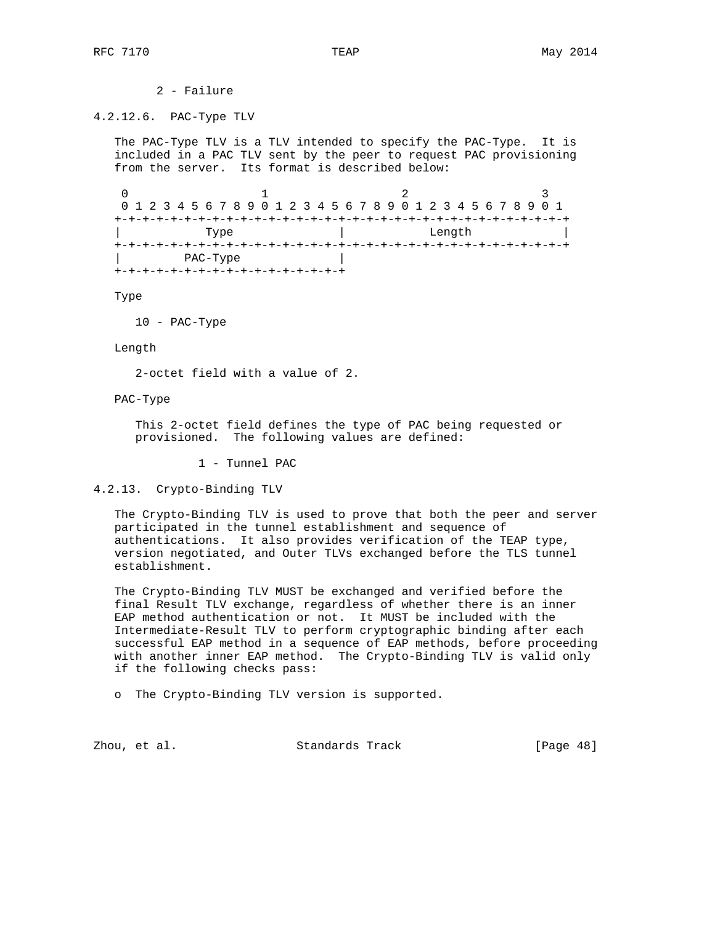2 - Failure

### 4.2.12.6. PAC-Type TLV

 The PAC-Type TLV is a TLV intended to specify the PAC-Type. It is included in a PAC TLV sent by the peer to request PAC provisioning from the server. Its format is described below:

0  $1$  2 3 0 1 2 3 4 5 6 7 8 9 0 1 2 3 4 5 6 7 8 9 0 1 2 3 4 5 6 7 8 9 0 1 +-+-+-+-+-+-+-+-+-+-+-+-+-+-+-+-+-+-+-+-+-+-+-+-+-+-+-+-+-+-+-+-+ | The Use of Length | The Use of Length | The Use of Length | The Use of Length | The Use of Length | The Use o +-+-+-+-+-+-+-+-+-+-+-+-+-+-+-+-+-+-+-+-+-+-+-+-+-+-+-+-+-+-+-+-+ | PAC-Type | +-+-+-+-+-+-+-+-+-+-+-+-+-+-+-+-+

Type

10 - PAC-Type

Length

2-octet field with a value of 2.

PAC-Type

 This 2-octet field defines the type of PAC being requested or provisioned. The following values are defined:

1 - Tunnel PAC

4.2.13. Crypto-Binding TLV

 The Crypto-Binding TLV is used to prove that both the peer and server participated in the tunnel establishment and sequence of authentications. It also provides verification of the TEAP type, version negotiated, and Outer TLVs exchanged before the TLS tunnel establishment.

 The Crypto-Binding TLV MUST be exchanged and verified before the final Result TLV exchange, regardless of whether there is an inner EAP method authentication or not. It MUST be included with the Intermediate-Result TLV to perform cryptographic binding after each successful EAP method in a sequence of EAP methods, before proceeding with another inner EAP method. The Crypto-Binding TLV is valid only if the following checks pass:

o The Crypto-Binding TLV version is supported.

Zhou, et al. Standards Track [Page 48]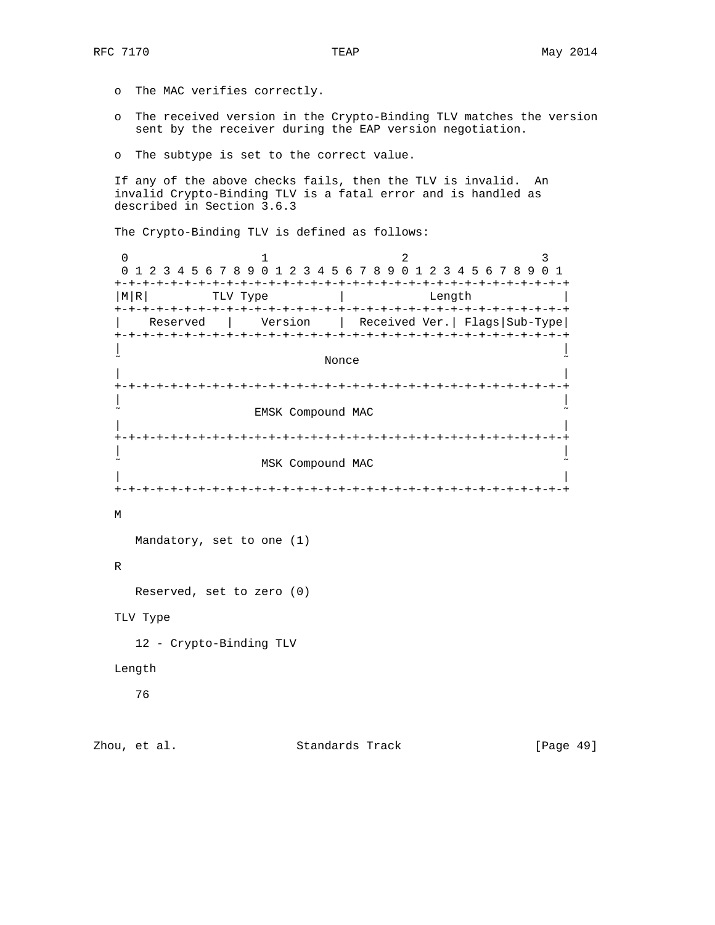- o The MAC verifies correctly.
- o The received version in the Crypto-Binding TLV matches the version sent by the receiver during the EAP version negotiation.
- o The subtype is set to the correct value.

 If any of the above checks fails, then the TLV is invalid. An invalid Crypto-Binding TLV is a fatal error and is handled as described in Section 3.6.3

The Crypto-Binding TLV is defined as follows:

0  $1$  2 3 0 1 2 3 4 5 6 7 8 9 0 1 2 3 4 5 6 7 8 9 0 1 2 3 4 5 6 7 8 9 0 1 +-+-+-+-+-+-+-+-+-+-+-+-+-+-+-+-+-+-+-+-+-+-+-+-+-+-+-+-+-+-+-+-+ |M|R| TLV Type | Length +-+-+-+-+-+-+-+-+-+-+-+-+-+-+-+-+-+-+-+-+-+-+-+-+-+-+-+-+-+-+-+-+ | Reserved | Version | Received Ver.| Flags|Sub-Type| +-+-+-+-+-+-+-+-+-+-+-+-+-+-+-+-+-+-+-+-+-+-+-+-+-+-+-+-+-+-+-+-+ | | ˜ Nonce ˜ | | +-+-+-+-+-+-+-+-+-+-+-+-+-+-+-+-+-+-+-+-+-+-+-+-+-+-+-+-+-+-+-+-+ | | EMSK Compound MAC | | +-+-+-+-+-+-+-+-+-+-+-+-+-+-+-+-+-+-+-+-+-+-+-+-+-+-+-+-+-+-+-+-+ | | MSK Compound MAC | | +-+-+-+-+-+-+-+-+-+-+-+-+-+-+-+-+-+-+-+-+-+-+-+-+-+-+-+-+-+-+-+-+ M Mandatory, set to one (1) R Reserved, set to zero (0) TLV Type 12 - Crypto-Binding TLV

# Length

76

Zhou, et al. Standards Track [Page 49]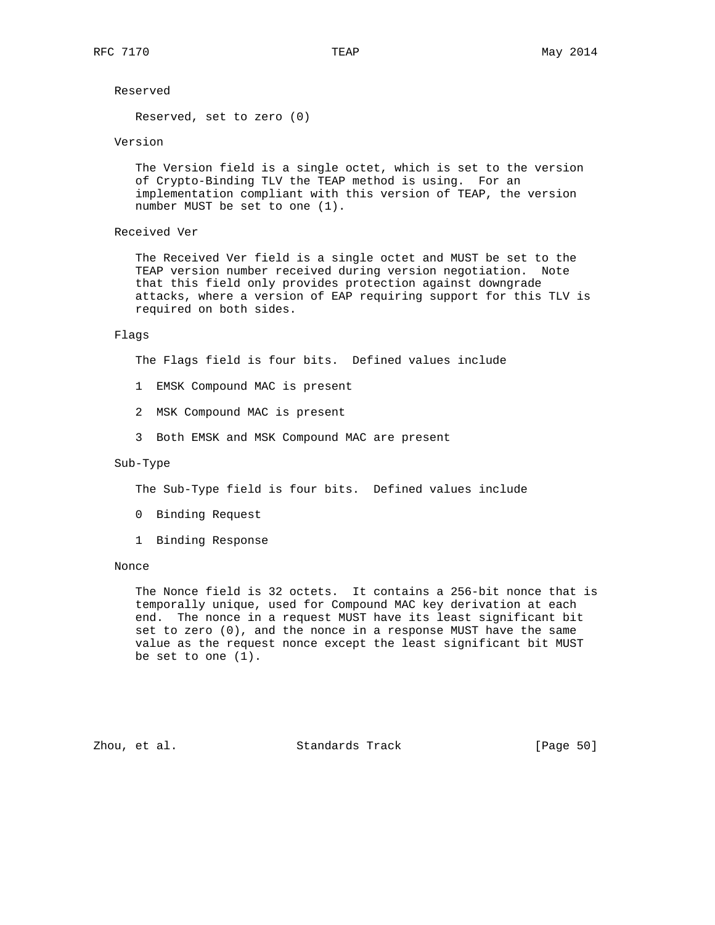Reserved

Reserved, set to zero (0)

### Version

 The Version field is a single octet, which is set to the version of Crypto-Binding TLV the TEAP method is using. For an implementation compliant with this version of TEAP, the version number MUST be set to one (1).

## Received Ver

 The Received Ver field is a single octet and MUST be set to the TEAP version number received during version negotiation. Note that this field only provides protection against downgrade attacks, where a version of EAP requiring support for this TLV is required on both sides.

### Flags

The Flags field is four bits. Defined values include

- 1 EMSK Compound MAC is present
- 2 MSK Compound MAC is present
- 3 Both EMSK and MSK Compound MAC are present

# Sub-Type

The Sub-Type field is four bits. Defined values include

- 0 Binding Request
- 1 Binding Response

#### Nonce

 The Nonce field is 32 octets. It contains a 256-bit nonce that is temporally unique, used for Compound MAC key derivation at each end. The nonce in a request MUST have its least significant bit set to zero (0), and the nonce in a response MUST have the same value as the request nonce except the least significant bit MUST be set to one (1).

Zhou, et al. Standards Track [Page 50]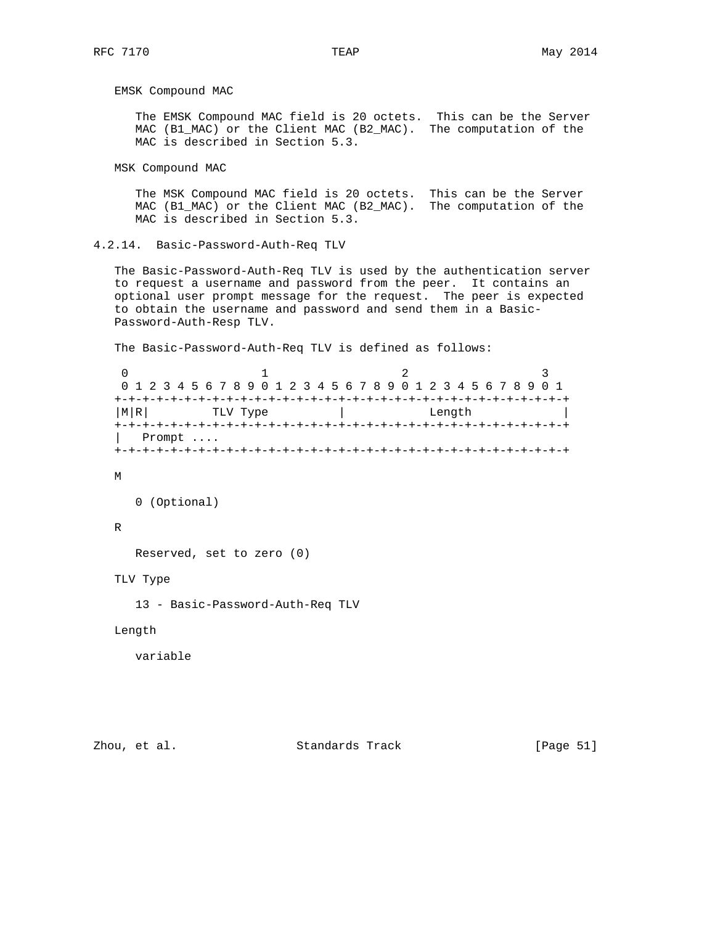EMSK Compound MAC

 The EMSK Compound MAC field is 20 octets. This can be the Server MAC (B1\_MAC) or the Client MAC (B2\_MAC). The computation of the MAC is described in Section 5.3.

MSK Compound MAC

 The MSK Compound MAC field is 20 octets. This can be the Server MAC (B1\_MAC) or the Client MAC (B2\_MAC). The computation of the MAC is described in Section 5.3.

4.2.14. Basic-Password-Auth-Req TLV

 The Basic-Password-Auth-Req TLV is used by the authentication server to request a username and password from the peer. It contains an optional user prompt message for the request. The peer is expected to obtain the username and password and send them in a Basic- Password-Auth-Resp TLV.

The Basic-Password-Auth-Req TLV is defined as follows:

```
0 1 2 3
 0 1 2 3 4 5 6 7 8 9 0 1 2 3 4 5 6 7 8 9 0 1 2 3 4 5 6 7 8 9 0 1
 +-+-+-+-+-+-+-+-+-+-+-+-+-+-+-+-+-+-+-+-+-+-+-+-+-+-+-+-+-+-+-+-+
| M|R| TLV Type | Length
 +-+-+-+-+-+-+-+-+-+-+-+-+-+-+-+-+-+-+-+-+-+-+-+-+-+-+-+-+-+-+-+-+
 | Prompt ....
 +-+-+-+-+-+-+-+-+-+-+-+-+-+-+-+-+-+-+-+-+-+-+-+-+-+-+-+-+-+-+-+-+
```
M

```
 0 (Optional)
```
# R

Reserved, set to zero (0)

TLV Type

13 - Basic-Password-Auth-Req TLV

Length

variable

Zhou, et al. Standards Track [Page 51]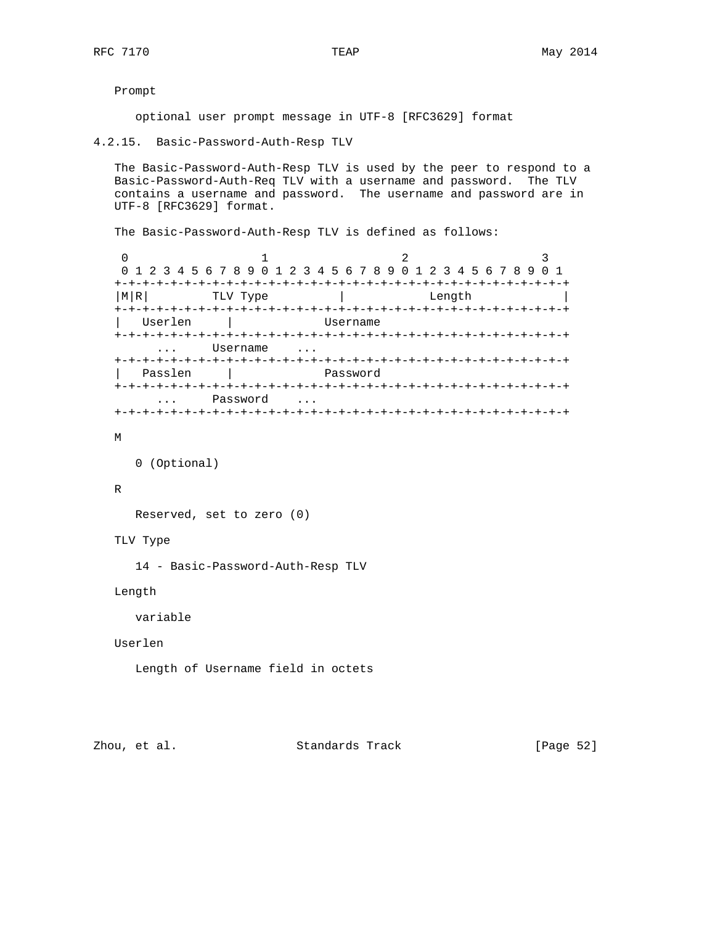Prompt

optional user prompt message in UTF-8 [RFC3629] format

4.2.15. Basic-Password-Auth-Resp TLV

 The Basic-Password-Auth-Resp TLV is used by the peer to respond to a Basic-Password-Auth-Req TLV with a username and password. The TLV contains a username and password. The username and password are in UTF-8 [RFC3629] format.

The Basic-Password-Auth-Resp TLV is defined as follows:

0  $1$  2 3 0 1 2 3 4 5 6 7 8 9 0 1 2 3 4 5 6 7 8 9 0 1 2 3 4 5 6 7 8 9 0 1 +-+-+-+-+-+-+-+-+-+-+-+-+-+-+-+-+-+-+-+-+-+-+-+-+-+-+-+-+-+-+-+-+ |M|R| TLV Type | Length +-+-+-+-+-+-+-+-+-+-+-+-+-+-+-+-+-+-+-+-+-+-+-+-+-+-+-+-+-+-+-+-+ | Userlen | Username +-+-+-+-+-+-+-+-+-+-+-+-+-+-+-+-+-+-+-+-+-+-+-+-+-+-+-+-+-+-+-+-+ ... Username ... +-+-+-+-+-+-+-+-+-+-+-+-+-+-+-+-+-+-+-+-+-+-+-+-+-+-+-+-+-+-+-+-+ | Passlen | Password +-+-+-+-+-+-+-+-+-+-+-+-+-+-+-+-+-+-+-+-+-+-+-+-+-+-+-+-+-+-+-+-+ ... Password ... +-+-+-+-+-+-+-+-+-+-+-+-+-+-+-+-+-+-+-+-+-+-+-+-+-+-+-+-+-+-+-+-+

M

```
 0 (Optional)
```
### R

Reserved, set to zero (0)

TLV Type

14 - Basic-Password-Auth-Resp TLV

Length

variable

Userlen

Length of Username field in octets

Zhou, et al. Standards Track [Page 52]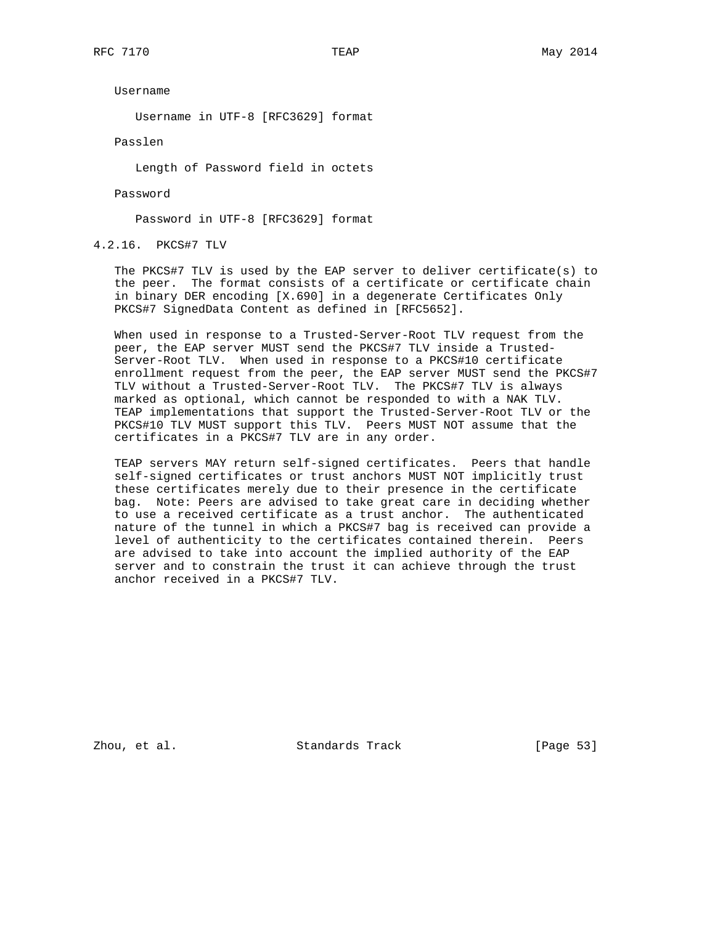Username

Username in UTF-8 [RFC3629] format

Passlen

Length of Password field in octets

Password

Password in UTF-8 [RFC3629] format

4.2.16. PKCS#7 TLV

 The PKCS#7 TLV is used by the EAP server to deliver certificate(s) to the peer. The format consists of a certificate or certificate chain in binary DER encoding [X.690] in a degenerate Certificates Only PKCS#7 SignedData Content as defined in [RFC5652].

 When used in response to a Trusted-Server-Root TLV request from the peer, the EAP server MUST send the PKCS#7 TLV inside a Trusted- Server-Root TLV. When used in response to a PKCS#10 certificate enrollment request from the peer, the EAP server MUST send the PKCS#7 TLV without a Trusted-Server-Root TLV. The PKCS#7 TLV is always marked as optional, which cannot be responded to with a NAK TLV. TEAP implementations that support the Trusted-Server-Root TLV or the PKCS#10 TLV MUST support this TLV. Peers MUST NOT assume that the certificates in a PKCS#7 TLV are in any order.

 TEAP servers MAY return self-signed certificates. Peers that handle self-signed certificates or trust anchors MUST NOT implicitly trust these certificates merely due to their presence in the certificate bag. Note: Peers are advised to take great care in deciding whether to use a received certificate as a trust anchor. The authenticated nature of the tunnel in which a PKCS#7 bag is received can provide a level of authenticity to the certificates contained therein. Peers are advised to take into account the implied authority of the EAP server and to constrain the trust it can achieve through the trust anchor received in a PKCS#7 TLV.

Zhou, et al. Standards Track [Page 53]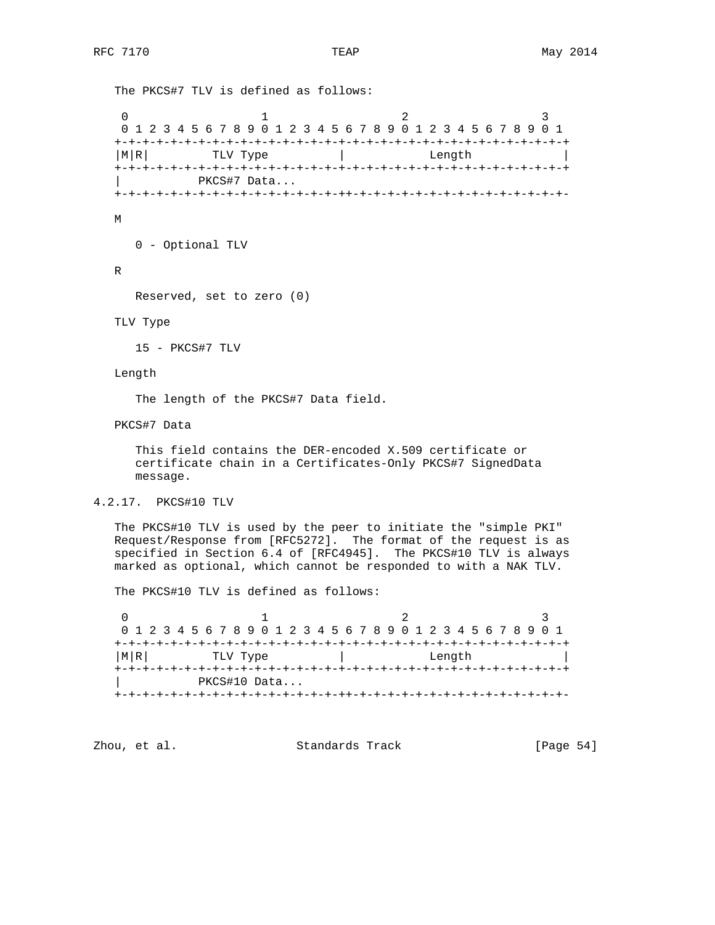The PKCS#7 TLV is defined as follows:

0  $1$  2 3 0 1 2 3 4 5 6 7 8 9 0 1 2 3 4 5 6 7 8 9 0 1 2 3 4 5 6 7 8 9 0 1 +-+-+-+-+-+-+-+-+-+-+-+-+-+-+-+-+-+-+-+-+-+-+-+-+-+-+-+-+-+-+-+-+  $|M|R|$  TLV Type  $|$  Length  $|$  +-+-+-+-+-+-+-+-+-+-+-+-+-+-+-+-+-+-+-+-+-+-+-+-+-+-+-+-+-+-+-+-+ | PKCS#7 Data...

+-+-+-+-+-+-+-+-+-+-+-+-+-+-+-+-++-+-+-+-+-+-+-+-+-+-+-+-+-+-+-+-

M

0 - Optional TLV

R

Reserved, set to zero (0)

TLV Type

15 - PKCS#7 TLV

Length

The length of the PKCS#7 Data field.

PKCS#7 Data

 This field contains the DER-encoded X.509 certificate or certificate chain in a Certificates-Only PKCS#7 SignedData message.

4.2.17. PKCS#10 TLV

 The PKCS#10 TLV is used by the peer to initiate the "simple PKI" Request/Response from [RFC5272]. The format of the request is as specified in Section 6.4 of [RFC4945]. The PKCS#10 TLV is always marked as optional, which cannot be responded to with a NAK TLV.

The PKCS#10 TLV is defined as follows:

| 0 1 2 3 4 5 6 7 8 9 0 1 2 3 4 5 6 7 8 9 0 1 2 3 4 5 6 7 8 9 0 1 |  |  |  |  |  |  |  |        |  |  |  |  |  |  |  |  |  |  |  |  |  |  |  |
|-----------------------------------------------------------------|--|--|--|--|--|--|--|--------|--|--|--|--|--|--|--|--|--|--|--|--|--|--|--|
|                                                                 |  |  |  |  |  |  |  |        |  |  |  |  |  |  |  |  |  |  |  |  |  |  |  |
| MRI<br>TLV Type                                                 |  |  |  |  |  |  |  | Length |  |  |  |  |  |  |  |  |  |  |  |  |  |  |  |
|                                                                 |  |  |  |  |  |  |  |        |  |  |  |  |  |  |  |  |  |  |  |  |  |  |  |
| PKCS#10 Data                                                    |  |  |  |  |  |  |  |        |  |  |  |  |  |  |  |  |  |  |  |  |  |  |  |
|                                                                 |  |  |  |  |  |  |  |        |  |  |  |  |  |  |  |  |  |  |  |  |  |  |  |

Zhou, et al. Standards Track [Page 54]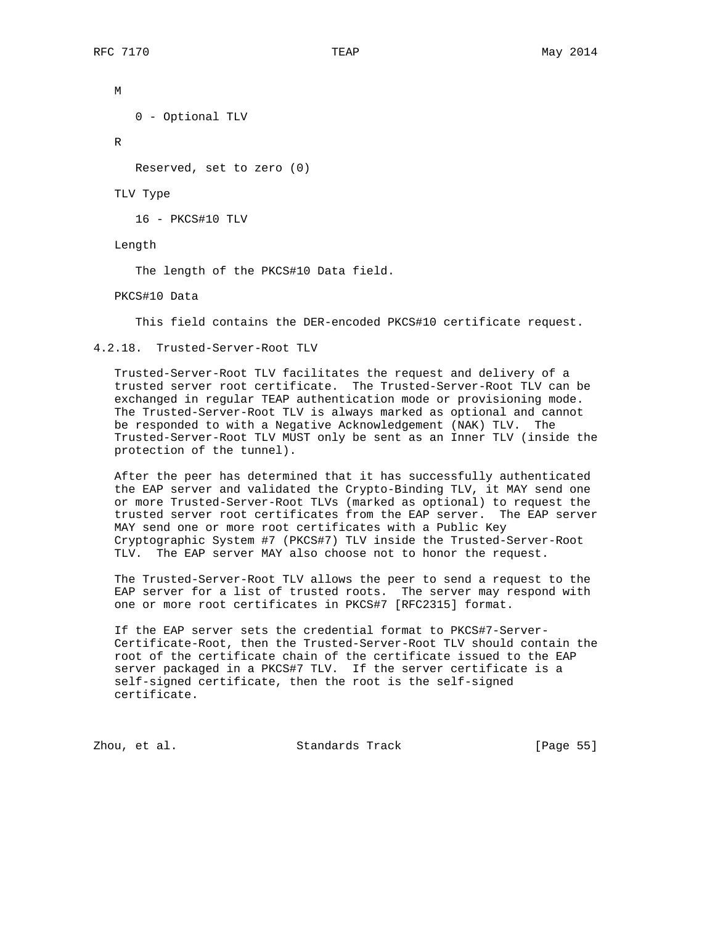M 0 - Optional TLV

R

Reserved, set to zero (0)

TLV Type

16 - PKCS#10 TLV

Length

The length of the PKCS#10 Data field.

PKCS#10 Data

This field contains the DER-encoded PKCS#10 certificate request.

4.2.18. Trusted-Server-Root TLV

 Trusted-Server-Root TLV facilitates the request and delivery of a trusted server root certificate. The Trusted-Server-Root TLV can be exchanged in regular TEAP authentication mode or provisioning mode. The Trusted-Server-Root TLV is always marked as optional and cannot be responded to with a Negative Acknowledgement (NAK) TLV. The Trusted-Server-Root TLV MUST only be sent as an Inner TLV (inside the protection of the tunnel).

 After the peer has determined that it has successfully authenticated the EAP server and validated the Crypto-Binding TLV, it MAY send one or more Trusted-Server-Root TLVs (marked as optional) to request the trusted server root certificates from the EAP server. The EAP server MAY send one or more root certificates with a Public Key Cryptographic System #7 (PKCS#7) TLV inside the Trusted-Server-Root TLV. The EAP server MAY also choose not to honor the request.

 The Trusted-Server-Root TLV allows the peer to send a request to the EAP server for a list of trusted roots. The server may respond with one or more root certificates in PKCS#7 [RFC2315] format.

 If the EAP server sets the credential format to PKCS#7-Server- Certificate-Root, then the Trusted-Server-Root TLV should contain the root of the certificate chain of the certificate issued to the EAP server packaged in a PKCS#7 TLV. If the server certificate is a self-signed certificate, then the root is the self-signed certificate.

Zhou, et al. Standards Track [Page 55]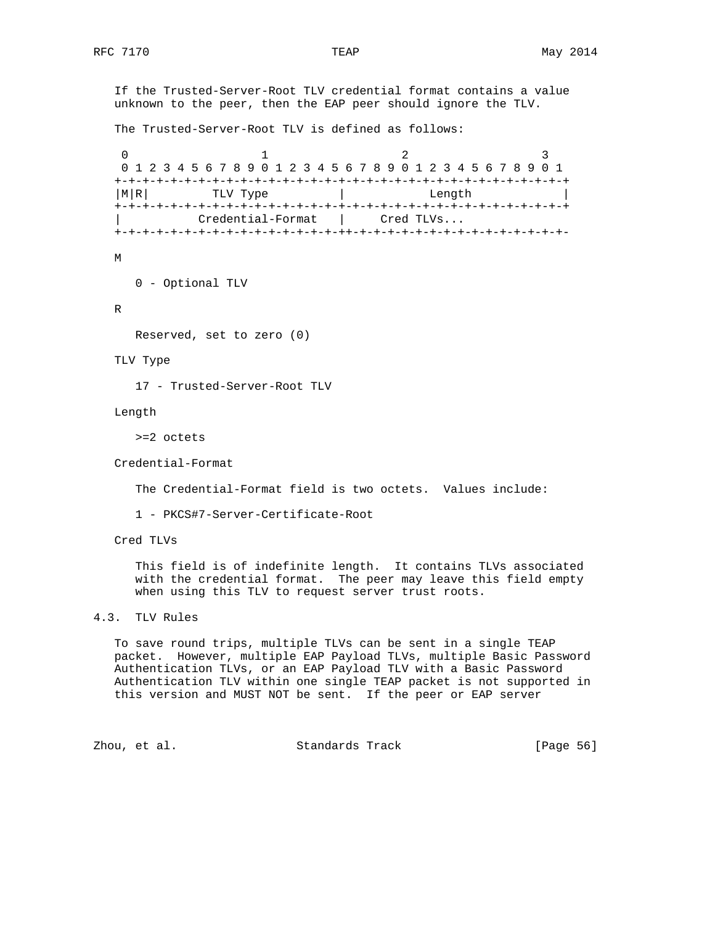If the Trusted-Server-Root TLV credential format contains a value unknown to the peer, then the EAP peer should ignore the TLV. The Trusted-Server-Root TLV is defined as follows: 0  $1$  2 3 0 1 2 3 4 5 6 7 8 9 0 1 2 3 4 5 6 7 8 9 0 1 2 3 4 5 6 7 8 9 0 1 +-+-+-+-+-+-+-+-+-+-+-+-+-+-+-+-+-+-+-+-+-+-+-+-+-+-+-+-+-+-+-+-+ | M|R| TLV Type | Length +-+-+-+-+-+-+-+-+-+-+-+-+-+-+-+-+-+-+-+-+-+-+-+-+-+-+-+-+-+-+-+-+ | Credential-Format | Cred TLVs... +-+-+-+-+-+-+-+-+-+-+-+-+-+-+-+-++-+-+-+-+-+-+-+-+-+-+-+-+-+-+-+- M 0 - Optional TLV R Reserved, set to zero (0) TLV Type 17 - Trusted-Server-Root TLV Length >=2 octets Credential-Format The Credential-Format field is two octets. Values include: 1 - PKCS#7-Server-Certificate-Root Cred TLVs This field is of indefinite length. It contains TLVs associated with the credential format. The peer may leave this field empty

### 4.3. TLV Rules

 To save round trips, multiple TLVs can be sent in a single TEAP packet. However, multiple EAP Payload TLVs, multiple Basic Password Authentication TLVs, or an EAP Payload TLV with a Basic Password Authentication TLV within one single TEAP packet is not supported in this version and MUST NOT be sent. If the peer or EAP server

when using this TLV to request server trust roots.

Zhou, et al. Standards Track [Page 56]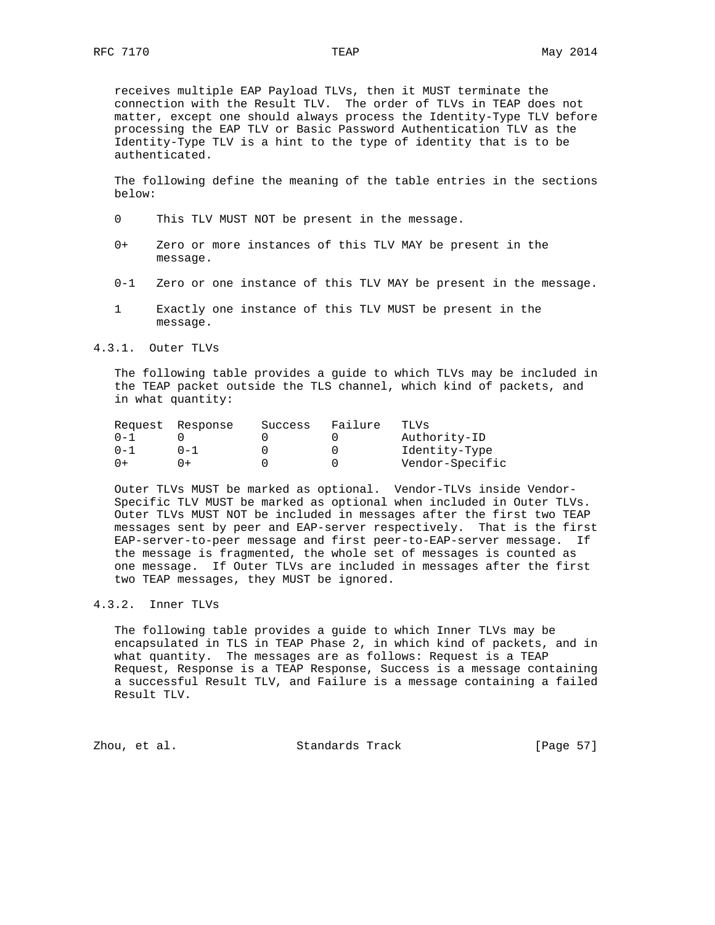receives multiple EAP Payload TLVs, then it MUST terminate the connection with the Result TLV. The order of TLVs in TEAP does not matter, except one should always process the Identity-Type TLV before processing the EAP TLV or Basic Password Authentication TLV as the Identity-Type TLV is a hint to the type of identity that is to be authenticated.

 The following define the meaning of the table entries in the sections below:

- 0 This TLV MUST NOT be present in the message.
- 0+ Zero or more instances of this TLV MAY be present in the message.
- 0-1 Zero or one instance of this TLV MAY be present in the message.
- 1 Exactly one instance of this TLV MUST be present in the message.
- 4.3.1. Outer TLVs

 The following table provides a guide to which TLVs may be included in the TEAP packet outside the TLS channel, which kind of packets, and in what quantity:

|         | Request Response | Success | Failure          | TLVs            |
|---------|------------------|---------|------------------|-----------------|
| $0 - 1$ |                  |         | $\cup$           | Authority-ID    |
| $0 - 1$ | $0 - 1$          |         | $\left( \right)$ | Identity-Type   |
| $0+$    |                  |         |                  | Vendor-Specific |

 Outer TLVs MUST be marked as optional. Vendor-TLVs inside Vendor- Specific TLV MUST be marked as optional when included in Outer TLVs. Outer TLVs MUST NOT be included in messages after the first two TEAP messages sent by peer and EAP-server respectively. That is the first EAP-server-to-peer message and first peer-to-EAP-server message. If the message is fragmented, the whole set of messages is counted as one message. If Outer TLVs are included in messages after the first two TEAP messages, they MUST be ignored.

### 4.3.2. Inner TLVs

 The following table provides a guide to which Inner TLVs may be encapsulated in TLS in TEAP Phase 2, in which kind of packets, and in what quantity. The messages are as follows: Request is a TEAP Request, Response is a TEAP Response, Success is a message containing a successful Result TLV, and Failure is a message containing a failed Result TLV.

Zhou, et al. Standards Track [Page 57]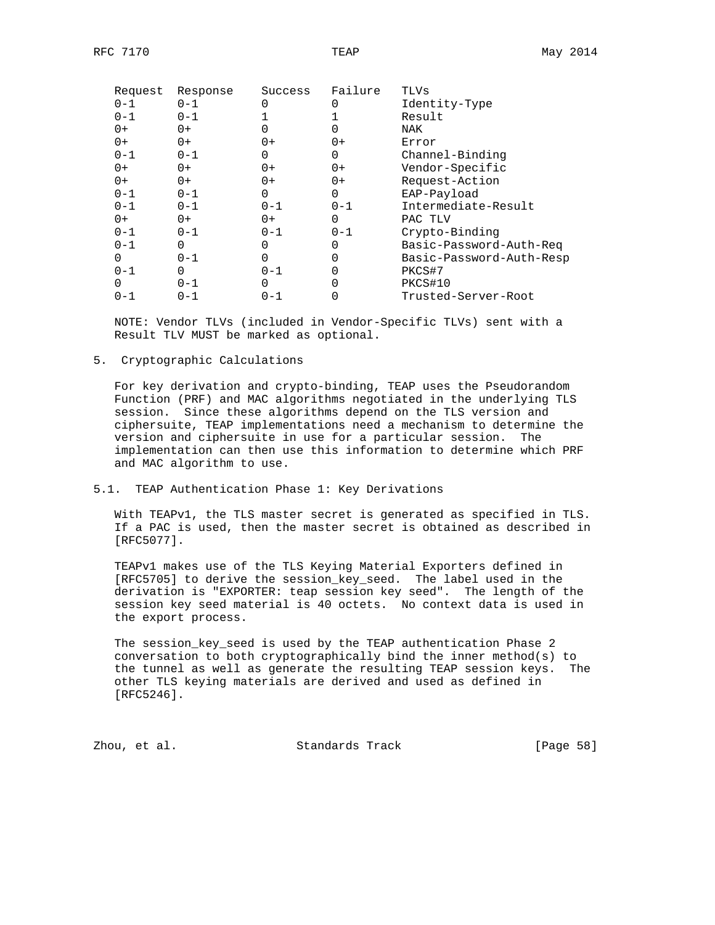| Request | Response | Success          | Failure | TLVs                     |
|---------|----------|------------------|---------|--------------------------|
| $0 - 1$ | $0 - 1$  | $\left( \right)$ |         | Identity-Type            |
| $0 - 1$ | $0 - 1$  |                  |         | Result                   |
| $0+$    | 0+       |                  |         | NAK                      |
| $0+$    | $0+$     | $0+$             | 0+      | Error                    |
| $0 - 1$ | $0 - 1$  | 0                | 0       | Channel-Binding          |
| $0+$    | 0+       | $0+$             | 0+      | Vendor-Specific          |
| $0+$    | $0+$     | $0+$             | 0+      | Request-Action           |
| $0 - 1$ | $0 - 1$  | 0                | 0       | EAP-Payload              |
| $0 - 1$ | $0 - 1$  | $0 - 1$          | $0 - 1$ | Intermediate-Result      |
| 0+      | 0+       | 0+               | 0       | PAC TLV                  |
| $0 - 1$ | $0 - 1$  | $0 - 1$          | $0 - 1$ | Crypto-Binding           |
| $0 - 1$ | 0        |                  |         | Basic-Password-Auth-Req  |
| 0       | $0 - 1$  | 0                |         | Basic-Password-Auth-Resp |
| $0 - 1$ | 0        | $0 - 1$          |         | PKCS#7                   |
| 0       | $0 - 1$  | 0                |         | PKCS#10                  |
| $0 - 1$ | 0-1      | $0 - 1$          |         | Trusted-Server-Root      |
|         |          |                  |         |                          |

 NOTE: Vendor TLVs (included in Vendor-Specific TLVs) sent with a Result TLV MUST be marked as optional.

5. Cryptographic Calculations

 For key derivation and crypto-binding, TEAP uses the Pseudorandom Function (PRF) and MAC algorithms negotiated in the underlying TLS session. Since these algorithms depend on the TLS version and ciphersuite, TEAP implementations need a mechanism to determine the version and ciphersuite in use for a particular session. The implementation can then use this information to determine which PRF and MAC algorithm to use.

5.1. TEAP Authentication Phase 1: Key Derivations

 With TEAPv1, the TLS master secret is generated as specified in TLS. If a PAC is used, then the master secret is obtained as described in [RFC5077].

 TEAPv1 makes use of the TLS Keying Material Exporters defined in [RFC5705] to derive the session\_key\_seed. The label used in the derivation is "EXPORTER: teap session key seed". The length of the session key seed material is 40 octets. No context data is used in the export process.

 The session\_key\_seed is used by the TEAP authentication Phase 2 conversation to both cryptographically bind the inner method(s) to the tunnel as well as generate the resulting TEAP session keys. The other TLS keying materials are derived and used as defined in [RFC5246].

Zhou, et al. Standards Track [Page 58]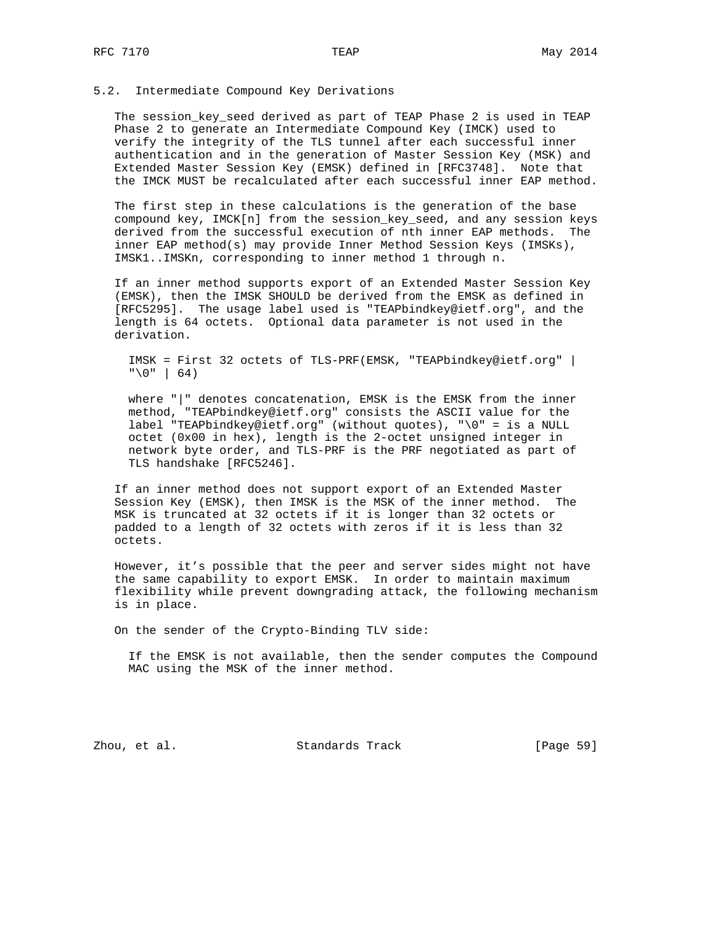### 5.2. Intermediate Compound Key Derivations

 The session\_key\_seed derived as part of TEAP Phase 2 is used in TEAP Phase 2 to generate an Intermediate Compound Key (IMCK) used to verify the integrity of the TLS tunnel after each successful inner authentication and in the generation of Master Session Key (MSK) and Extended Master Session Key (EMSK) defined in [RFC3748]. Note that the IMCK MUST be recalculated after each successful inner EAP method.

 The first step in these calculations is the generation of the base compound key, IMCK[n] from the session\_key\_seed, and any session keys derived from the successful execution of nth inner EAP methods. The inner EAP method(s) may provide Inner Method Session Keys (IMSKs), IMSK1..IMSKn, corresponding to inner method 1 through n.

 If an inner method supports export of an Extended Master Session Key (EMSK), then the IMSK SHOULD be derived from the EMSK as defined in [RFC5295]. The usage label used is "TEAPbindkey@ietf.org", and the length is 64 octets. Optional data parameter is not used in the derivation.

 IMSK = First 32 octets of TLS-PRF(EMSK, "TEAPbindkey@ietf.org" |  $" \ 0" | 64)$ 

 where "|" denotes concatenation, EMSK is the EMSK from the inner method, "TEAPbindkey@ietf.org" consists the ASCII value for the label "TEAPbindkey@ietf.org" (without quotes), "\0" = is a NULL octet (0x00 in hex), length is the 2-octet unsigned integer in network byte order, and TLS-PRF is the PRF negotiated as part of TLS handshake [RFC5246].

 If an inner method does not support export of an Extended Master Session Key (EMSK), then IMSK is the MSK of the inner method. The MSK is truncated at 32 octets if it is longer than 32 octets or padded to a length of 32 octets with zeros if it is less than 32 octets.

 However, it's possible that the peer and server sides might not have the same capability to export EMSK. In order to maintain maximum flexibility while prevent downgrading attack, the following mechanism is in place.

On the sender of the Crypto-Binding TLV side:

 If the EMSK is not available, then the sender computes the Compound MAC using the MSK of the inner method.

Zhou, et al. Standards Track [Page 59]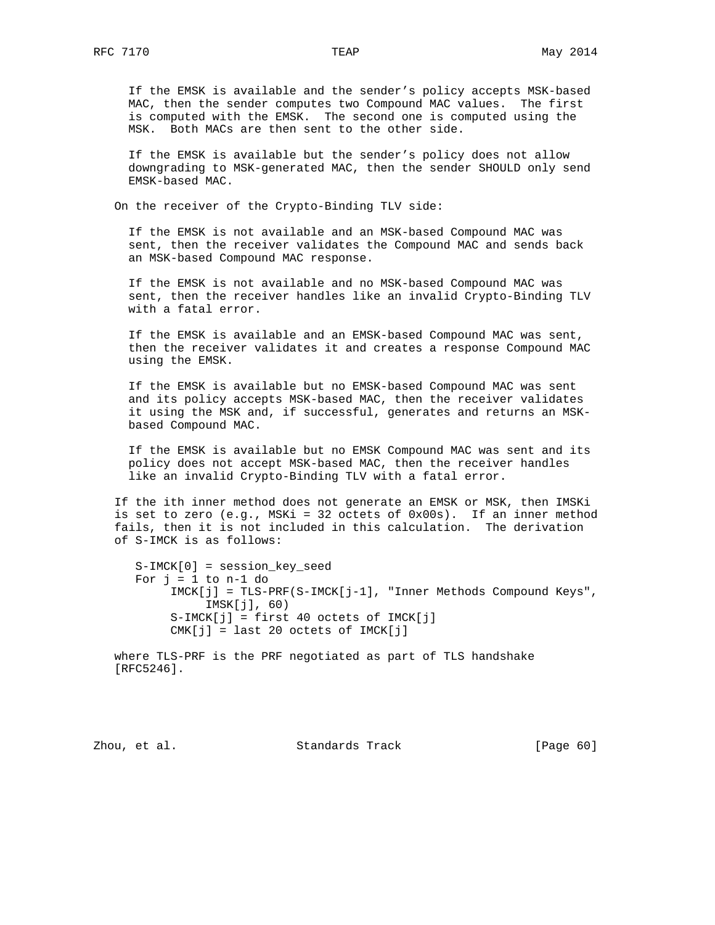If the EMSK is available and the sender's policy accepts MSK-based MAC, then the sender computes two Compound MAC values. The first is computed with the EMSK. The second one is computed using the MSK. Both MACs are then sent to the other side.

 If the EMSK is available but the sender's policy does not allow downgrading to MSK-generated MAC, then the sender SHOULD only send EMSK-based MAC.

On the receiver of the Crypto-Binding TLV side:

 If the EMSK is not available and an MSK-based Compound MAC was sent, then the receiver validates the Compound MAC and sends back an MSK-based Compound MAC response.

 If the EMSK is not available and no MSK-based Compound MAC was sent, then the receiver handles like an invalid Crypto-Binding TLV with a fatal error.

 If the EMSK is available and an EMSK-based Compound MAC was sent, then the receiver validates it and creates a response Compound MAC using the EMSK.

 If the EMSK is available but no EMSK-based Compound MAC was sent and its policy accepts MSK-based MAC, then the receiver validates it using the MSK and, if successful, generates and returns an MSK based Compound MAC.

 If the EMSK is available but no EMSK Compound MAC was sent and its policy does not accept MSK-based MAC, then the receiver handles like an invalid Crypto-Binding TLV with a fatal error.

 If the ith inner method does not generate an EMSK or MSK, then IMSKi is set to zero  $(e.g., MSKi = 32$  octets of  $0x00s$ ). If an inner method fails, then it is not included in this calculation. The derivation of S-IMCK is as follows:

 S-IMCK[0] = session\_key\_seed For  $j = 1$  to  $n-1$  do IMCK[j] = TLS-PRF(S-IMCK[j-1], "Inner Methods Compound Keys", IMSK[j], 60)  $S-IMCK[j] = first 40 octets of IMCK[j]$ CMK[j] = last 20 octets of IMCK[j]

 where TLS-PRF is the PRF negotiated as part of TLS handshake [RFC5246].

Zhou, et al. Standards Track [Page 60]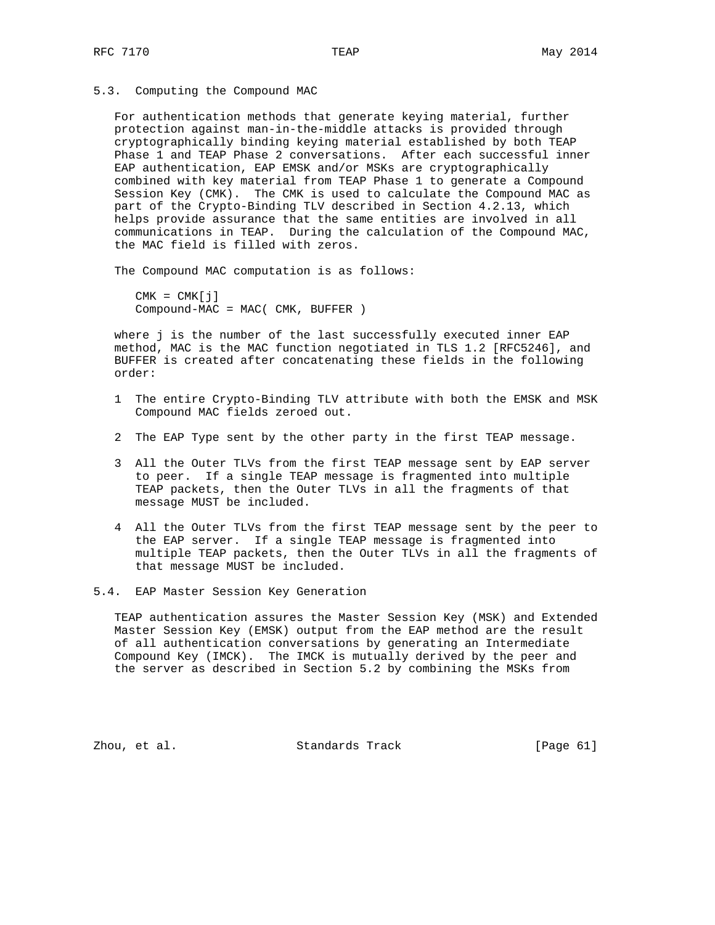5.3. Computing the Compound MAC

 For authentication methods that generate keying material, further protection against man-in-the-middle attacks is provided through cryptographically binding keying material established by both TEAP Phase 1 and TEAP Phase 2 conversations. After each successful inner EAP authentication, EAP EMSK and/or MSKs are cryptographically combined with key material from TEAP Phase 1 to generate a Compound Session Key (CMK). The CMK is used to calculate the Compound MAC as part of the Crypto-Binding TLV described in Section 4.2.13, which helps provide assurance that the same entities are involved in all communications in TEAP. During the calculation of the Compound MAC, the MAC field is filled with zeros.

The Compound MAC computation is as follows:

 $CMK = CMK[j]$ Compound-MAC = MAC( CMK, BUFFER )

 where j is the number of the last successfully executed inner EAP method, MAC is the MAC function negotiated in TLS 1.2 [RFC5246], and BUFFER is created after concatenating these fields in the following order:

- 1 The entire Crypto-Binding TLV attribute with both the EMSK and MSK Compound MAC fields zeroed out.
- 2 The EAP Type sent by the other party in the first TEAP message.
- 3 All the Outer TLVs from the first TEAP message sent by EAP server to peer. If a single TEAP message is fragmented into multiple TEAP packets, then the Outer TLVs in all the fragments of that message MUST be included.
- 4 All the Outer TLVs from the first TEAP message sent by the peer to the EAP server. If a single TEAP message is fragmented into multiple TEAP packets, then the Outer TLVs in all the fragments of that message MUST be included.

5.4. EAP Master Session Key Generation

 TEAP authentication assures the Master Session Key (MSK) and Extended Master Session Key (EMSK) output from the EAP method are the result of all authentication conversations by generating an Intermediate Compound Key (IMCK). The IMCK is mutually derived by the peer and the server as described in Section 5.2 by combining the MSKs from

Zhou, et al. Standards Track [Page 61]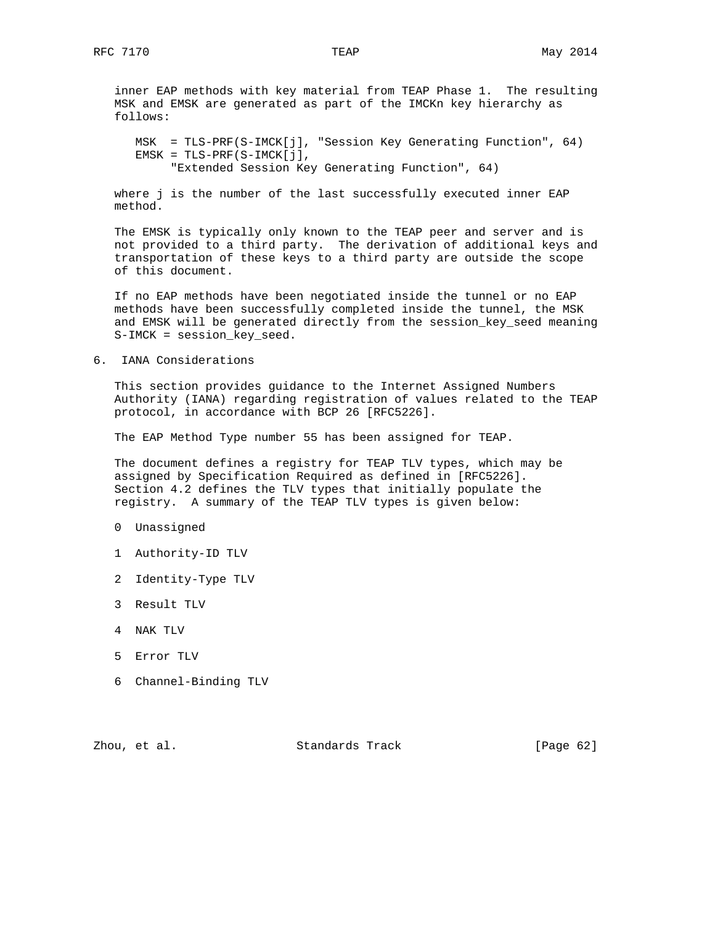inner EAP methods with key material from TEAP Phase 1. The resulting MSK and EMSK are generated as part of the IMCKn key hierarchy as follows:

 MSK = TLS-PRF(S-IMCK[j], "Session Key Generating Function", 64) EMSK = TLS-PRF(S-IMCK[j], "Extended Session Key Generating Function", 64)

 where j is the number of the last successfully executed inner EAP method.

 The EMSK is typically only known to the TEAP peer and server and is not provided to a third party. The derivation of additional keys and transportation of these keys to a third party are outside the scope of this document.

 If no EAP methods have been negotiated inside the tunnel or no EAP methods have been successfully completed inside the tunnel, the MSK and EMSK will be generated directly from the session\_key\_seed meaning S-IMCK = session\_key\_seed.

6. IANA Considerations

 This section provides guidance to the Internet Assigned Numbers Authority (IANA) regarding registration of values related to the TEAP protocol, in accordance with BCP 26 [RFC5226].

The EAP Method Type number 55 has been assigned for TEAP.

 The document defines a registry for TEAP TLV types, which may be assigned by Specification Required as defined in [RFC5226]. Section 4.2 defines the TLV types that initially populate the registry. A summary of the TEAP TLV types is given below:

- 0 Unassigned
- 1 Authority-ID TLV
- 2 Identity-Type TLV
- 3 Result TLV
- 4 NAK TLV
- 5 Error TLV
- 6 Channel-Binding TLV

Zhou, et al. Standards Track [Page 62]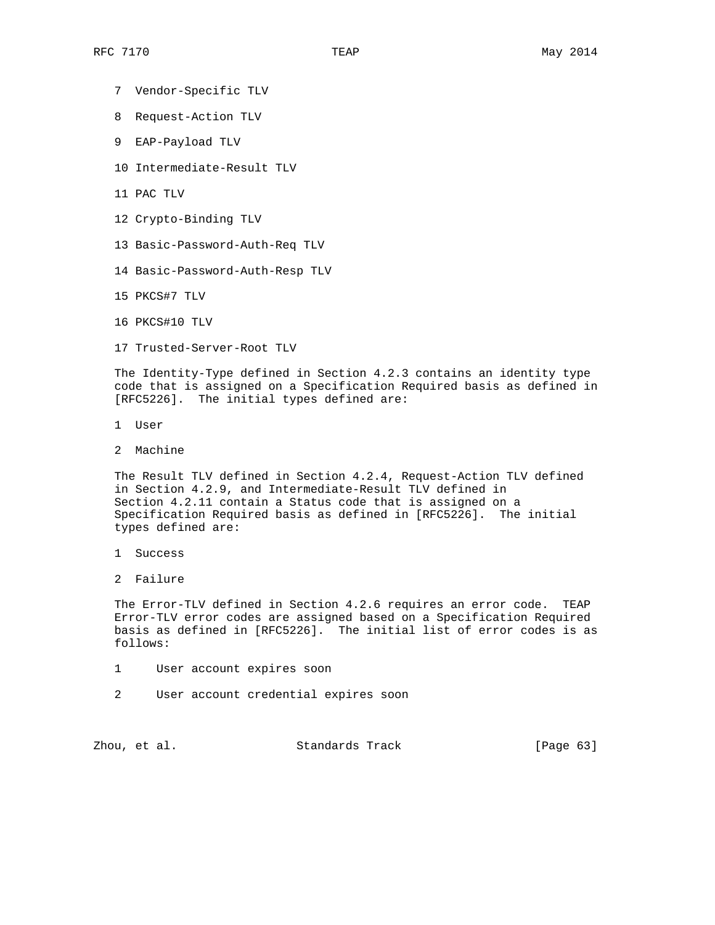- 7 Vendor-Specific TLV
- 8 Request-Action TLV
- 9 EAP-Payload TLV
- 10 Intermediate-Result TLV
- 11 PAC TLV
- 12 Crypto-Binding TLV
- 13 Basic-Password-Auth-Req TLV
- 14 Basic-Password-Auth-Resp TLV
- 15 PKCS#7 TLV
- 16 PKCS#10 TLV
- 17 Trusted-Server-Root TLV

 The Identity-Type defined in Section 4.2.3 contains an identity type code that is assigned on a Specification Required basis as defined in [RFC5226]. The initial types defined are:

- 1 User
- 2 Machine

 The Result TLV defined in Section 4.2.4, Request-Action TLV defined in Section 4.2.9, and Intermediate-Result TLV defined in Section 4.2.11 contain a Status code that is assigned on a Specification Required basis as defined in [RFC5226]. The initial types defined are:

- 1 Success
- 2 Failure

 The Error-TLV defined in Section 4.2.6 requires an error code. TEAP Error-TLV error codes are assigned based on a Specification Required basis as defined in [RFC5226]. The initial list of error codes is as follows:

- 1 User account expires soon
- 2 User account credential expires soon

Zhou, et al. Standards Track [Page 63]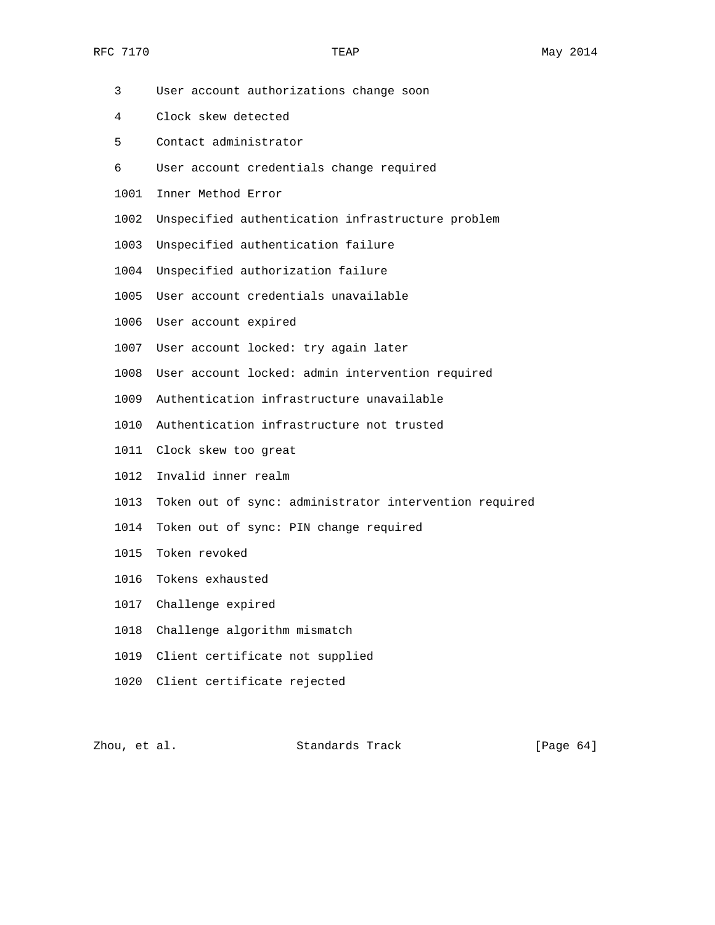- 3 User account authorizations change soon
- 4 Clock skew detected
- 5 Contact administrator
- 6 User account credentials change required
- 1001 Inner Method Error
- 1002 Unspecified authentication infrastructure problem
- 1003 Unspecified authentication failure
- 1004 Unspecified authorization failure
- 1005 User account credentials unavailable
- 1006 User account expired
- 1007 User account locked: try again later
- 1008 User account locked: admin intervention required
- 1009 Authentication infrastructure unavailable
- 1010 Authentication infrastructure not trusted
- 1011 Clock skew too great
- 1012 Invalid inner realm
- 1013 Token out of sync: administrator intervention required
- 1014 Token out of sync: PIN change required
- 1015 Token revoked
- 1016 Tokens exhausted
- 1017 Challenge expired
- 1018 Challenge algorithm mismatch
- 1019 Client certificate not supplied
- 1020 Client certificate rejected

Zhou, et al. Standards Track [Page 64]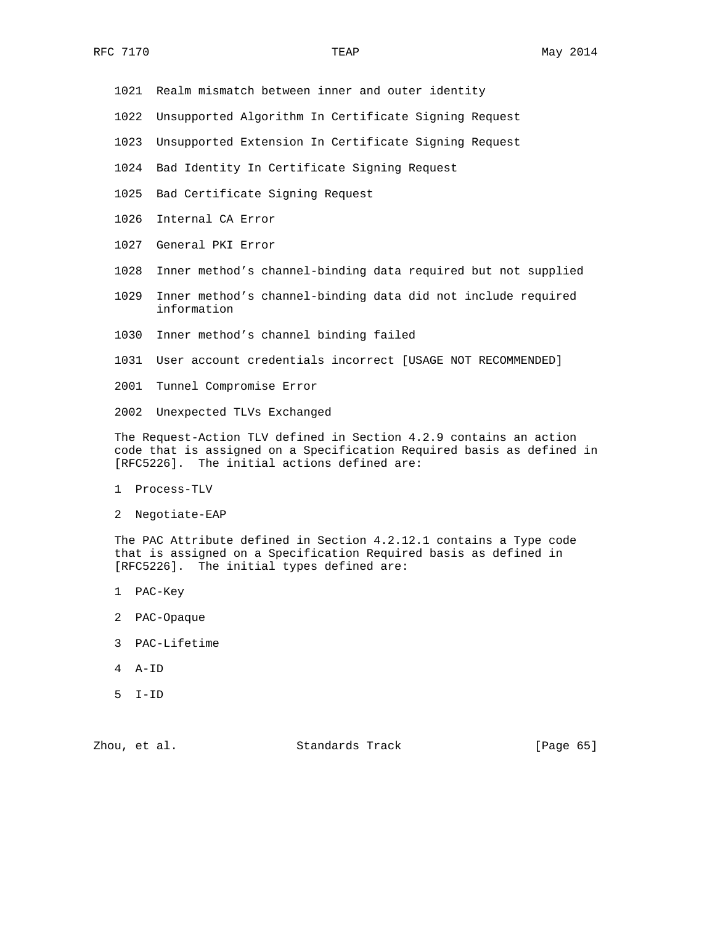- 1021 Realm mismatch between inner and outer identity
- 1022 Unsupported Algorithm In Certificate Signing Request
- 1023 Unsupported Extension In Certificate Signing Request
- 1024 Bad Identity In Certificate Signing Request
- 1025 Bad Certificate Signing Request
- 1026 Internal CA Error
- 1027 General PKI Error
- 1028 Inner method's channel-binding data required but not supplied
- 1029 Inner method's channel-binding data did not include required information
- 1030 Inner method's channel binding failed
- 1031 User account credentials incorrect [USAGE NOT RECOMMENDED]
- 2001 Tunnel Compromise Error
- 2002 Unexpected TLVs Exchanged

 The Request-Action TLV defined in Section 4.2.9 contains an action code that is assigned on a Specification Required basis as defined in [RFC5226]. The initial actions defined are:

- 1 Process-TLV
- 2 Negotiate-EAP

 The PAC Attribute defined in Section 4.2.12.1 contains a Type code that is assigned on a Specification Required basis as defined in [RFC5226]. The initial types defined are:

- 1 PAC-Key
- 2 PAC-Opaque
- 3 PAC-Lifetime
- 4 A-ID
- 5 I-ID

Zhou, et al. Standards Track [Page 65]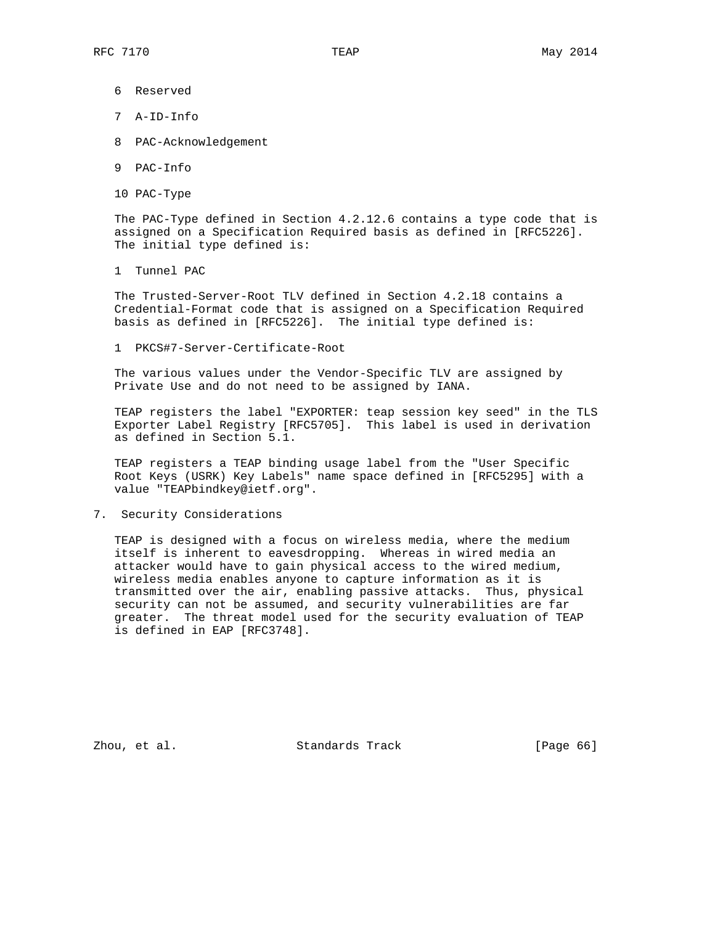- 6 Reserved
- 7 A-ID-Info
- 8 PAC-Acknowledgement
- 9 PAC-Info
- 10 PAC-Type

 The PAC-Type defined in Section 4.2.12.6 contains a type code that is assigned on a Specification Required basis as defined in [RFC5226]. The initial type defined is:

1 Tunnel PAC

 The Trusted-Server-Root TLV defined in Section 4.2.18 contains a Credential-Format code that is assigned on a Specification Required basis as defined in [RFC5226]. The initial type defined is:

1 PKCS#7-Server-Certificate-Root

 The various values under the Vendor-Specific TLV are assigned by Private Use and do not need to be assigned by IANA.

 TEAP registers the label "EXPORTER: teap session key seed" in the TLS Exporter Label Registry [RFC5705]. This label is used in derivation as defined in Section 5.1.

 TEAP registers a TEAP binding usage label from the "User Specific Root Keys (USRK) Key Labels" name space defined in [RFC5295] with a value "TEAPbindkey@ietf.org".

7. Security Considerations

 TEAP is designed with a focus on wireless media, where the medium itself is inherent to eavesdropping. Whereas in wired media an attacker would have to gain physical access to the wired medium, wireless media enables anyone to capture information as it is transmitted over the air, enabling passive attacks. Thus, physical security can not be assumed, and security vulnerabilities are far greater. The threat model used for the security evaluation of TEAP is defined in EAP [RFC3748].

Zhou, et al. Standards Track [Page 66]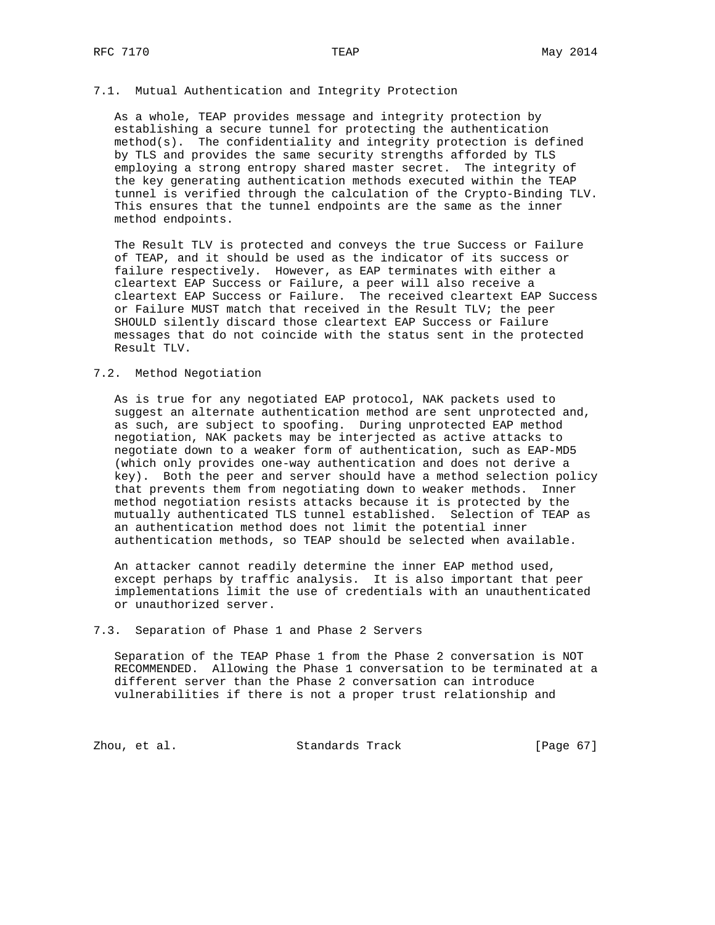### 7.1. Mutual Authentication and Integrity Protection

 As a whole, TEAP provides message and integrity protection by establishing a secure tunnel for protecting the authentication method(s). The confidentiality and integrity protection is defined by TLS and provides the same security strengths afforded by TLS employing a strong entropy shared master secret. The integrity of the key generating authentication methods executed within the TEAP tunnel is verified through the calculation of the Crypto-Binding TLV. This ensures that the tunnel endpoints are the same as the inner method endpoints.

 The Result TLV is protected and conveys the true Success or Failure of TEAP, and it should be used as the indicator of its success or failure respectively. However, as EAP terminates with either a cleartext EAP Success or Failure, a peer will also receive a cleartext EAP Success or Failure. The received cleartext EAP Success or Failure MUST match that received in the Result TLV; the peer SHOULD silently discard those cleartext EAP Success or Failure messages that do not coincide with the status sent in the protected Result TLV.

### 7.2. Method Negotiation

 As is true for any negotiated EAP protocol, NAK packets used to suggest an alternate authentication method are sent unprotected and, as such, are subject to spoofing. During unprotected EAP method negotiation, NAK packets may be interjected as active attacks to negotiate down to a weaker form of authentication, such as EAP-MD5 (which only provides one-way authentication and does not derive a key). Both the peer and server should have a method selection policy that prevents them from negotiating down to weaker methods. Inner method negotiation resists attacks because it is protected by the mutually authenticated TLS tunnel established. Selection of TEAP as an authentication method does not limit the potential inner authentication methods, so TEAP should be selected when available.

 An attacker cannot readily determine the inner EAP method used, except perhaps by traffic analysis. It is also important that peer implementations limit the use of credentials with an unauthenticated or unauthorized server.

### 7.3. Separation of Phase 1 and Phase 2 Servers

 Separation of the TEAP Phase 1 from the Phase 2 conversation is NOT RECOMMENDED. Allowing the Phase 1 conversation to be terminated at a different server than the Phase 2 conversation can introduce vulnerabilities if there is not a proper trust relationship and

Zhou, et al. Standards Track [Page 67]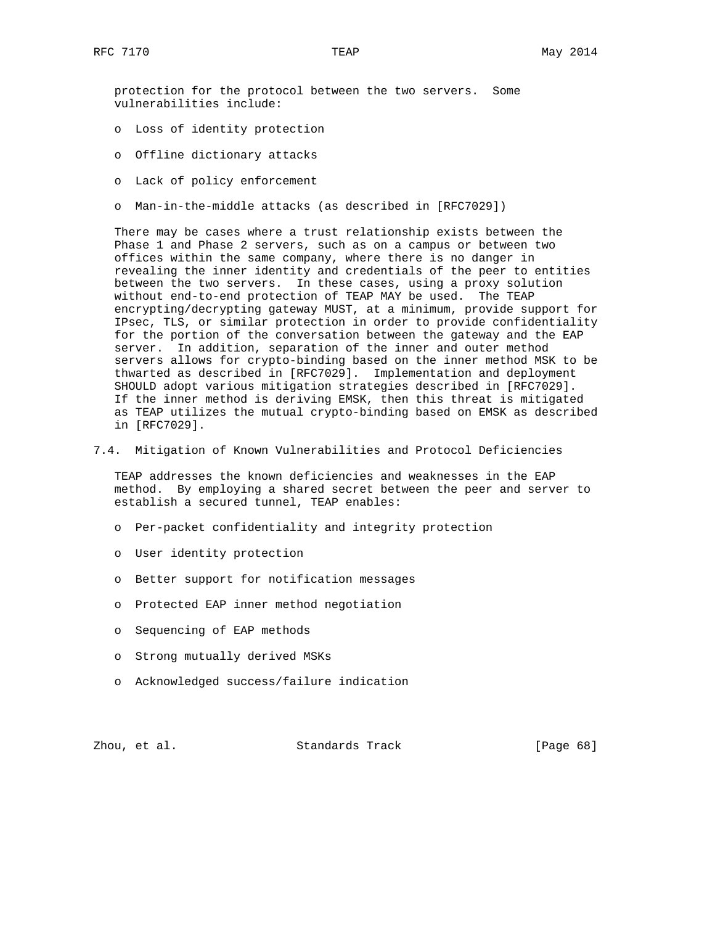protection for the protocol between the two servers. Some vulnerabilities include:

- o Loss of identity protection
- o Offline dictionary attacks
- o Lack of policy enforcement
- o Man-in-the-middle attacks (as described in [RFC7029])

 There may be cases where a trust relationship exists between the Phase 1 and Phase 2 servers, such as on a campus or between two offices within the same company, where there is no danger in revealing the inner identity and credentials of the peer to entities between the two servers. In these cases, using a proxy solution without end-to-end protection of TEAP MAY be used. The TEAP encrypting/decrypting gateway MUST, at a minimum, provide support for IPsec, TLS, or similar protection in order to provide confidentiality for the portion of the conversation between the gateway and the EAP server. In addition, separation of the inner and outer method servers allows for crypto-binding based on the inner method MSK to be thwarted as described in [RFC7029]. Implementation and deployment SHOULD adopt various mitigation strategies described in [RFC7029]. If the inner method is deriving EMSK, then this threat is mitigated as TEAP utilizes the mutual crypto-binding based on EMSK as described in [RFC7029].

7.4. Mitigation of Known Vulnerabilities and Protocol Deficiencies

 TEAP addresses the known deficiencies and weaknesses in the EAP method. By employing a shared secret between the peer and server to establish a secured tunnel, TEAP enables:

- o Per-packet confidentiality and integrity protection
- o User identity protection
- o Better support for notification messages
- o Protected EAP inner method negotiation
- o Sequencing of EAP methods
- o Strong mutually derived MSKs
- o Acknowledged success/failure indication

Zhou, et al. Standards Track [Page 68]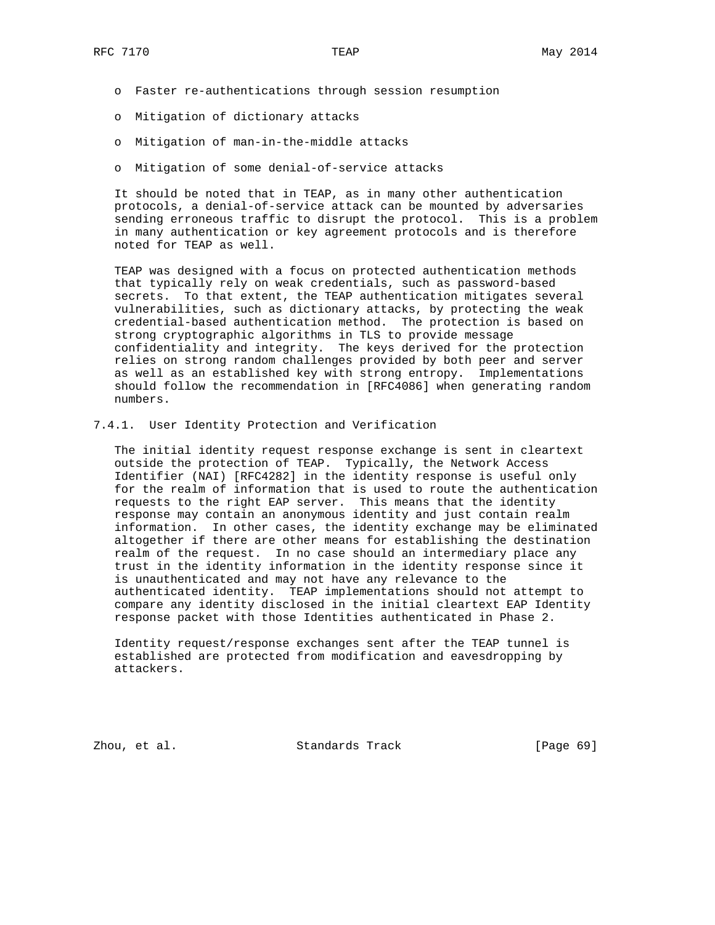- o Faster re-authentications through session resumption
- o Mitigation of dictionary attacks
- o Mitigation of man-in-the-middle attacks
- o Mitigation of some denial-of-service attacks

 It should be noted that in TEAP, as in many other authentication protocols, a denial-of-service attack can be mounted by adversaries sending erroneous traffic to disrupt the protocol. This is a problem in many authentication or key agreement protocols and is therefore noted for TEAP as well.

 TEAP was designed with a focus on protected authentication methods that typically rely on weak credentials, such as password-based secrets. To that extent, the TEAP authentication mitigates several vulnerabilities, such as dictionary attacks, by protecting the weak credential-based authentication method. The protection is based on strong cryptographic algorithms in TLS to provide message confidentiality and integrity. The keys derived for the protection relies on strong random challenges provided by both peer and server as well as an established key with strong entropy. Implementations should follow the recommendation in [RFC4086] when generating random numbers.

7.4.1. User Identity Protection and Verification

 The initial identity request response exchange is sent in cleartext outside the protection of TEAP. Typically, the Network Access Identifier (NAI) [RFC4282] in the identity response is useful only for the realm of information that is used to route the authentication requests to the right EAP server. This means that the identity response may contain an anonymous identity and just contain realm information. In other cases, the identity exchange may be eliminated altogether if there are other means for establishing the destination realm of the request. In no case should an intermediary place any trust in the identity information in the identity response since it is unauthenticated and may not have any relevance to the authenticated identity. TEAP implementations should not attempt to compare any identity disclosed in the initial cleartext EAP Identity response packet with those Identities authenticated in Phase 2.

 Identity request/response exchanges sent after the TEAP tunnel is established are protected from modification and eavesdropping by attackers.

Zhou, et al. Standards Track [Page 69]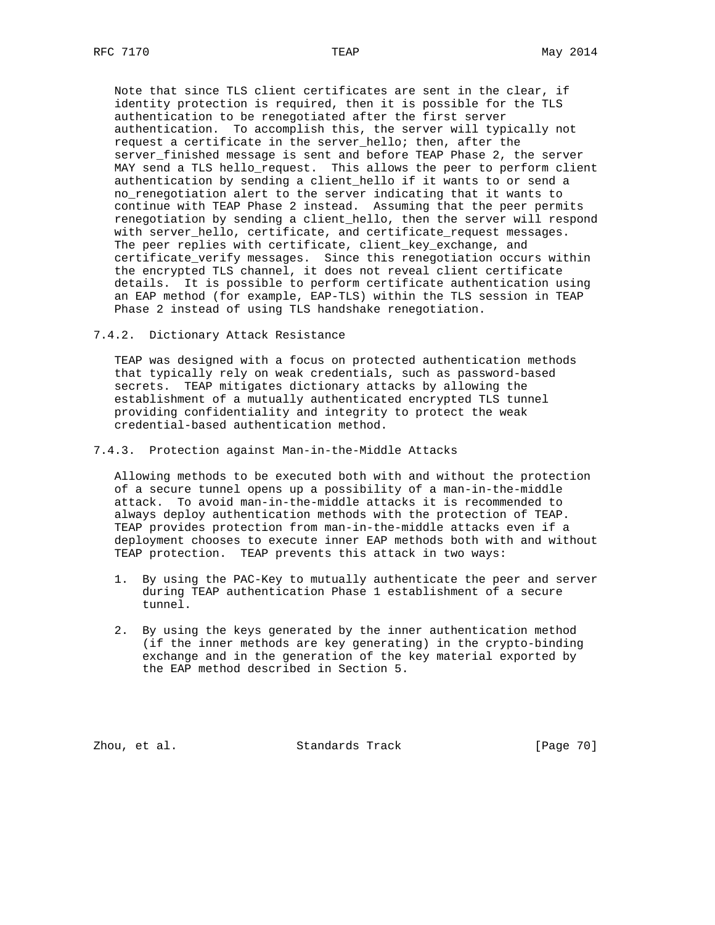Note that since TLS client certificates are sent in the clear, if identity protection is required, then it is possible for the TLS authentication to be renegotiated after the first server authentication. To accomplish this, the server will typically not request a certificate in the server\_hello; then, after the server\_finished message is sent and before TEAP Phase 2, the server MAY send a TLS hello\_request. This allows the peer to perform client authentication by sending a client\_hello if it wants to or send a no\_renegotiation alert to the server indicating that it wants to continue with TEAP Phase 2 instead. Assuming that the peer permits renegotiation by sending a client\_hello, then the server will respond with server\_hello, certificate, and certificate\_request messages. The peer replies with certificate, client\_key\_exchange, and certificate\_verify messages. Since this renegotiation occurs within the encrypted TLS channel, it does not reveal client certificate details. It is possible to perform certificate authentication using an EAP method (for example, EAP-TLS) within the TLS session in TEAP Phase 2 instead of using TLS handshake renegotiation.

7.4.2. Dictionary Attack Resistance

 TEAP was designed with a focus on protected authentication methods that typically rely on weak credentials, such as password-based secrets. TEAP mitigates dictionary attacks by allowing the establishment of a mutually authenticated encrypted TLS tunnel providing confidentiality and integrity to protect the weak credential-based authentication method.

7.4.3. Protection against Man-in-the-Middle Attacks

 Allowing methods to be executed both with and without the protection of a secure tunnel opens up a possibility of a man-in-the-middle attack. To avoid man-in-the-middle attacks it is recommended to always deploy authentication methods with the protection of TEAP. TEAP provides protection from man-in-the-middle attacks even if a deployment chooses to execute inner EAP methods both with and without TEAP protection. TEAP prevents this attack in two ways:

- 1. By using the PAC-Key to mutually authenticate the peer and server during TEAP authentication Phase 1 establishment of a secure tunnel.
- 2. By using the keys generated by the inner authentication method (if the inner methods are key generating) in the crypto-binding exchange and in the generation of the key material exported by the EAP method described in Section 5.

Zhou, et al. Standards Track [Page 70]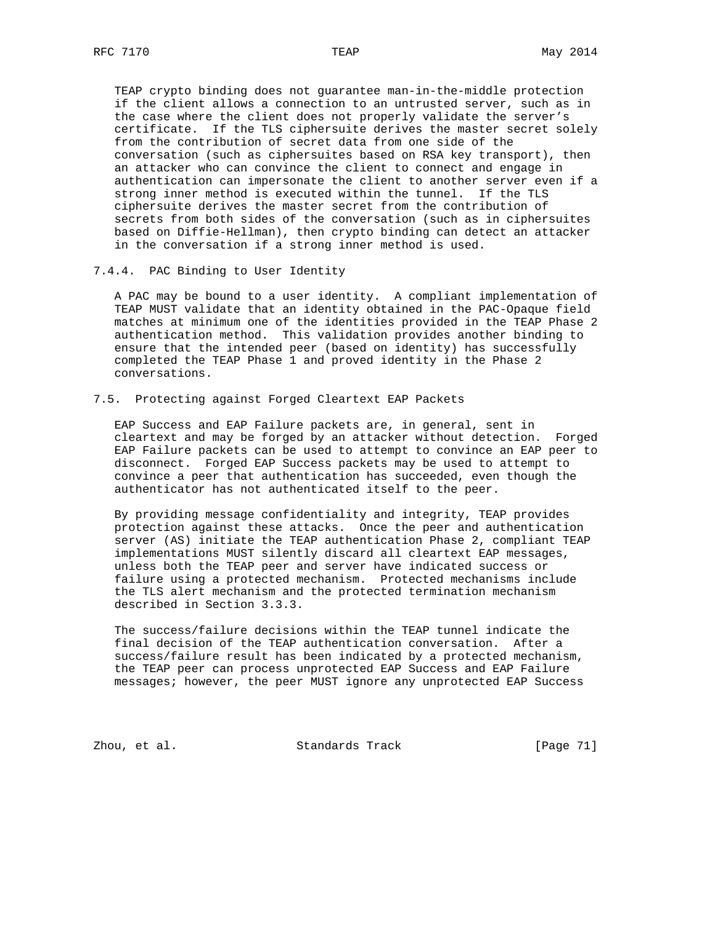TEAP crypto binding does not guarantee man-in-the-middle protection if the client allows a connection to an untrusted server, such as in the case where the client does not properly validate the server's certificate. If the TLS ciphersuite derives the master secret solely from the contribution of secret data from one side of the conversation (such as ciphersuites based on RSA key transport), then an attacker who can convince the client to connect and engage in authentication can impersonate the client to another server even if a strong inner method is executed within the tunnel. If the TLS ciphersuite derives the master secret from the contribution of secrets from both sides of the conversation (such as in ciphersuites based on Diffie-Hellman), then crypto binding can detect an attacker in the conversation if a strong inner method is used.

7.4.4. PAC Binding to User Identity

 A PAC may be bound to a user identity. A compliant implementation of TEAP MUST validate that an identity obtained in the PAC-Opaque field matches at minimum one of the identities provided in the TEAP Phase 2 authentication method. This validation provides another binding to ensure that the intended peer (based on identity) has successfully completed the TEAP Phase 1 and proved identity in the Phase 2 conversations.

## 7.5. Protecting against Forged Cleartext EAP Packets

 EAP Success and EAP Failure packets are, in general, sent in cleartext and may be forged by an attacker without detection. Forged EAP Failure packets can be used to attempt to convince an EAP peer to disconnect. Forged EAP Success packets may be used to attempt to convince a peer that authentication has succeeded, even though the authenticator has not authenticated itself to the peer.

 By providing message confidentiality and integrity, TEAP provides protection against these attacks. Once the peer and authentication server (AS) initiate the TEAP authentication Phase 2, compliant TEAP implementations MUST silently discard all cleartext EAP messages, unless both the TEAP peer and server have indicated success or failure using a protected mechanism. Protected mechanisms include the TLS alert mechanism and the protected termination mechanism described in Section 3.3.3.

 The success/failure decisions within the TEAP tunnel indicate the final decision of the TEAP authentication conversation. After a success/failure result has been indicated by a protected mechanism, the TEAP peer can process unprotected EAP Success and EAP Failure messages; however, the peer MUST ignore any unprotected EAP Success

Zhou, et al. Standards Track [Page 71]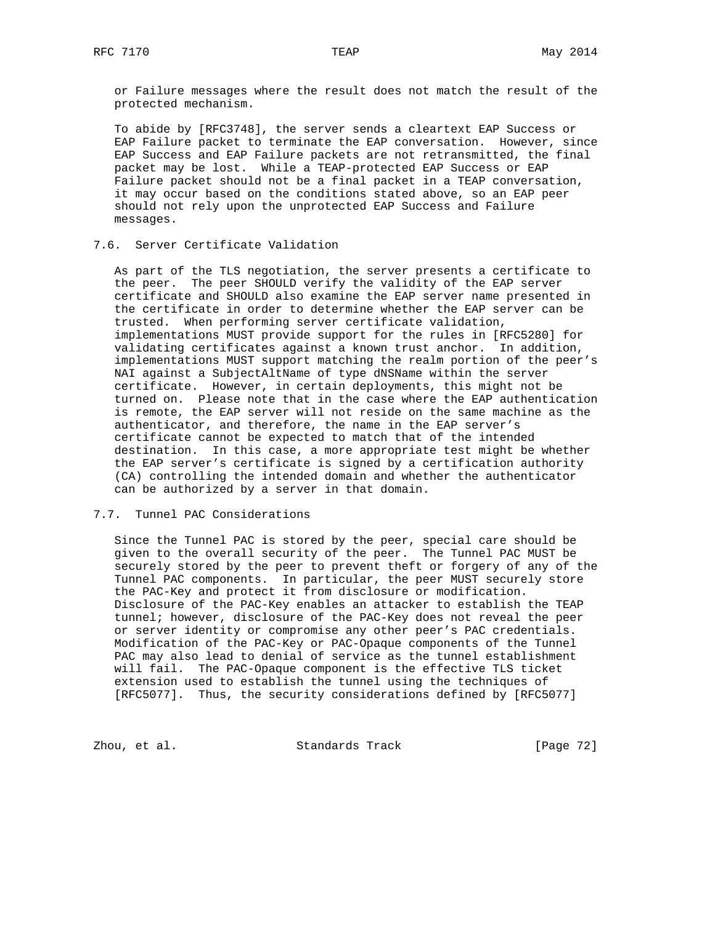or Failure messages where the result does not match the result of the protected mechanism.

 To abide by [RFC3748], the server sends a cleartext EAP Success or EAP Failure packet to terminate the EAP conversation. However, since EAP Success and EAP Failure packets are not retransmitted, the final packet may be lost. While a TEAP-protected EAP Success or EAP Failure packet should not be a final packet in a TEAP conversation, it may occur based on the conditions stated above, so an EAP peer should not rely upon the unprotected EAP Success and Failure messages.

## 7.6. Server Certificate Validation

 As part of the TLS negotiation, the server presents a certificate to the peer. The peer SHOULD verify the validity of the EAP server certificate and SHOULD also examine the EAP server name presented in the certificate in order to determine whether the EAP server can be trusted. When performing server certificate validation, implementations MUST provide support for the rules in [RFC5280] for validating certificates against a known trust anchor. In addition, implementations MUST support matching the realm portion of the peer's NAI against a SubjectAltName of type dNSName within the server certificate. However, in certain deployments, this might not be turned on. Please note that in the case where the EAP authentication is remote, the EAP server will not reside on the same machine as the authenticator, and therefore, the name in the EAP server's certificate cannot be expected to match that of the intended destination. In this case, a more appropriate test might be whether the EAP server's certificate is signed by a certification authority (CA) controlling the intended domain and whether the authenticator can be authorized by a server in that domain.

## 7.7. Tunnel PAC Considerations

 Since the Tunnel PAC is stored by the peer, special care should be given to the overall security of the peer. The Tunnel PAC MUST be securely stored by the peer to prevent theft or forgery of any of the Tunnel PAC components. In particular, the peer MUST securely store the PAC-Key and protect it from disclosure or modification. Disclosure of the PAC-Key enables an attacker to establish the TEAP tunnel; however, disclosure of the PAC-Key does not reveal the peer or server identity or compromise any other peer's PAC credentials. Modification of the PAC-Key or PAC-Opaque components of the Tunnel PAC may also lead to denial of service as the tunnel establishment will fail. The PAC-Opaque component is the effective TLS ticket extension used to establish the tunnel using the techniques of [RFC5077]. Thus, the security considerations defined by [RFC5077]

Zhou, et al. Standards Track [Page 72]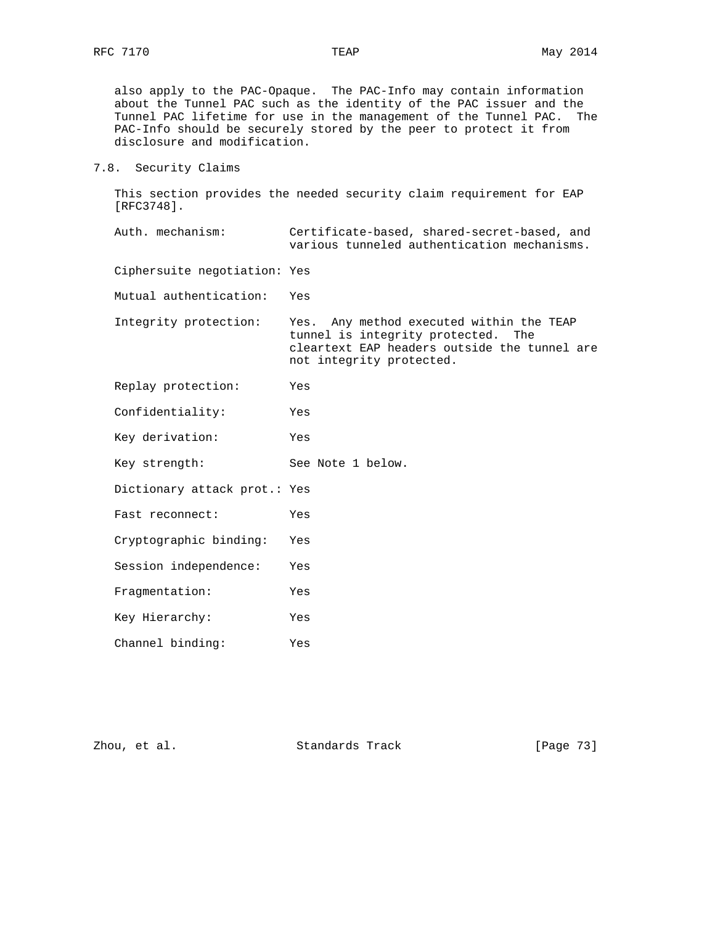also apply to the PAC-Opaque. The PAC-Info may contain information about the Tunnel PAC such as the identity of the PAC issuer and the Tunnel PAC lifetime for use in the management of the Tunnel PAC. The PAC-Info should be securely stored by the peer to protect it from disclosure and modification.

7.8. Security Claims

 This section provides the needed security claim requirement for EAP [RFC3748].

 Auth. mechanism: Certificate-based, shared-secret-based, and various tunneled authentication mechanisms.

Ciphersuite negotiation: Yes

Mutual authentication: Yes

- Integrity protection: Yes. Any method executed within the TEAP tunnel is integrity protected. The cleartext EAP headers outside the tunnel are not integrity protected.
- Replay protection: Yes
- Confidentiality: Yes
- Key derivation: Yes
- Key strength: See Note 1 below.
- Dictionary attack prot.: Yes
- Fast reconnect: Yes
- Cryptographic binding: Yes
- Session independence: Yes
- 
- Fragmentation: Yes Key Hierarchy: Yes
- Channel binding: Yes

Zhou, et al. Standards Track [Page 73]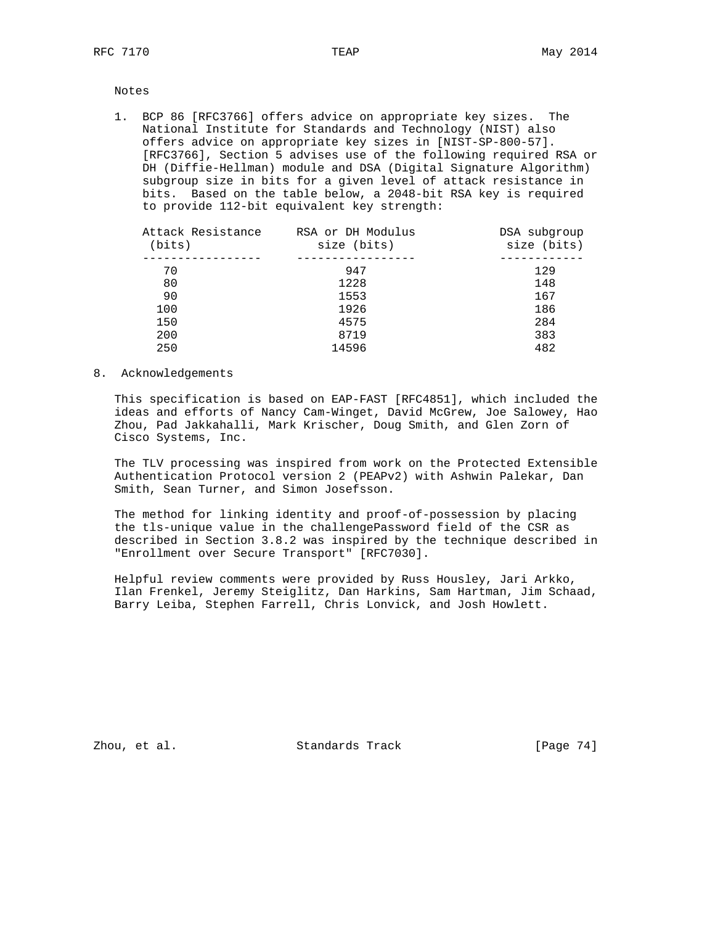Notes

 1. BCP 86 [RFC3766] offers advice on appropriate key sizes. The National Institute for Standards and Technology (NIST) also offers advice on appropriate key sizes in [NIST-SP-800-57]. [RFC3766], Section 5 advises use of the following required RSA or DH (Diffie-Hellman) module and DSA (Digital Signature Algorithm) subgroup size in bits for a given level of attack resistance in bits. Based on the table below, a 2048-bit RSA key is required to provide 112-bit equivalent key strength:

| Attack Resistance<br>(bits) | RSA or DH Modulus<br>size (bits) | DSA subgroup<br>size (bits) |
|-----------------------------|----------------------------------|-----------------------------|
|                             |                                  |                             |
| 70                          | 947                              | 129                         |
| 80                          | 1228                             | 148                         |
| 90                          | 1553                             | 167                         |
| 100                         | 1926                             | 186                         |
| 150                         | 4575                             | 284                         |
| 200                         | 8719                             | 383                         |
| 250                         | 14596                            | 482                         |
|                             |                                  |                             |

8. Acknowledgements

 This specification is based on EAP-FAST [RFC4851], which included the ideas and efforts of Nancy Cam-Winget, David McGrew, Joe Salowey, Hao Zhou, Pad Jakkahalli, Mark Krischer, Doug Smith, and Glen Zorn of Cisco Systems, Inc.

 The TLV processing was inspired from work on the Protected Extensible Authentication Protocol version 2 (PEAPv2) with Ashwin Palekar, Dan Smith, Sean Turner, and Simon Josefsson.

 The method for linking identity and proof-of-possession by placing the tls-unique value in the challengePassword field of the CSR as described in Section 3.8.2 was inspired by the technique described in "Enrollment over Secure Transport" [RFC7030].

 Helpful review comments were provided by Russ Housley, Jari Arkko, Ilan Frenkel, Jeremy Steiglitz, Dan Harkins, Sam Hartman, Jim Schaad, Barry Leiba, Stephen Farrell, Chris Lonvick, and Josh Howlett.

Zhou, et al. Standards Track [Page 74]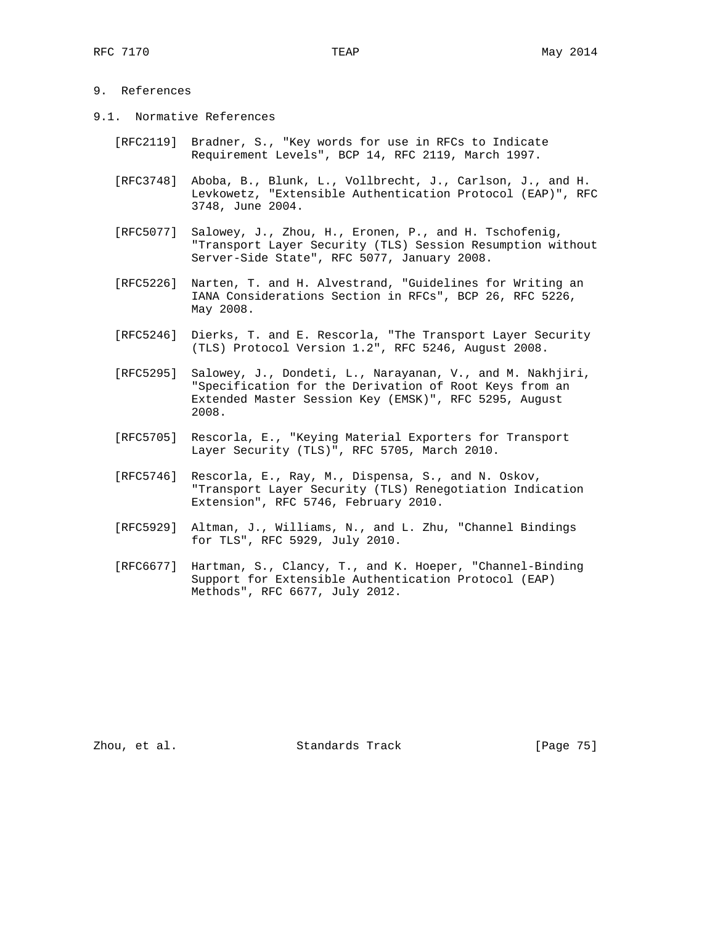## 9. References

- 9.1. Normative References
	- [RFC2119] Bradner, S., "Key words for use in RFCs to Indicate Requirement Levels", BCP 14, RFC 2119, March 1997.
	- [RFC3748] Aboba, B., Blunk, L., Vollbrecht, J., Carlson, J., and H. Levkowetz, "Extensible Authentication Protocol (EAP)", RFC 3748, June 2004.
	- [RFC5077] Salowey, J., Zhou, H., Eronen, P., and H. Tschofenig, "Transport Layer Security (TLS) Session Resumption without Server-Side State", RFC 5077, January 2008.
	- [RFC5226] Narten, T. and H. Alvestrand, "Guidelines for Writing an IANA Considerations Section in RFCs", BCP 26, RFC 5226, May 2008.
	- [RFC5246] Dierks, T. and E. Rescorla, "The Transport Layer Security (TLS) Protocol Version 1.2", RFC 5246, August 2008.
	- [RFC5295] Salowey, J., Dondeti, L., Narayanan, V., and M. Nakhjiri, "Specification for the Derivation of Root Keys from an Extended Master Session Key (EMSK)", RFC 5295, August 2008.
	- [RFC5705] Rescorla, E., "Keying Material Exporters for Transport Layer Security (TLS)", RFC 5705, March 2010.
	- [RFC5746] Rescorla, E., Ray, M., Dispensa, S., and N. Oskov, "Transport Layer Security (TLS) Renegotiation Indication Extension", RFC 5746, February 2010.
	- [RFC5929] Altman, J., Williams, N., and L. Zhu, "Channel Bindings for TLS", RFC 5929, July 2010.
	- [RFC6677] Hartman, S., Clancy, T., and K. Hoeper, "Channel-Binding Support for Extensible Authentication Protocol (EAP) Methods", RFC 6677, July 2012.

Zhou, et al. Standards Track [Page 75]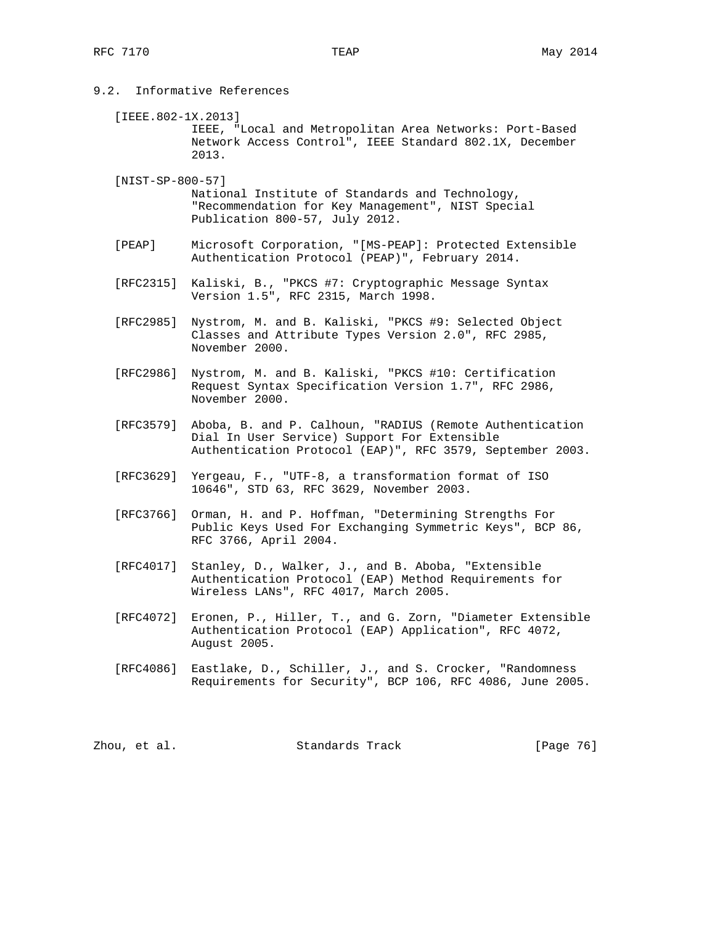- 9.2. Informative References
	- [IEEE.802-1X.2013] IEEE, "Local and Metropolitan Area Networks: Port-Based Network Access Control", IEEE Standard 802.1X, December 2013.
	- [NIST-SP-800-57] National Institute of Standards and Technology, "Recommendation for Key Management", NIST Special Publication 800-57, July 2012.
	- [PEAP] Microsoft Corporation, "[MS-PEAP]: Protected Extensible Authentication Protocol (PEAP)", February 2014.
	- [RFC2315] Kaliski, B., "PKCS #7: Cryptographic Message Syntax Version 1.5", RFC 2315, March 1998.
	- [RFC2985] Nystrom, M. and B. Kaliski, "PKCS #9: Selected Object Classes and Attribute Types Version 2.0", RFC 2985, November 2000.
	- [RFC2986] Nystrom, M. and B. Kaliski, "PKCS #10: Certification Request Syntax Specification Version 1.7", RFC 2986, November 2000.
	- [RFC3579] Aboba, B. and P. Calhoun, "RADIUS (Remote Authentication Dial In User Service) Support For Extensible Authentication Protocol (EAP)", RFC 3579, September 2003.
	- [RFC3629] Yergeau, F., "UTF-8, a transformation format of ISO 10646", STD 63, RFC 3629, November 2003.
	- [RFC3766] Orman, H. and P. Hoffman, "Determining Strengths For Public Keys Used For Exchanging Symmetric Keys", BCP 86, RFC 3766, April 2004.
	- [RFC4017] Stanley, D., Walker, J., and B. Aboba, "Extensible Authentication Protocol (EAP) Method Requirements for Wireless LANs", RFC 4017, March 2005.
	- [RFC4072] Eronen, P., Hiller, T., and G. Zorn, "Diameter Extensible Authentication Protocol (EAP) Application", RFC 4072, August 2005.
	- [RFC4086] Eastlake, D., Schiller, J., and S. Crocker, "Randomness Requirements for Security", BCP 106, RFC 4086, June 2005.

| Zhou, et al. | Standards Track | [Page 76] |
|--------------|-----------------|-----------|
|--------------|-----------------|-----------|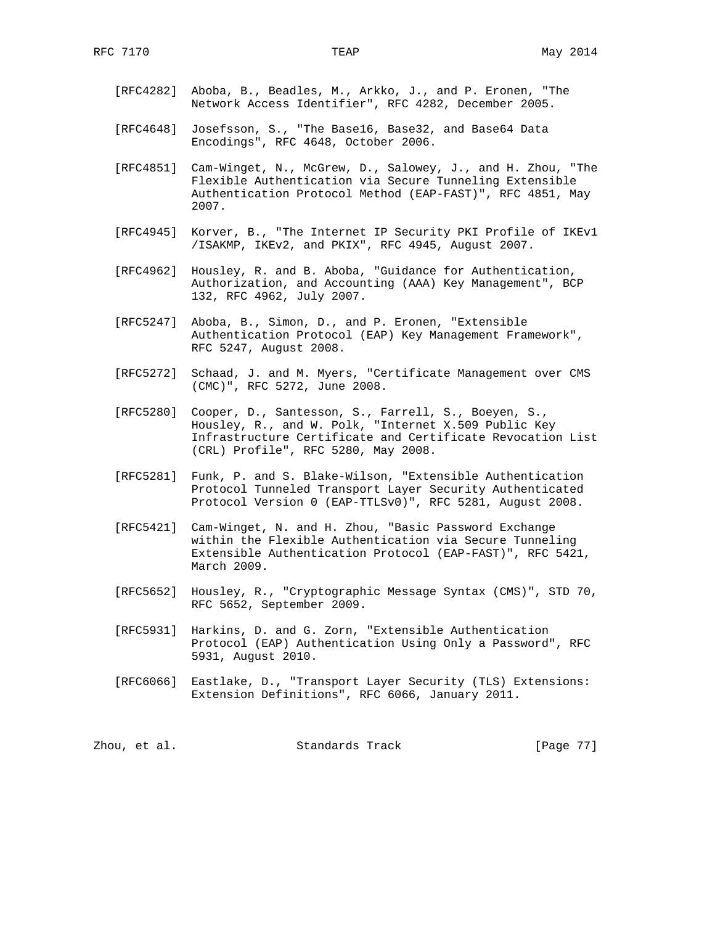- [RFC4282] Aboba, B., Beadles, M., Arkko, J., and P. Eronen, "The Network Access Identifier", RFC 4282, December 2005.
- [RFC4648] Josefsson, S., "The Base16, Base32, and Base64 Data Encodings", RFC 4648, October 2006.
- [RFC4851] Cam-Winget, N., McGrew, D., Salowey, J., and H. Zhou, "The Flexible Authentication via Secure Tunneling Extensible Authentication Protocol Method (EAP-FAST)", RFC 4851, May 2007.
- [RFC4945] Korver, B., "The Internet IP Security PKI Profile of IKEv1 /ISAKMP, IKEv2, and PKIX", RFC 4945, August 2007.
- [RFC4962] Housley, R. and B. Aboba, "Guidance for Authentication, Authorization, and Accounting (AAA) Key Management", BCP 132, RFC 4962, July 2007.
- [RFC5247] Aboba, B., Simon, D., and P. Eronen, "Extensible Authentication Protocol (EAP) Key Management Framework", RFC 5247, August 2008.
- [RFC5272] Schaad, J. and M. Myers, "Certificate Management over CMS (CMC)", RFC 5272, June 2008.
- [RFC5280] Cooper, D., Santesson, S., Farrell, S., Boeyen, S., Housley, R., and W. Polk, "Internet X.509 Public Key Infrastructure Certificate and Certificate Revocation List (CRL) Profile", RFC 5280, May 2008.
	- [RFC5281] Funk, P. and S. Blake-Wilson, "Extensible Authentication Protocol Tunneled Transport Layer Security Authenticated Protocol Version 0 (EAP-TTLSv0)", RFC 5281, August 2008.
	- [RFC5421] Cam-Winget, N. and H. Zhou, "Basic Password Exchange within the Flexible Authentication via Secure Tunneling Extensible Authentication Protocol (EAP-FAST)", RFC 5421, March 2009.
	- [RFC5652] Housley, R., "Cryptographic Message Syntax (CMS)", STD 70, RFC 5652, September 2009.
	- [RFC5931] Harkins, D. and G. Zorn, "Extensible Authentication Protocol (EAP) Authentication Using Only a Password", RFC 5931, August 2010.
	- [RFC6066] Eastlake, D., "Transport Layer Security (TLS) Extensions: Extension Definitions", RFC 6066, January 2011.

Zhou, et al. Standards Track [Page 77]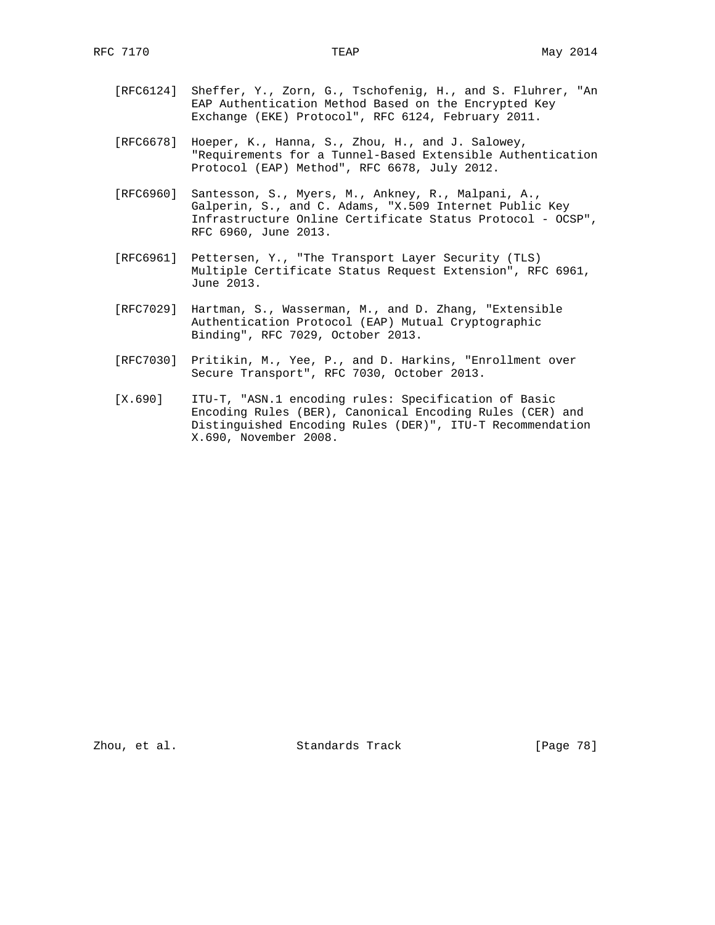- [RFC6124] Sheffer, Y., Zorn, G., Tschofenig, H., and S. Fluhrer, "An EAP Authentication Method Based on the Encrypted Key Exchange (EKE) Protocol", RFC 6124, February 2011.
- [RFC6678] Hoeper, K., Hanna, S., Zhou, H., and J. Salowey, "Requirements for a Tunnel-Based Extensible Authentication Protocol (EAP) Method", RFC 6678, July 2012.
- [RFC6960] Santesson, S., Myers, M., Ankney, R., Malpani, A., Galperin, S., and C. Adams, "X.509 Internet Public Key Infrastructure Online Certificate Status Protocol - OCSP", RFC 6960, June 2013.
- [RFC6961] Pettersen, Y., "The Transport Layer Security (TLS) Multiple Certificate Status Request Extension", RFC 6961, June 2013.
- [RFC7029] Hartman, S., Wasserman, M., and D. Zhang, "Extensible Authentication Protocol (EAP) Mutual Cryptographic Binding", RFC 7029, October 2013.
- [RFC7030] Pritikin, M., Yee, P., and D. Harkins, "Enrollment over Secure Transport", RFC 7030, October 2013.
- [X.690] ITU-T, "ASN.1 encoding rules: Specification of Basic Encoding Rules (BER), Canonical Encoding Rules (CER) and Distinguished Encoding Rules (DER)", ITU-T Recommendation X.690, November 2008.

Zhou, et al. Standards Track [Page 78]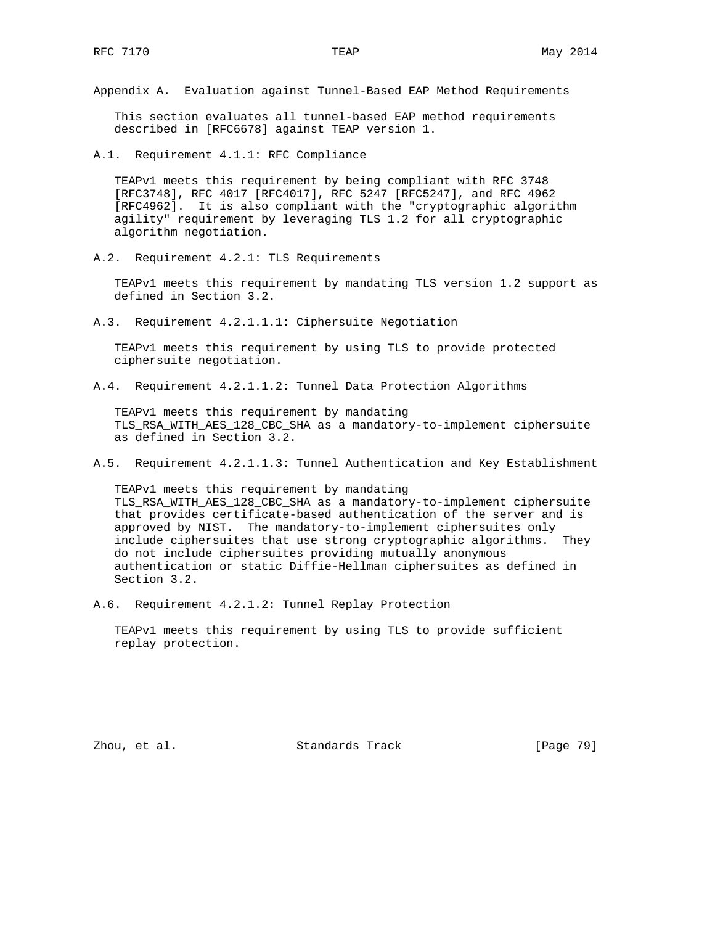Appendix A. Evaluation against Tunnel-Based EAP Method Requirements

 This section evaluates all tunnel-based EAP method requirements described in [RFC6678] against TEAP version 1.

A.1. Requirement 4.1.1: RFC Compliance

 TEAPv1 meets this requirement by being compliant with RFC 3748 [RFC3748], RFC 4017 [RFC4017], RFC 5247 [RFC5247], and RFC 4962 [RFC4962]. It is also compliant with the "cryptographic algorithm agility" requirement by leveraging TLS 1.2 for all cryptographic algorithm negotiation.

A.2. Requirement 4.2.1: TLS Requirements

 TEAPv1 meets this requirement by mandating TLS version 1.2 support as defined in Section 3.2.

A.3. Requirement 4.2.1.1.1: Ciphersuite Negotiation

 TEAPv1 meets this requirement by using TLS to provide protected ciphersuite negotiation.

A.4. Requirement 4.2.1.1.2: Tunnel Data Protection Algorithms

 TEAPv1 meets this requirement by mandating TLS\_RSA\_WITH\_AES\_128\_CBC\_SHA as a mandatory-to-implement ciphersuite as defined in Section 3.2.

A.5. Requirement 4.2.1.1.3: Tunnel Authentication and Key Establishment

 TEAPv1 meets this requirement by mandating TLS\_RSA\_WITH\_AES\_128\_CBC\_SHA as a mandatory-to-implement ciphersuite that provides certificate-based authentication of the server and is approved by NIST. The mandatory-to-implement ciphersuites only include ciphersuites that use strong cryptographic algorithms. They do not include ciphersuites providing mutually anonymous authentication or static Diffie-Hellman ciphersuites as defined in Section 3.2.

A.6. Requirement 4.2.1.2: Tunnel Replay Protection

 TEAPv1 meets this requirement by using TLS to provide sufficient replay protection.

Zhou, et al. Standards Track [Page 79]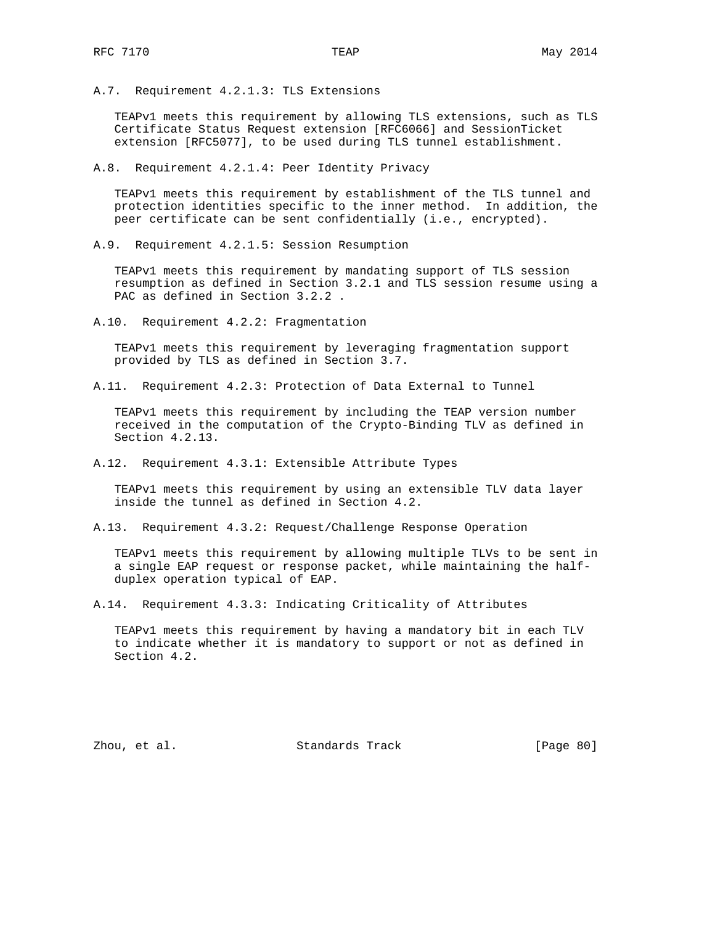A.7. Requirement 4.2.1.3: TLS Extensions

 TEAPv1 meets this requirement by allowing TLS extensions, such as TLS Certificate Status Request extension [RFC6066] and SessionTicket extension [RFC5077], to be used during TLS tunnel establishment.

A.8. Requirement 4.2.1.4: Peer Identity Privacy

 TEAPv1 meets this requirement by establishment of the TLS tunnel and protection identities specific to the inner method. In addition, the peer certificate can be sent confidentially (i.e., encrypted).

A.9. Requirement 4.2.1.5: Session Resumption

 TEAPv1 meets this requirement by mandating support of TLS session resumption as defined in Section 3.2.1 and TLS session resume using a PAC as defined in Section 3.2.2 .

A.10. Requirement 4.2.2: Fragmentation

 TEAPv1 meets this requirement by leveraging fragmentation support provided by TLS as defined in Section 3.7.

A.11. Requirement 4.2.3: Protection of Data External to Tunnel

 TEAPv1 meets this requirement by including the TEAP version number received in the computation of the Crypto-Binding TLV as defined in Section 4.2.13.

A.12. Requirement 4.3.1: Extensible Attribute Types

 TEAPv1 meets this requirement by using an extensible TLV data layer inside the tunnel as defined in Section 4.2.

A.13. Requirement 4.3.2: Request/Challenge Response Operation

 TEAPv1 meets this requirement by allowing multiple TLVs to be sent in a single EAP request or response packet, while maintaining the half duplex operation typical of EAP.

A.14. Requirement 4.3.3: Indicating Criticality of Attributes

 TEAPv1 meets this requirement by having a mandatory bit in each TLV to indicate whether it is mandatory to support or not as defined in Section 4.2.

Zhou, et al. Standards Track [Page 80]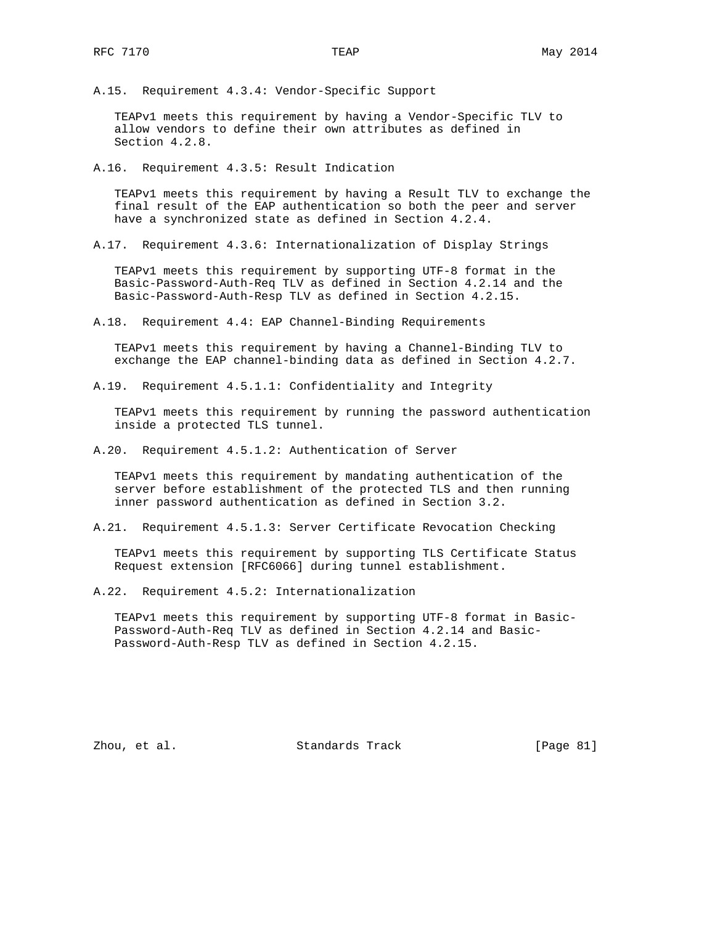A.15. Requirement 4.3.4: Vendor-Specific Support

 TEAPv1 meets this requirement by having a Vendor-Specific TLV to allow vendors to define their own attributes as defined in Section 4.2.8.

A.16. Requirement 4.3.5: Result Indication

 TEAPv1 meets this requirement by having a Result TLV to exchange the final result of the EAP authentication so both the peer and server have a synchronized state as defined in Section 4.2.4.

A.17. Requirement 4.3.6: Internationalization of Display Strings

 TEAPv1 meets this requirement by supporting UTF-8 format in the Basic-Password-Auth-Req TLV as defined in Section 4.2.14 and the Basic-Password-Auth-Resp TLV as defined in Section 4.2.15.

A.18. Requirement 4.4: EAP Channel-Binding Requirements

 TEAPv1 meets this requirement by having a Channel-Binding TLV to exchange the EAP channel-binding data as defined in Section 4.2.7.

A.19. Requirement 4.5.1.1: Confidentiality and Integrity

 TEAPv1 meets this requirement by running the password authentication inside a protected TLS tunnel.

A.20. Requirement 4.5.1.2: Authentication of Server

 TEAPv1 meets this requirement by mandating authentication of the server before establishment of the protected TLS and then running inner password authentication as defined in Section 3.2.

A.21. Requirement 4.5.1.3: Server Certificate Revocation Checking

 TEAPv1 meets this requirement by supporting TLS Certificate Status Request extension [RFC6066] during tunnel establishment.

A.22. Requirement 4.5.2: Internationalization

 TEAPv1 meets this requirement by supporting UTF-8 format in Basic- Password-Auth-Req TLV as defined in Section 4.2.14 and Basic- Password-Auth-Resp TLV as defined in Section 4.2.15.

Zhou, et al. Standards Track [Page 81]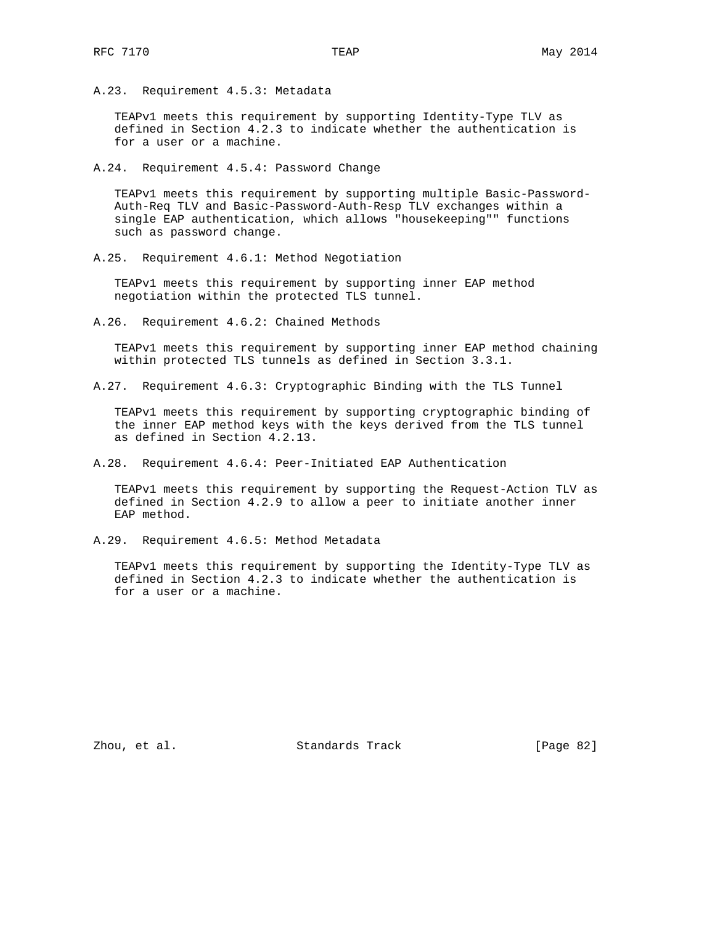A.23. Requirement 4.5.3: Metadata

 TEAPv1 meets this requirement by supporting Identity-Type TLV as defined in Section 4.2.3 to indicate whether the authentication is for a user or a machine.

A.24. Requirement 4.5.4: Password Change

 TEAPv1 meets this requirement by supporting multiple Basic-Password- Auth-Req TLV and Basic-Password-Auth-Resp TLV exchanges within a single EAP authentication, which allows "housekeeping"" functions such as password change.

A.25. Requirement 4.6.1: Method Negotiation

 TEAPv1 meets this requirement by supporting inner EAP method negotiation within the protected TLS tunnel.

A.26. Requirement 4.6.2: Chained Methods

 TEAPv1 meets this requirement by supporting inner EAP method chaining within protected TLS tunnels as defined in Section 3.3.1.

A.27. Requirement 4.6.3: Cryptographic Binding with the TLS Tunnel

 TEAPv1 meets this requirement by supporting cryptographic binding of the inner EAP method keys with the keys derived from the TLS tunnel as defined in Section 4.2.13.

A.28. Requirement 4.6.4: Peer-Initiated EAP Authentication

 TEAPv1 meets this requirement by supporting the Request-Action TLV as defined in Section 4.2.9 to allow a peer to initiate another inner EAP method.

A.29. Requirement 4.6.5: Method Metadata

 TEAPv1 meets this requirement by supporting the Identity-Type TLV as defined in Section 4.2.3 to indicate whether the authentication is for a user or a machine.

Zhou, et al. Standards Track [Page 82]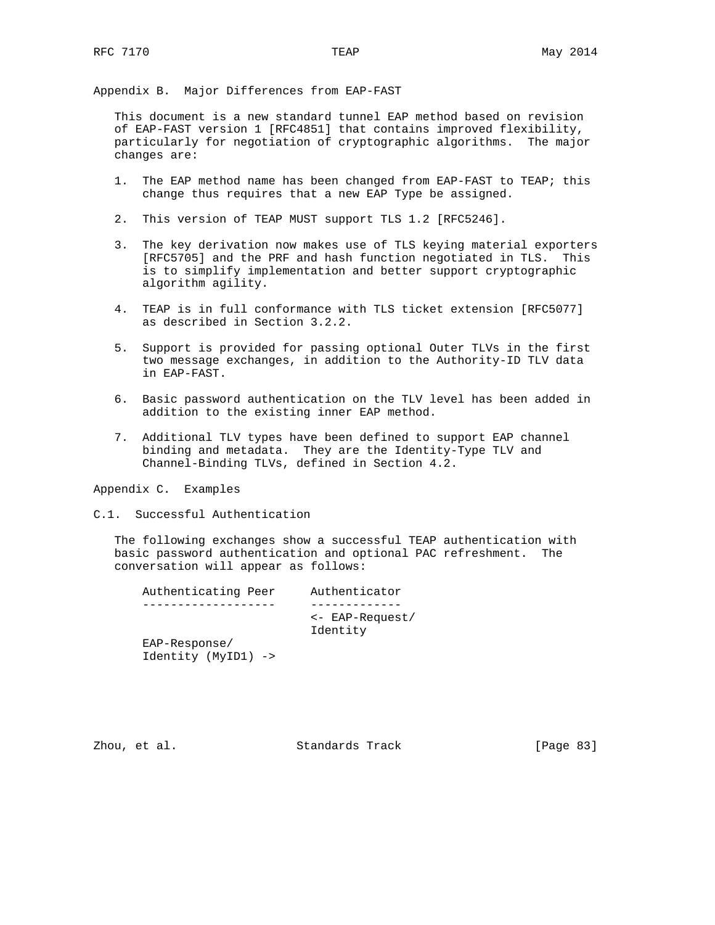Appendix B. Major Differences from EAP-FAST

 This document is a new standard tunnel EAP method based on revision of EAP-FAST version 1 [RFC4851] that contains improved flexibility, particularly for negotiation of cryptographic algorithms. The major changes are:

- 1. The EAP method name has been changed from EAP-FAST to TEAP; this change thus requires that a new EAP Type be assigned.
- 2. This version of TEAP MUST support TLS 1.2 [RFC5246].
- 3. The key derivation now makes use of TLS keying material exporters [RFC5705] and the PRF and hash function negotiated in TLS. This is to simplify implementation and better support cryptographic algorithm agility.
- 4. TEAP is in full conformance with TLS ticket extension [RFC5077] as described in Section 3.2.2.
- 5. Support is provided for passing optional Outer TLVs in the first two message exchanges, in addition to the Authority-ID TLV data in EAP-FAST.
- 6. Basic password authentication on the TLV level has been added in addition to the existing inner EAP method.
- 7. Additional TLV types have been defined to support EAP channel binding and metadata. They are the Identity-Type TLV and Channel-Binding TLVs, defined in Section 4.2.

Appendix C. Examples

C.1. Successful Authentication

 The following exchanges show a successful TEAP authentication with basic password authentication and optional PAC refreshment. The conversation will appear as follows:

| Authenticating Peer | Authenticator                         |
|---------------------|---------------------------------------|
|                     |                                       |
|                     | $\leftarrow$ EAP-Request/<br>Identity |
| EAP-Response/       |                                       |
| Identity (MyID1) -> |                                       |

Zhou, et al. Standards Track [Page 83]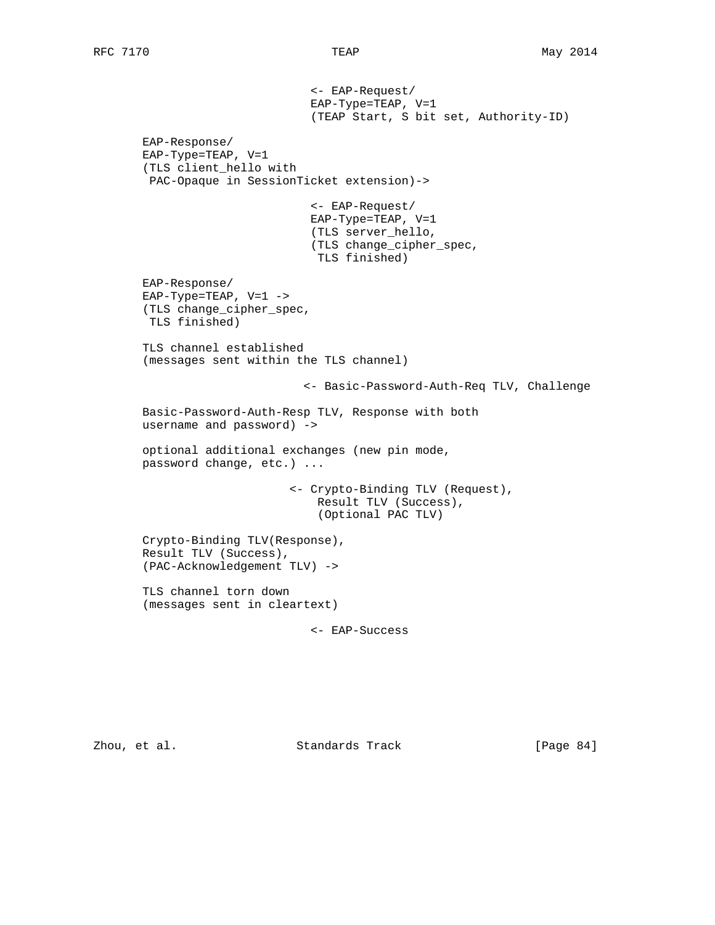<- EAP-Request/ EAP-Type=TEAP, V=1 (TEAP Start, S bit set, Authority-ID) EAP-Response/ EAP-Type=TEAP, V=1 (TLS client\_hello with PAC-Opaque in SessionTicket extension)-> <- EAP-Request/ EAP-Type=TEAP, V=1 (TLS server\_hello, (TLS change\_cipher\_spec, TLS finished) EAP-Response/ EAP-Type=TEAP,  $V=1$  -> (TLS change\_cipher\_spec, TLS finished) TLS channel established (messages sent within the TLS channel) <- Basic-Password-Auth-Req TLV, Challenge Basic-Password-Auth-Resp TLV, Response with both username and password) -> optional additional exchanges (new pin mode, password change, etc.) ... <- Crypto-Binding TLV (Request), Result TLV (Success), (Optional PAC TLV) Crypto-Binding TLV(Response), Result TLV (Success), (PAC-Acknowledgement TLV) -> TLS channel torn down (messages sent in cleartext)

<- EAP-Success

Zhou, et al. Standards Track [Page 84]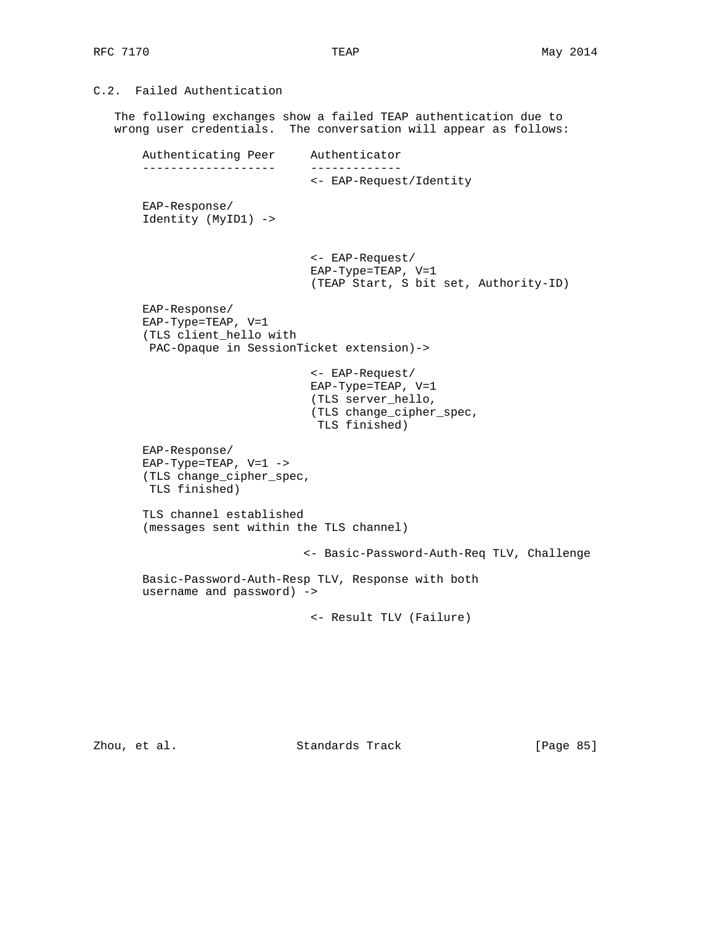# C.2. Failed Authentication

 The following exchanges show a failed TEAP authentication due to wrong user credentials. The conversation will appear as follows:

 Authenticating Peer Authenticator ------------------- ------------- <- EAP-Request/Identity EAP-Response/ Identity (MyID1) -> <- EAP-Request/ EAP-Type=TEAP, V=1 (TEAP Start, S bit set, Authority-ID) EAP-Response/ EAP-Type=TEAP, V=1 (TLS client\_hello with PAC-Opaque in SessionTicket extension)-> <- EAP-Request/ EAP-Type=TEAP, V=1 (TLS server\_hello, (TLS change\_cipher\_spec, TLS finished) EAP-Response/ EAP-Type=TEAP,  $V=1$  -> (TLS change\_cipher\_spec, TLS finished) TLS channel established (messages sent within the TLS channel) <- Basic-Password-Auth-Req TLV, Challenge Basic-Password-Auth-Resp TLV, Response with both username and password) -> <- Result TLV (Failure)

Zhou, et al. Standards Track [Page 85]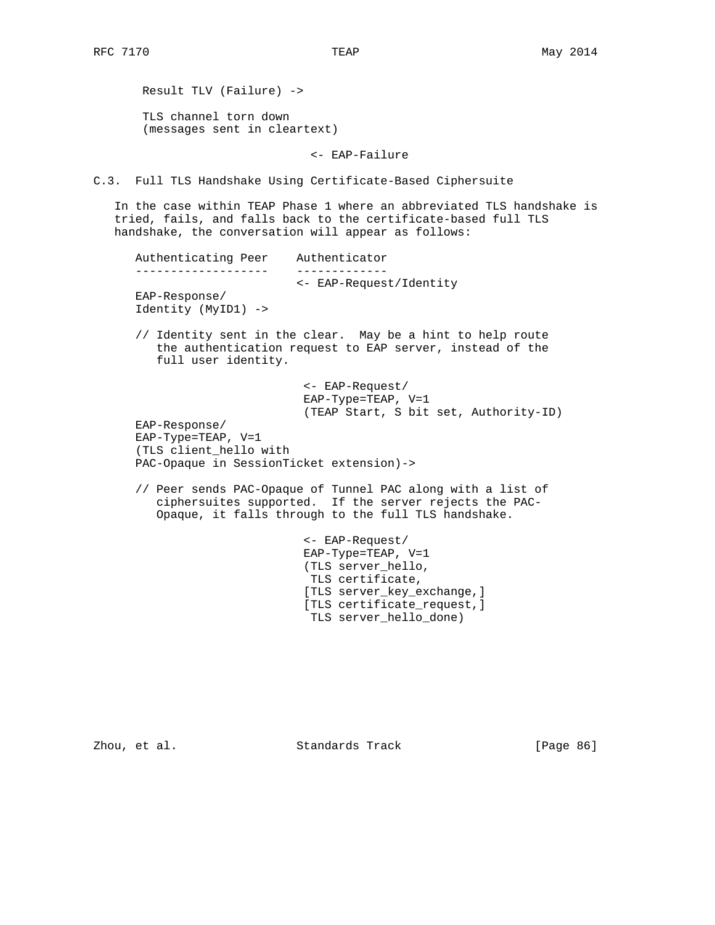Result TLV (Failure) -> TLS channel torn down (messages sent in cleartext)

<- EAP-Failure

C.3. Full TLS Handshake Using Certificate-Based Ciphersuite

 In the case within TEAP Phase 1 where an abbreviated TLS handshake is tried, fails, and falls back to the certificate-based full TLS handshake, the conversation will appear as follows:

| Authenticating Peer  | Authenticator                                                                                                          |
|----------------------|------------------------------------------------------------------------------------------------------------------------|
|                      |                                                                                                                        |
|                      | <- EAP-Request/Identity                                                                                                |
| $EAP-Response/$      |                                                                                                                        |
| Identity (MyID1) ->  |                                                                                                                        |
|                      |                                                                                                                        |
| full user identity.  | // Identity sent in the clear. May be a hint to help route<br>the authentication request to EAP server, instead of the |
|                      | $\leftarrow$ EAP-Request/                                                                                              |
|                      | $EAP-Type=TERP, V=1$                                                                                                   |
|                      | (TEAP Start, S bit set, Authority-ID)                                                                                  |
| EAP-Response/        |                                                                                                                        |
| $EAP-Type=TERP, V=1$ |                                                                                                                        |
| $\sqrt{2}$           |                                                                                                                        |

 (TLS client\_hello with PAC-Opaque in SessionTicket extension)->

 // Peer sends PAC-Opaque of Tunnel PAC along with a list of ciphersuites supported. If the server rejects the PAC- Opaque, it falls through to the full TLS handshake.

> <- EAP-Request/ EAP-Type=TEAP, V=1 (TLS server\_hello, TLS certificate, [TLS server\_key\_exchange,] [TLS certificate\_request,] TLS server\_hello\_done)

Zhou, et al. Standards Track [Page 86]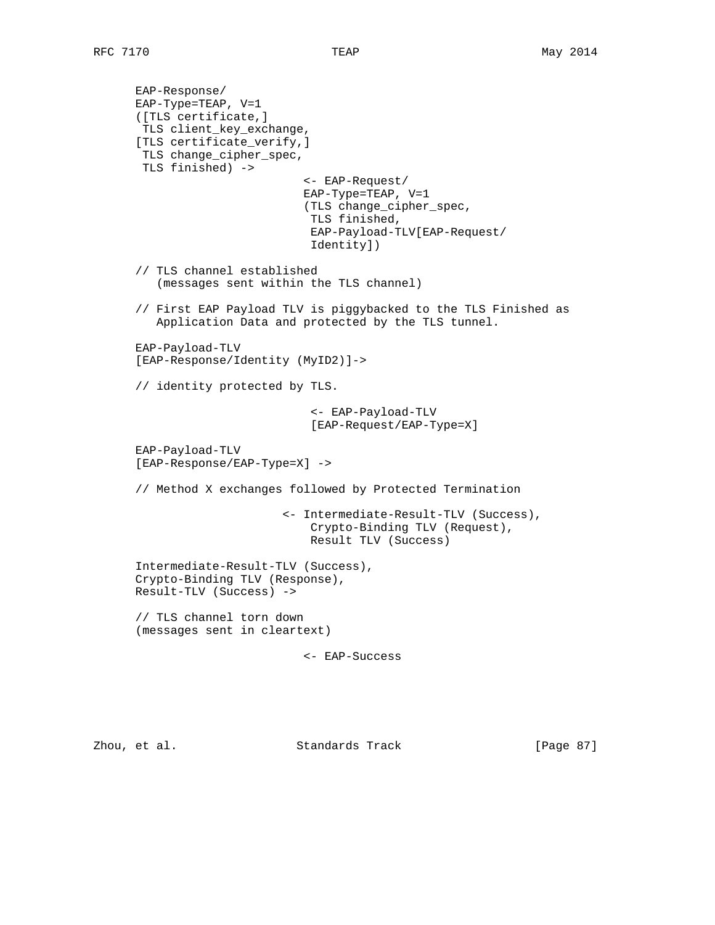```
 EAP-Response/
 EAP-Type=TEAP, V=1
 ([TLS certificate,]
 TLS client_key_exchange,
 [TLS certificate_verify,]
 TLS change_cipher_spec,
 TLS finished) ->
                          <- EAP-Request/
                          EAP-Type=TEAP, V=1
                          (TLS change_cipher_spec,
                           TLS finished,
                           EAP-Payload-TLV[EAP-Request/
                           Identity])
 // TLS channel established
    (messages sent within the TLS channel)
 // First EAP Payload TLV is piggybacked to the TLS Finished as
    Application Data and protected by the TLS tunnel.
 EAP-Payload-TLV
 [EAP-Response/Identity (MyID2)]->
 // identity protected by TLS.
                           <- EAP-Payload-TLV
                           [EAP-Request/EAP-Type=X]
 EAP-Payload-TLV
 [EAP-Response/EAP-Type=X] ->
 // Method X exchanges followed by Protected Termination
                       <- Intermediate-Result-TLV (Success),
                           Crypto-Binding TLV (Request),
                           Result TLV (Success)
 Intermediate-Result-TLV (Success),
 Crypto-Binding TLV (Response),
 Result-TLV (Success) ->
 // TLS channel torn down
 (messages sent in cleartext)
                          <- EAP-Success
```
Zhou, et al. Standards Track [Page 87]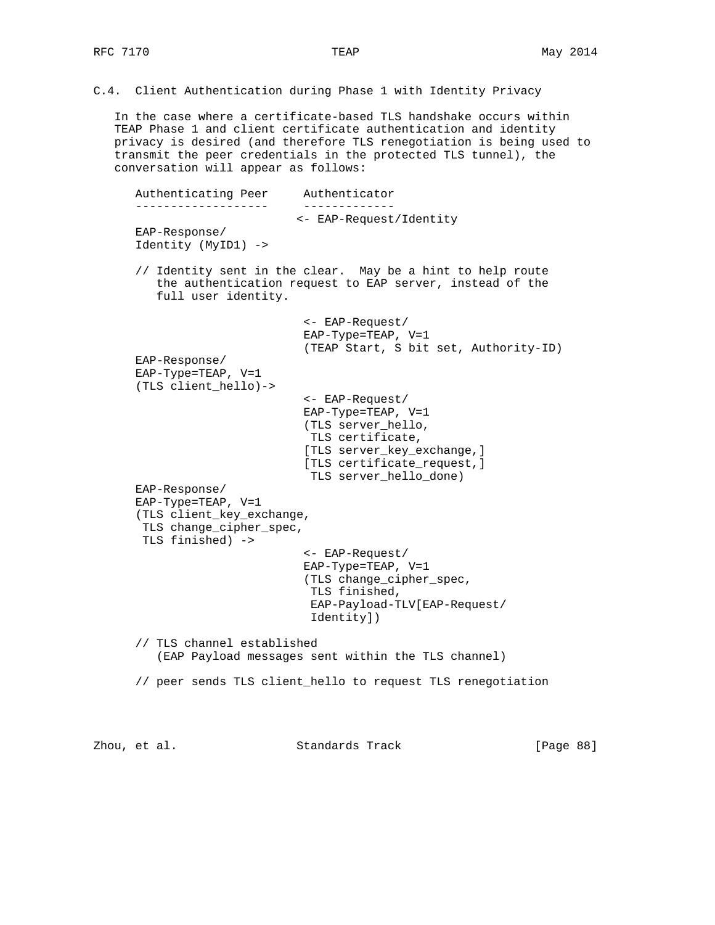C.4. Client Authentication during Phase 1 with Identity Privacy

 In the case where a certificate-based TLS handshake occurs within TEAP Phase 1 and client certificate authentication and identity privacy is desired (and therefore TLS renegotiation is being used to transmit the peer credentials in the protected TLS tunnel), the conversation will appear as follows:

 Authenticating Peer Authenticator ------------------- ------------- <- EAP-Request/Identity EAP-Response/ Identity (MyID1) -> // Identity sent in the clear. May be a hint to help route the authentication request to EAP server, instead of the full user identity. <- EAP-Request/ EAP-Type=TEAP, V=1 (TEAP Start, S bit set, Authority-ID) EAP-Response/ EAP-Type=TEAP, V=1 (TLS client\_hello)-> <- EAP-Request/ EAP-Type=TEAP, V=1 (TLS server\_hello, TLS certificate, [TLS server\_key\_exchange,] [TLS certificate\_request,] TLS server hello done) EAP-Response/ EAP-Type=TEAP, V=1 (TLS client\_key\_exchange, TLS change\_cipher\_spec, TLS finished) -> <- EAP-Request/ EAP-Type=TEAP, V=1 (TLS change\_cipher\_spec, TLS finished, EAP-Payload-TLV[EAP-Request/ Identity]) // TLS channel established (EAP Payload messages sent within the TLS channel) // peer sends TLS client\_hello to request TLS renegotiation

Zhou, et al. Standards Track [Page 88]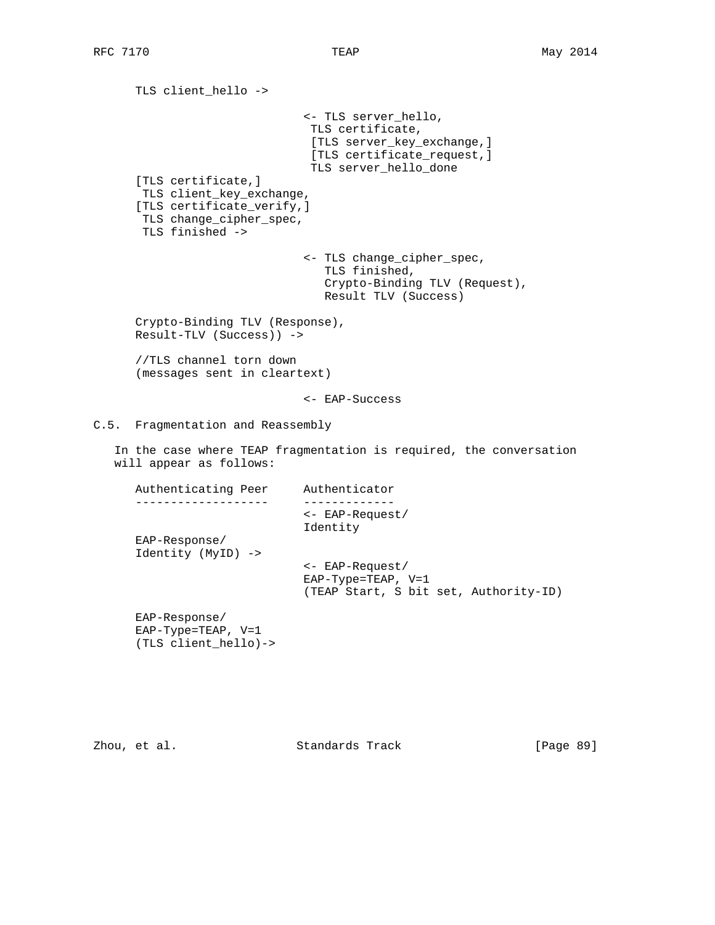TLS client\_hello -> <- TLS server\_hello, TLS certificate, [TLS server\_key\_exchange,] [TLS certificate\_request,] TLS server\_hello\_done [TLS certificate,] TLS client\_key\_exchange, [TLS certificate verify,] TLS change\_cipher\_spec, TLS finished -> <- TLS change\_cipher\_spec, TLS finished, Crypto-Binding TLV (Request), Result TLV (Success) Crypto-Binding TLV (Response), Result-TLV (Success)) -> //TLS channel torn down (messages sent in cleartext) <- EAP-Success C.5. Fragmentation and Reassembly In the case where TEAP fragmentation is required, the conversation will appear as follows: Authenticating Peer Authenticator ------------------- ------------- <- EAP-Request/ Identity EAP-Response/ Identity (MyID) -> <- EAP-Request/ EAP-Type=TEAP, V=1 (TEAP Start, S bit set, Authority-ID) EAP-Response/ EAP-Type=TEAP, V=1 (TLS client\_hello)->

Zhou, et al. Standards Track [Page 89]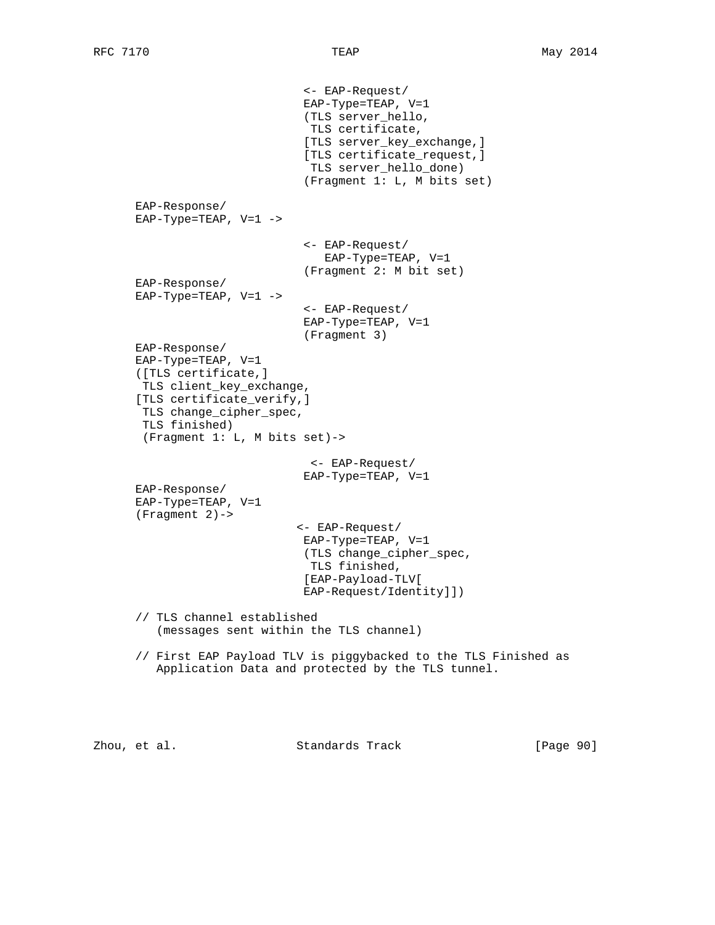```
 <- EAP-Request/
                          EAP-Type=TEAP, V=1
                           (TLS server_hello,
                           TLS certificate,
                           [TLS server_key_exchange,]
                           [TLS certificate_request,]
                           TLS server_hello_done)
                           (Fragment 1: L, M bits set)
 EAP-Response/
 EAP-Type=TEAP, V=1 ->
                          <- EAP-Request/
                             EAP-Type=TEAP, V=1
                          (Fragment 2: M bit set)
 EAP-Response/
EAP-Type=TEAP, V=1 ->
                          <- EAP-Request/
                          EAP-Type=TEAP, V=1
                          (Fragment 3)
 EAP-Response/
 EAP-Type=TEAP, V=1
 ([TLS certificate,]
 TLS client_key_exchange,
 [TLS certificate_verify,]
  TLS change_cipher_spec,
  TLS finished)
  (Fragment 1: L, M bits set)->
                           <- EAP-Request/
                          EAP-Type=TEAP, V=1
 EAP-Response/
 EAP-Type=TEAP, V=1
 (Fragment 2)->
                         <- EAP-Request/
                          EAP-Type=TEAP, V=1
                          (TLS change_cipher_spec,
                           TLS finished,
                           [EAP-Payload-TLV[
                          EAP-Request/Identity]])
 // TLS channel established
    (messages sent within the TLS channel)
 // First EAP Payload TLV is piggybacked to the TLS Finished as
    Application Data and protected by the TLS tunnel.
```
Zhou, et al. Standards Track [Page 90]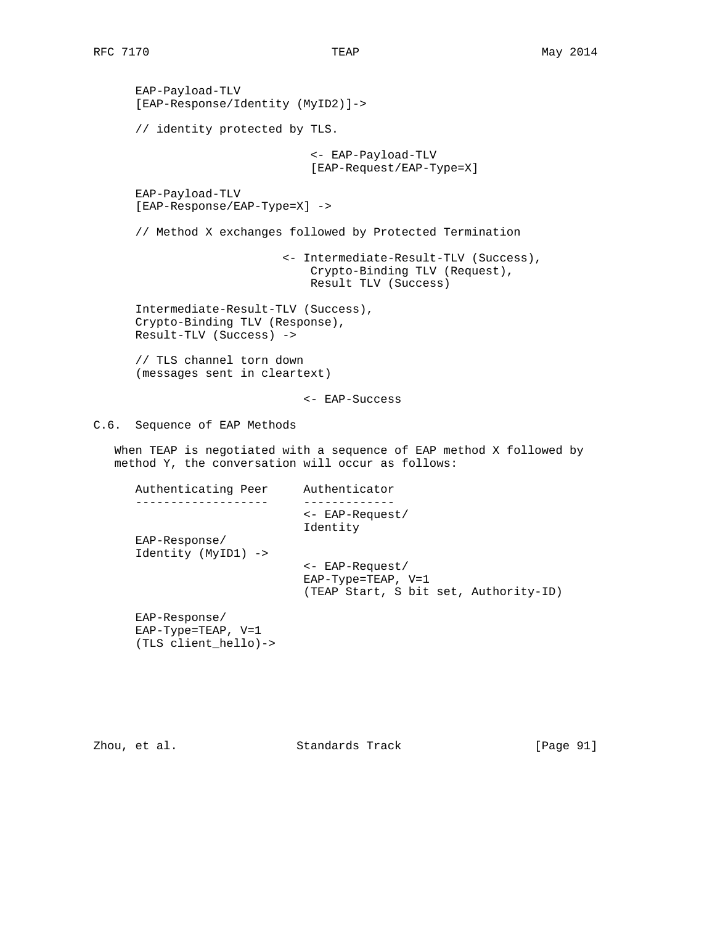EAP-Payload-TLV [EAP-Response/Identity (MyID2)]-> // identity protected by TLS. <- EAP-Payload-TLV [EAP-Request/EAP-Type=X] EAP-Payload-TLV [EAP-Response/EAP-Type=X] -> // Method X exchanges followed by Protected Termination <- Intermediate-Result-TLV (Success), Crypto-Binding TLV (Request), Result TLV (Success) Intermediate-Result-TLV (Success), Crypto-Binding TLV (Response), Result-TLV (Success) -> // TLS channel torn down (messages sent in cleartext) <- EAP-Success C.6. Sequence of EAP Methods Authenticating Peer Authenticator

 When TEAP is negotiated with a sequence of EAP method X followed by method Y, the conversation will occur as follows:

|                                      | $\leftarrow$ EAP-Request/<br>Identity                                                      |
|--------------------------------------|--------------------------------------------------------------------------------------------|
| EAP-Response/<br>Identity (MyID1) -> |                                                                                            |
|                                      | $\leftarrow$ EAP-Request/<br>$EAP-Type=TERP, V=1$<br>(TEAP Start, S bit set, Authority-ID) |
| $EAP-Response/$                      |                                                                                            |

 EAP-Type=TEAP, V=1 (TLS client\_hello)->

Zhou, et al. Standards Track [Page 91]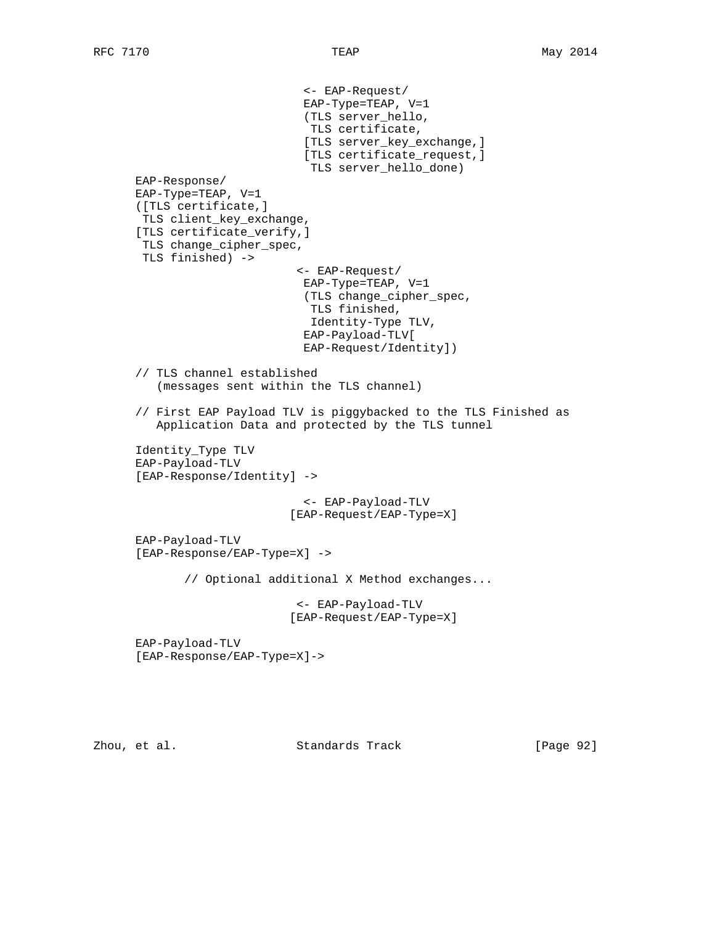```
 <- EAP-Request/
                          EAP-Type=TEAP, V=1
                          (TLS server_hello,
                           TLS certificate,
                          [TLS server_key_exchange,]
                          [TLS certificate_request,]
                           TLS server_hello_done)
 EAP-Response/
 EAP-Type=TEAP, V=1
 ([TLS certificate,]
 TLS client_key_exchange,
 [TLS certificate_verify,]
 TLS change_cipher_spec,
 TLS finished) ->
                         <- EAP-Request/
                          EAP-Type=TEAP, V=1
                          (TLS change_cipher_spec,
                           TLS finished,
                           Identity-Type TLV,
                          EAP-Payload-TLV[
                          EAP-Request/Identity])
 // TLS channel established
    (messages sent within the TLS channel)
 // First EAP Payload TLV is piggybacked to the TLS Finished as
    Application Data and protected by the TLS tunnel
 Identity_Type TLV
 EAP-Payload-TLV
 [EAP-Response/Identity] ->
                          <- EAP-Payload-TLV
                        [EAP-Request/EAP-Type=X]
 EAP-Payload-TLV
 [EAP-Response/EAP-Type=X] ->
        // Optional additional X Method exchanges...
                         <- EAP-Payload-TLV
                        [EAP-Request/EAP-Type=X]
 EAP-Payload-TLV
 [EAP-Response/EAP-Type=X]->
```
Zhou, et al. Standards Track [Page 92]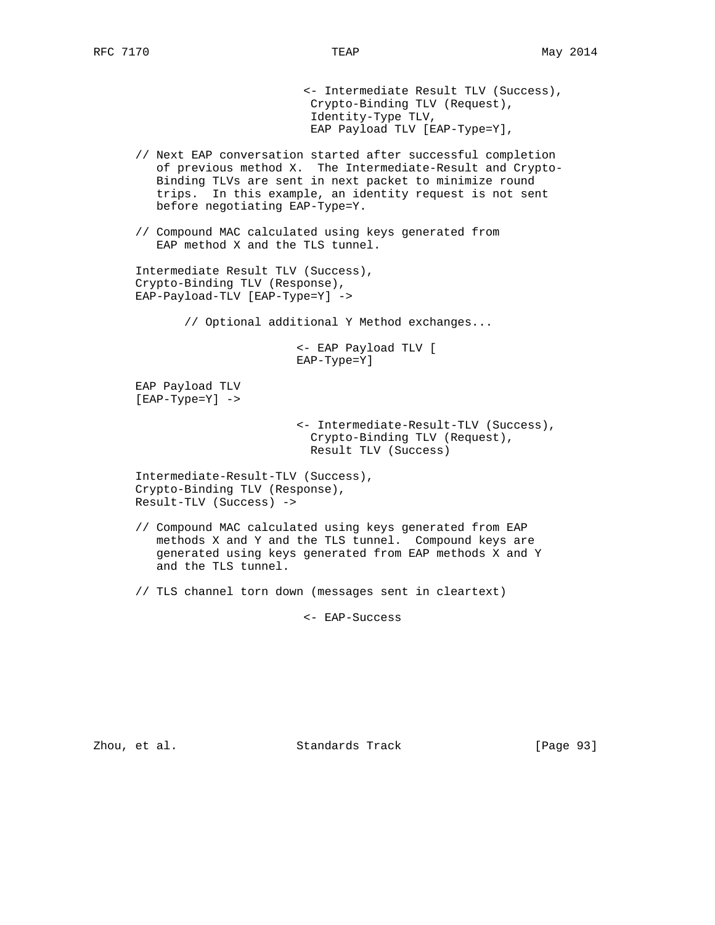<- Intermediate Result TLV (Success), Crypto-Binding TLV (Request), Identity-Type TLV, EAP Payload TLV [EAP-Type=Y],

- // Next EAP conversation started after successful completion of previous method X. The Intermediate-Result and Crypto- Binding TLVs are sent in next packet to minimize round trips. In this example, an identity request is not sent before negotiating EAP-Type=Y.
- // Compound MAC calculated using keys generated from EAP method X and the TLS tunnel.

```
 Intermediate Result TLV (Success),
 Crypto-Binding TLV (Response),
 EAP-Payload-TLV [EAP-Type=Y] ->
```
// Optional additional Y Method exchanges...

 <- EAP Payload TLV [ EAP-Type=Y]

 EAP Payload TLV [EAP-Type=Y] ->

> <- Intermediate-Result-TLV (Success), Crypto-Binding TLV (Request), Result TLV (Success)

 Intermediate-Result-TLV (Success), Crypto-Binding TLV (Response), Result-TLV (Success) ->

- // Compound MAC calculated using keys generated from EAP methods X and Y and the TLS tunnel. Compound keys are generated using keys generated from EAP methods X and Y and the TLS tunnel.
- // TLS channel torn down (messages sent in cleartext)

<- EAP-Success

Zhou, et al. Standards Track [Page 93]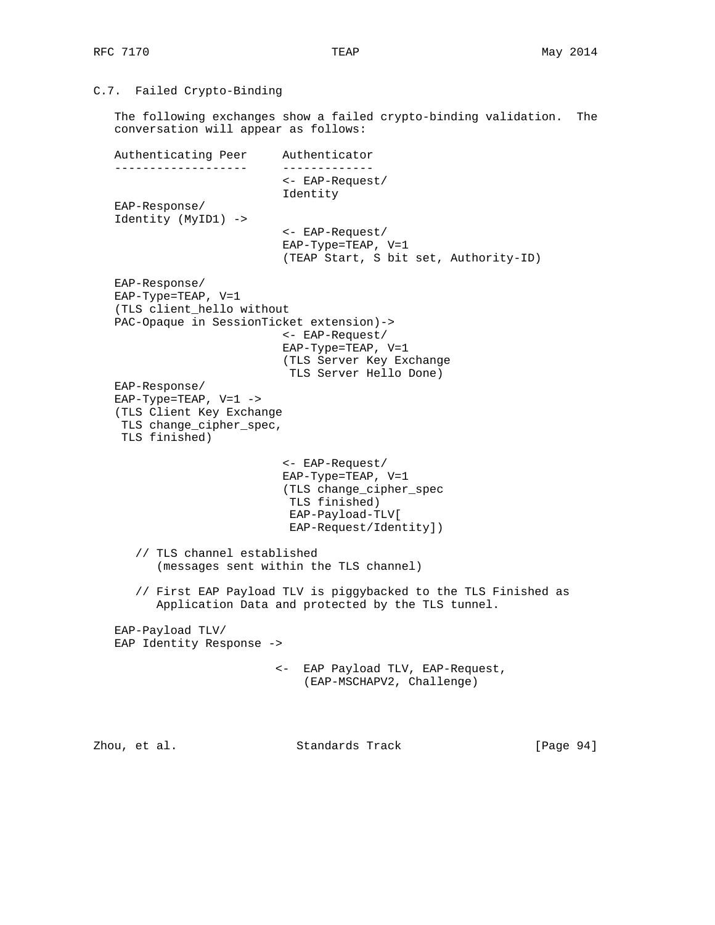## C.7. Failed Crypto-Binding

 The following exchanges show a failed crypto-binding validation. The conversation will appear as follows:

 Authenticating Peer Authenticator ------------------- ------------- <- EAP-Request/ Identity EAP-Response/ Identity (MyID1) -> <- EAP-Request/ EAP-Type=TEAP, V=1 (TEAP Start, S bit set, Authority-ID) EAP-Response/ EAP-Type=TEAP, V=1 (TLS client\_hello without PAC-Opaque in SessionTicket extension)-> <- EAP-Request/ EAP-Type=TEAP, V=1 (TLS Server Key Exchange TLS Server Hello Done) EAP-Response/ EAP-Type=TEAP, V=1 -> (TLS Client Key Exchange TLS change\_cipher\_spec, TLS finished) <- EAP-Request/ EAP-Type=TEAP, V=1 (TLS change\_cipher\_spec TLS finished) EAP-Payload-TLV[ EAP-Request/Identity]) // TLS channel established (messages sent within the TLS channel) // First EAP Payload TLV is piggybacked to the TLS Finished as Application Data and protected by the TLS tunnel. EAP-Payload TLV/ EAP Identity Response -> <- EAP Payload TLV, EAP-Request, (EAP-MSCHAPV2, Challenge)

Zhou, et al. Standards Track [Page 94]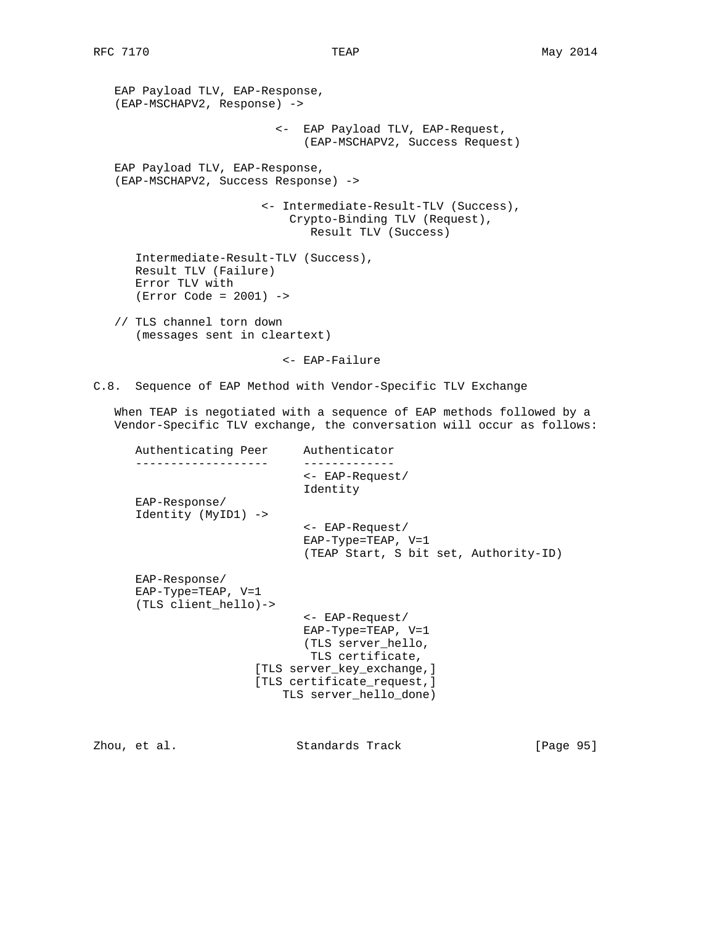EAP Payload TLV, EAP-Response, (EAP-MSCHAPV2, Response) -> <- EAP Payload TLV, EAP-Request, (EAP-MSCHAPV2, Success Request) EAP Payload TLV, EAP-Response, (EAP-MSCHAPV2, Success Response) -> <- Intermediate-Result-TLV (Success), Crypto-Binding TLV (Request), Result TLV (Success) Intermediate-Result-TLV (Success), Result TLV (Failure) Error TLV with (Error Code = 2001) -> // TLS channel torn down (messages sent in cleartext)

C.8. Sequence of EAP Method with Vendor-Specific TLV Exchange

<- EAP-Failure

 When TEAP is negotiated with a sequence of EAP methods followed by a Vendor-Specific TLV exchange, the conversation will occur as follows:

| Authenticating Peer                                             | Authenticator                                                                                          |
|-----------------------------------------------------------------|--------------------------------------------------------------------------------------------------------|
|                                                                 | $\leftarrow$ EAP-Request/<br>Identity                                                                  |
| $EAP-Response/$<br>Identity (MyID1) ->                          |                                                                                                        |
|                                                                 | <- EAP-Request/<br>$EAP-Type=TERP, V=1$<br>(TEAP Start, S bit set, Authority-ID)                       |
| $EAP-Response/$<br>$EAP-Type=TERP, V=1$<br>(TLS client hello)-> |                                                                                                        |
|                                                                 | $\leftarrow$ EAP-Request/                                                                              |
|                                                                 | $EAP-Type=TERP, V=1$                                                                                   |
|                                                                 | (TLS server hello,                                                                                     |
|                                                                 | TLS certificate,<br>[TLS server key exchange,]<br>[TLS certificate request,]<br>TLS server hello done) |
|                                                                 |                                                                                                        |

Zhou, et al. Standards Track [Page 95]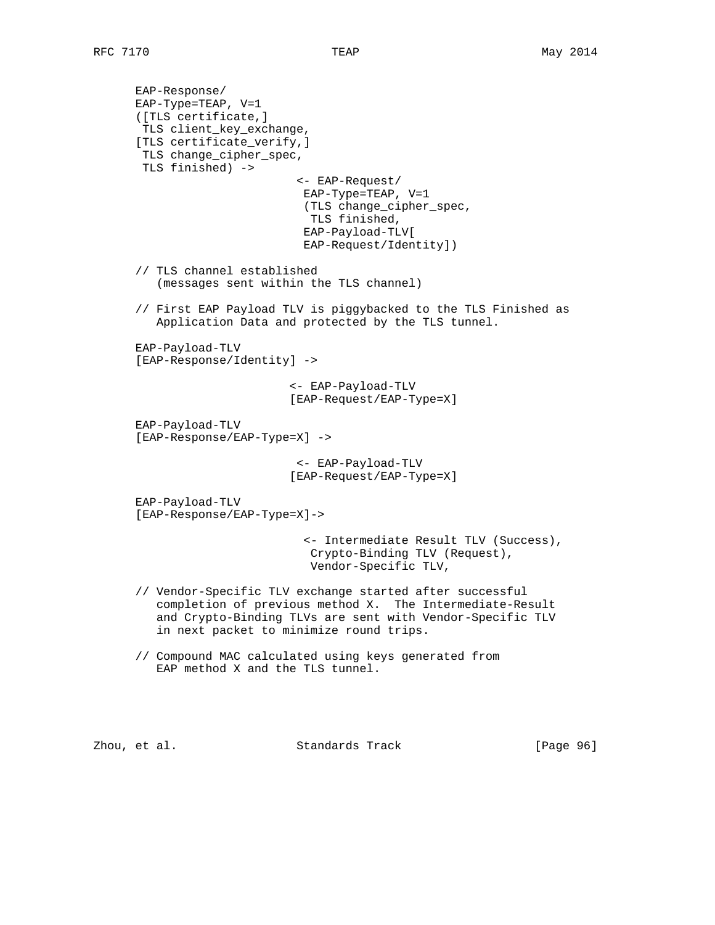```
 EAP-Response/
 EAP-Type=TEAP, V=1
 ([TLS certificate,]
 TLS client_key_exchange,
 [TLS certificate_verify,]
 TLS change_cipher_spec,
 TLS finished) ->
                         <- EAP-Request/
                         EAP-Type=TEAP, V=1
                          (TLS change_cipher_spec,
                          TLS finished,
                          EAP-Payload-TLV[
                          EAP-Request/Identity])
 // TLS channel established
    (messages sent within the TLS channel)
 // First EAP Payload TLV is piggybacked to the TLS Finished as
    Application Data and protected by the TLS tunnel.
 EAP-Payload-TLV
 [EAP-Response/Identity] ->
                        <- EAP-Payload-TLV
                        [EAP-Request/EAP-Type=X]
 EAP-Payload-TLV
 [EAP-Response/EAP-Type=X] ->
                         <- EAP-Payload-TLV
                        [EAP-Request/EAP-Type=X]
 EAP-Payload-TLV
 [EAP-Response/EAP-Type=X]->
                          <- Intermediate Result TLV (Success),
                           Crypto-Binding TLV (Request),
                           Vendor-Specific TLV,
 // Vendor-Specific TLV exchange started after successful
    completion of previous method X. The Intermediate-Result
    and Crypto-Binding TLVs are sent with Vendor-Specific TLV
    in next packet to minimize round trips.
 // Compound MAC calculated using keys generated from
    EAP method X and the TLS tunnel.
```
Zhou, et al. Standards Track [Page 96]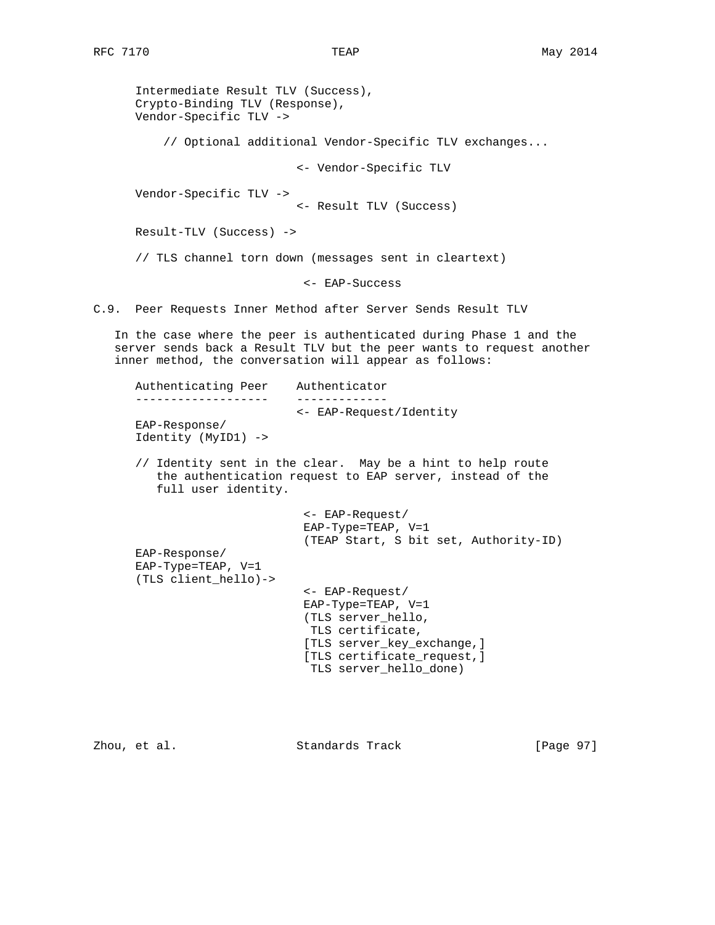Intermediate Result TLV (Success), Crypto-Binding TLV (Response), Vendor-Specific TLV -> // Optional additional Vendor-Specific TLV exchanges... <- Vendor-Specific TLV Vendor-Specific TLV -> <- Result TLV (Success) Result-TLV (Success) -> // TLS channel torn down (messages sent in cleartext) <- EAP-Success C.9. Peer Requests Inner Method after Server Sends Result TLV

 In the case where the peer is authenticated during Phase 1 and the server sends back a Result TLV but the peer wants to request another inner method, the conversation will appear as follows:

```
 Authenticating Peer Authenticator
 ------------------- -------------
                        <- EAP-Request/Identity
 EAP-Response/
 Identity (MyID1) ->
 // Identity sent in the clear. May be a hint to help route
   the authentication request to EAP server, instead of the
    full user identity.
                          <- EAP-Request/
                          EAP-Type=TEAP, V=1
                         (TEAP Start, S bit set, Authority-ID)
 EAP-Response/
 EAP-Type=TEAP, V=1
 (TLS client_hello)->
                          <- EAP-Request/
                          EAP-Type=TEAP, V=1
                          (TLS server_hello,
                          TLS certificate,
                          [TLS server_key_exchange,]
                          [TLS certificate_request,]
                          TLS server_hello_done)
```
Zhou, et al. Standards Track [Page 97]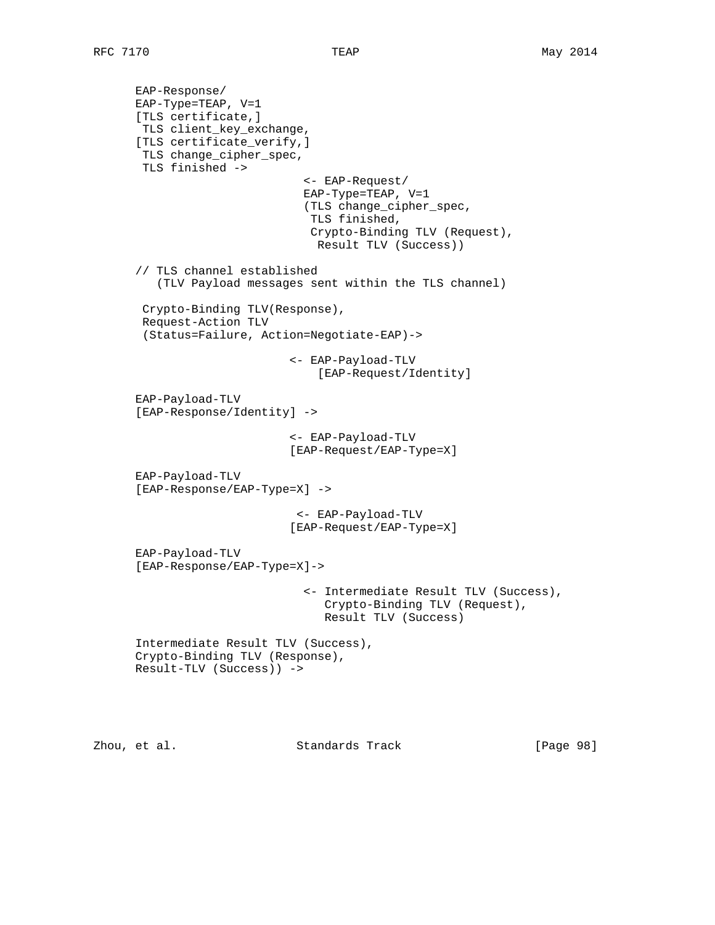EAP-Response/ EAP-Type=TEAP, V=1 [TLS certificate,] TLS client\_key\_exchange, [TLS certificate\_verify,] TLS change\_cipher\_spec, TLS finished -> <- EAP-Request/ EAP-Type=TEAP, V=1 (TLS change\_cipher\_spec, TLS finished, Crypto-Binding TLV (Request), Result TLV (Success)) // TLS channel established (TLV Payload messages sent within the TLS channel) Crypto-Binding TLV(Response), Request-Action TLV (Status=Failure, Action=Negotiate-EAP)-> <- EAP-Payload-TLV [EAP-Request/Identity] EAP-Payload-TLV [EAP-Response/Identity] -> <- EAP-Payload-TLV [EAP-Request/EAP-Type=X] EAP-Payload-TLV [EAP-Response/EAP-Type=X] -> <- EAP-Payload-TLV [EAP-Request/EAP-Type=X] EAP-Payload-TLV [EAP-Response/EAP-Type=X]-> <- Intermediate Result TLV (Success), Crypto-Binding TLV (Request), Result TLV (Success) Intermediate Result TLV (Success), Crypto-Binding TLV (Response), Result-TLV (Success)) ->

Zhou, et al. Standards Track [Page 98]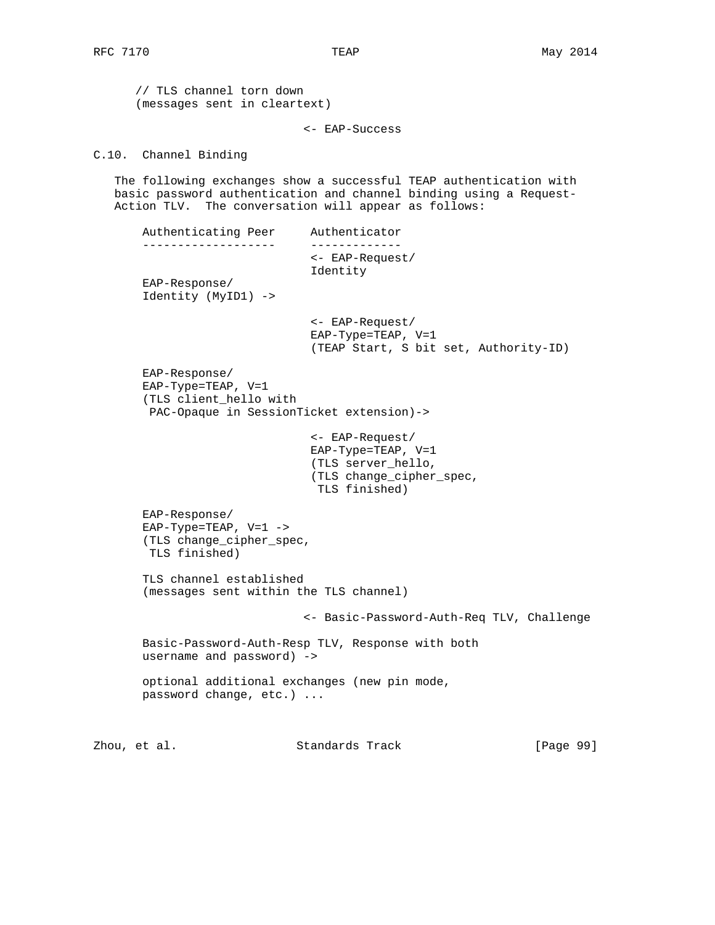// TLS channel torn down (messages sent in cleartext)

<- EAP-Success

C.10. Channel Binding

 The following exchanges show a successful TEAP authentication with basic password authentication and channel binding using a Request- Action TLV. The conversation will appear as follows:

 Authenticating Peer Authenticator ------------------- ------------- <- EAP-Request/ Identity EAP-Response/ Identity (MyID1) -> <- EAP-Request/ EAP-Type=TEAP, V=1 (TEAP Start, S bit set, Authority-ID) EAP-Response/ EAP-Type=TEAP, V=1 (TLS client\_hello with PAC-Opaque in SessionTicket extension)-> <- EAP-Request/ EAP-Type=TEAP, V=1 (TLS server\_hello, (TLS change\_cipher\_spec, TLS finished) EAP-Response/ EAP-Type=TEAP, V=1 -> (TLS change\_cipher\_spec, TLS finished) TLS channel established (messages sent within the TLS channel) <- Basic-Password-Auth-Req TLV, Challenge Basic-Password-Auth-Resp TLV, Response with both username and password) -> optional additional exchanges (new pin mode, password change, etc.) ...

Zhou, et al. Standards Track [Page 99]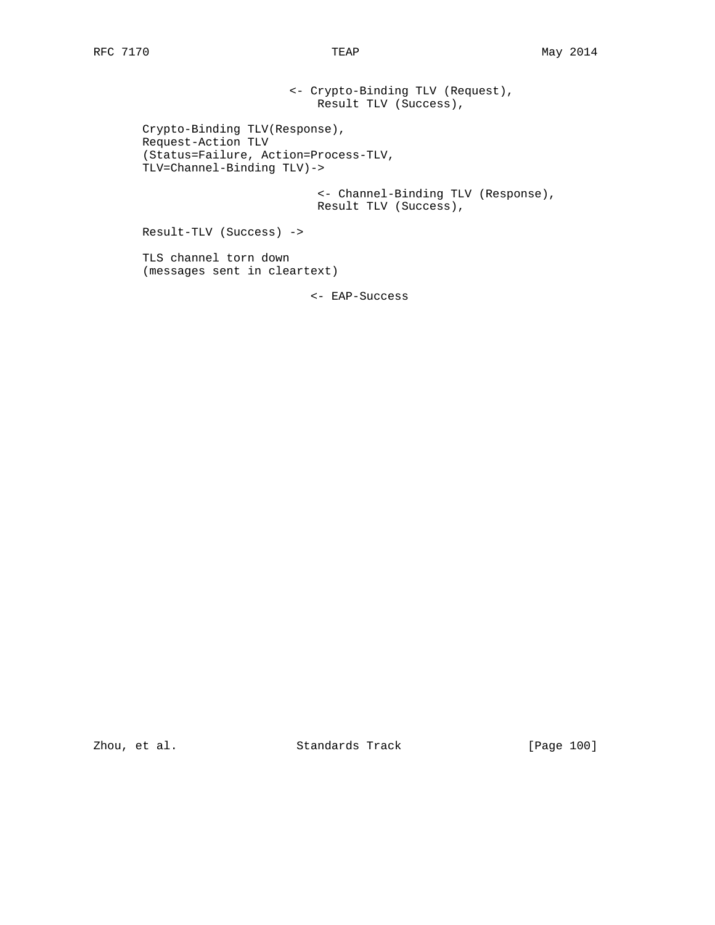<- Crypto-Binding TLV (Request), Result TLV (Success), Crypto-Binding TLV(Response), Request-Action TLV (Status=Failure, Action=Process-TLV, TLV=Channel-Binding TLV)-> <- Channel-Binding TLV (Response), Result TLV (Success), Result-TLV (Success) -> TLS channel torn down (messages sent in cleartext)

<- EAP-Success

Zhou, et al. Standards Track [Page 100]